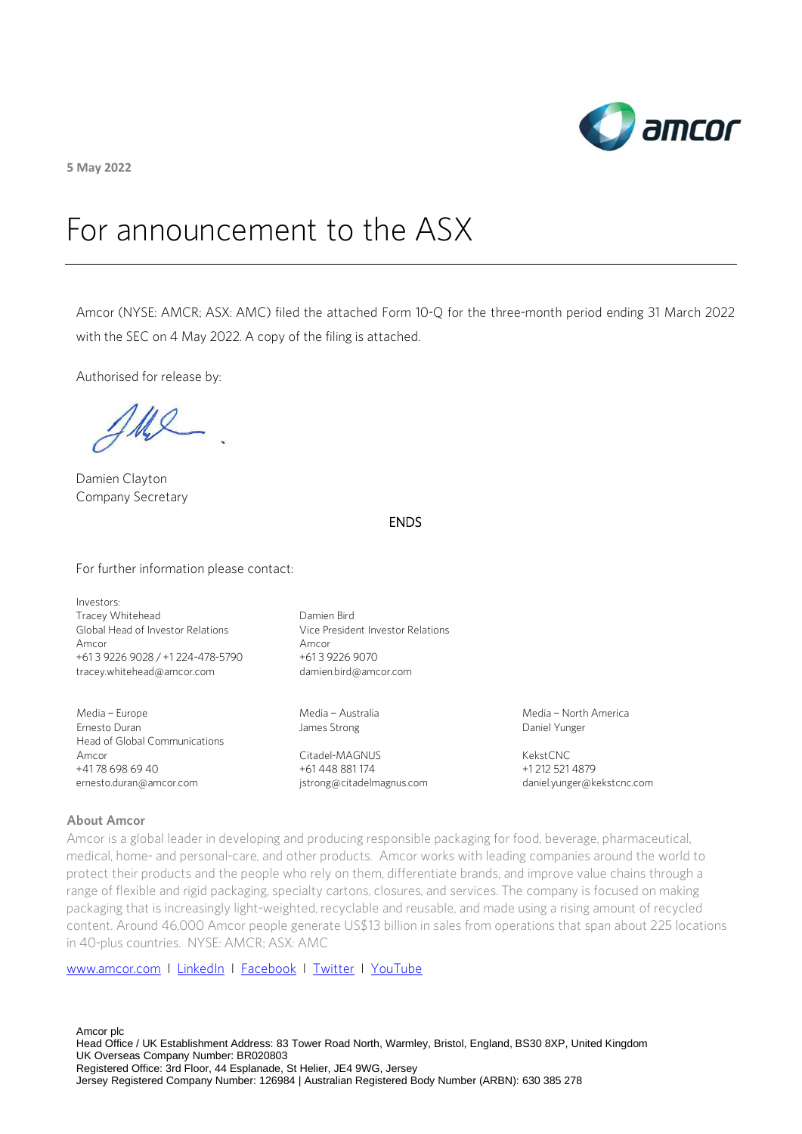

**5 May 2022**

# For announcement to the ASX

Amcor (NYSE: AMCR; ASX: AMC) filed the attached Form 10-Q for the three-month period ending 31 March 2022 with the SEC on 4 May 2022. A copy of the filing is attached.

Authorised for release by:

Ul

Damien Clayton Company Secretary

## ENDS

For further information please contact:

Investors: Tracey Whitehead Global Head of Investor Relations Amcor +61 3 9226 9028 / +1 224-478-5790 [tracey.whitehead@amcor.com](mailto:tracey.whitehead@amcor.com)

Media – Europe Ernesto Duran Head of Global Communications Amcor +41 78 698 69 40 ernesto.duran@amcor.com

Damien Bird Vice President Investor Relations Amcor +61 3 9226 9070 damien.bird@amcor.com

Media – Australia James Strong

Citadel-MAGNUS +61 448 881 174 [jstrong@citadelmagnus.com](mailto:jstrong@citadelmagnus.com)  Media – North America Daniel Yunger

KekstCNC +1 212 521 4879 [daniel.yunger@kekstcnc.com](mailto:daniel.yunger@kekstcnc.com) 

#### **About Amcor**

Amcor is a global leader in developing and producing responsible packaging for food, beverage, pharmaceutical, medical, home- and personal-care, and other products. Amcor works with leading companies around the world to protect their products and the people who rely on them, differentiate brands, and improve value chains through a range of flexible and rigid packaging, specialty cartons, closures, and services. The company is focused on making packaging that is increasingly light-weighted, recyclable and reusable, and made using a rising amount of recycled content. Around 46,000 Amcor people generate US\$13 billion in sales from operations that span about 225 locations in 40-plus countries. NYSE: AMCR; ASX: AMC

[www.amcor.com](http://www.amcor.com/) I [LinkedIn](https://www.linkedin.com/company/6311/admin/) I [Facebook](https://www.facebook.com/amcorlimited/) I [Twitter](https://twitter.com/amcorpackaging) I [YouTube](https://www.youtube.com/user/AmcorPackaging)

Amcor plc Head Office / UK Establishment Address: 83 Tower Road North, Warmley, Bristol, England, BS30 8XP, United Kingdom UK Overseas Company Number: BR020803 Registered Office: 3rd Floor, 44 Esplanade, St Helier, JE4 9WG, Jersey Jersey Registered Company Number: 126984 | Australian Registered Body Number (ARBN): 630 385 278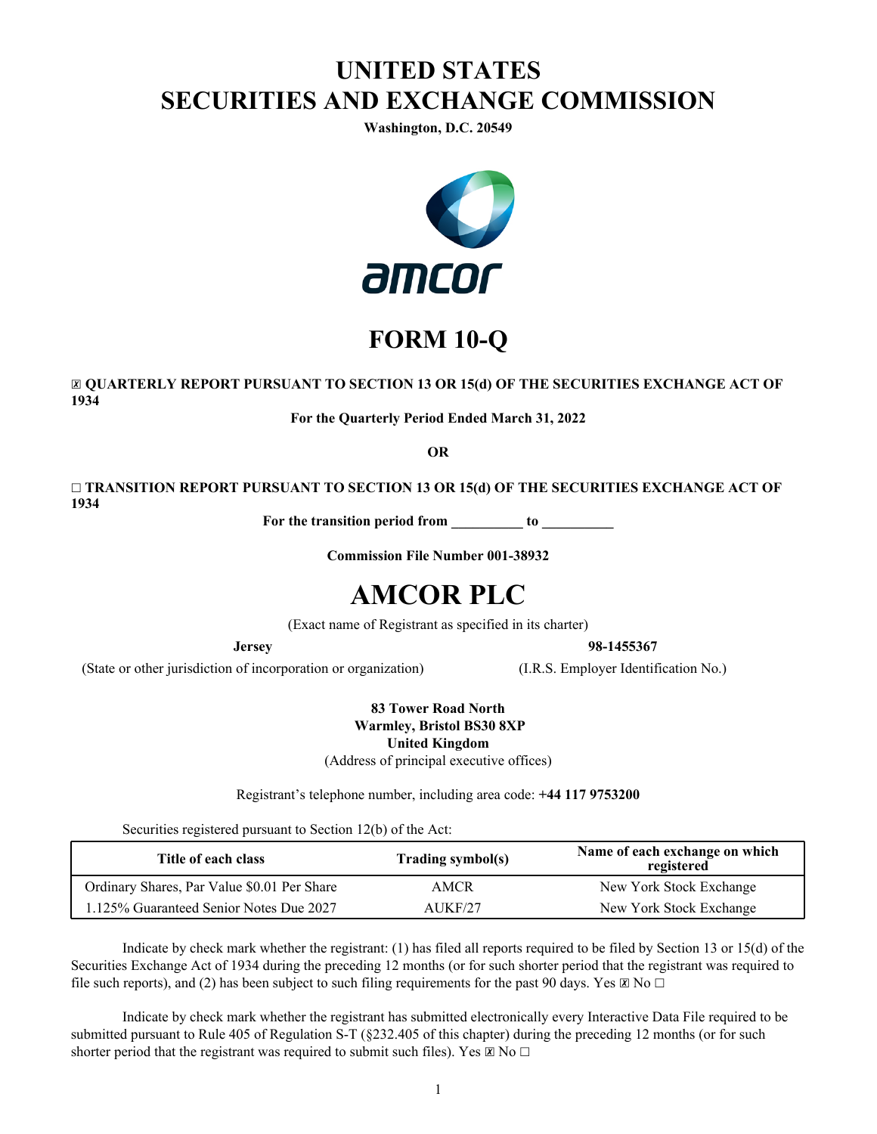# **UNITED STATES SECURITIES AND EXCHANGE COMMISSION**

**Washington, D.C. 20549**



# **FORM 10-Q**

☒ **QUARTERLY REPORT PURSUANT TO SECTION 13 OR 15(d) OF THE SECURITIES EXCHANGE ACT OF 1934**

**For the Quarterly Period Ended March 31, 2022**

**OR**

☐ **TRANSITION REPORT PURSUANT TO SECTION 13 OR 15(d) OF THE SECURITIES EXCHANGE ACT OF 1934**

**For the transition period from \_\_\_\_\_\_\_\_\_\_ to \_\_\_\_\_\_\_\_\_\_**

**Commission File Number 001-38932**

# **AMCOR PLC**

(Exact name of Registrant as specified in its charter)

**Jersey 98-1455367** 

(State or other jurisdiction of incorporation or organization) (I.R.S. Employer Identification No.)

**83 Tower Road North Warmley, Bristol BS30 8XP United Kingdom**  (Address of principal executive offices)

Registrant's telephone number, including area code: **+44 117 9753200**

Securities registered pursuant to Section 12(b) of the Act:

| Title of each class                         | <b>Trading symbol(s)</b> | Name of each exchange on which<br>registered |
|---------------------------------------------|--------------------------|----------------------------------------------|
| Ordinary Shares, Par Value \$0.01 Per Share | AMCR                     | New York Stock Exchange                      |
| 1.125% Guaranteed Senior Notes Due 2027     | AUKF/27                  | New York Stock Exchange                      |

 Indicate by check mark whether the registrant: (1) has filed all reports required to be filed by Section 13 or 15(d) of the Securities Exchange Act of 1934 during the preceding 12 months (or for such shorter period that the registrant was required to file such reports), and (2) has been subject to such filing requirements for the past 90 days. Yes  $\boxtimes$  No  $\Box$ 

 Indicate by check mark whether the registrant has submitted electronically every Interactive Data File required to be submitted pursuant to Rule 405 of Regulation S-T (§232.405 of this chapter) during the preceding 12 months (or for such shorter period that the registrant was required to submit such files). Yes  $\boxtimes$  No  $\Box$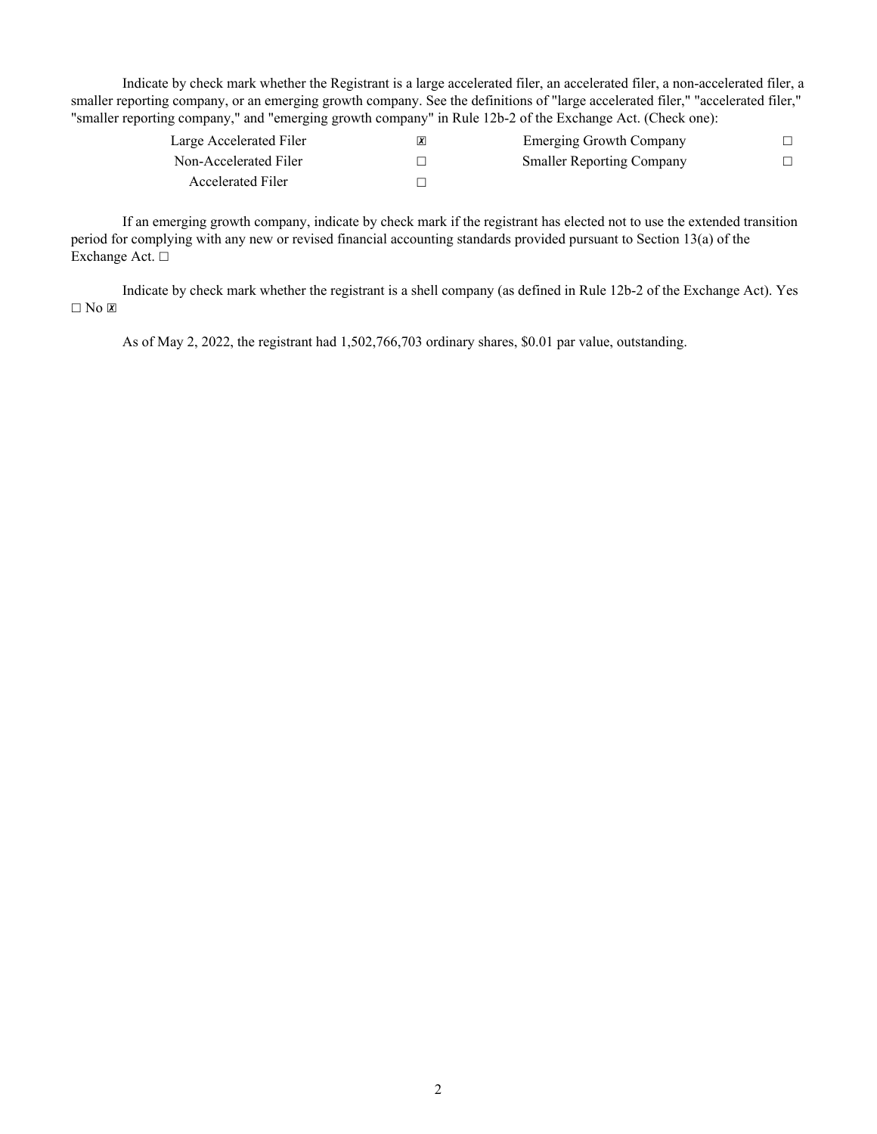Indicate by check mark whether the Registrant is a large accelerated filer, an accelerated filer, a non-accelerated filer, a smaller reporting company, or an emerging growth company. See the definitions of "large accelerated filer," "accelerated filer," "smaller reporting company," and "emerging growth company" in Rule 12b-2 of the Exchange Act. (Check one):

| Large Accelerated Filer | $\boldsymbol{\chi}$ | <b>Emerging Growth Company</b>   |  |
|-------------------------|---------------------|----------------------------------|--|
| Non-Accelerated Filer   |                     | <b>Smaller Reporting Company</b> |  |
| Accelerated Filer       |                     |                                  |  |

 If an emerging growth company, indicate by check mark if the registrant has elected not to use the extended transition period for complying with any new or revised financial accounting standards provided pursuant to Section 13(a) of the Exchange Act. □

Indicate by check mark whether the registrant is a shell company (as defined in Rule 12b-2 of the Exchange Act). Yes  $\Box$  No  $\Box$ 

As of May 2, 2022, the registrant had 1,502,766,703 ordinary shares, \$0.01 par value, outstanding.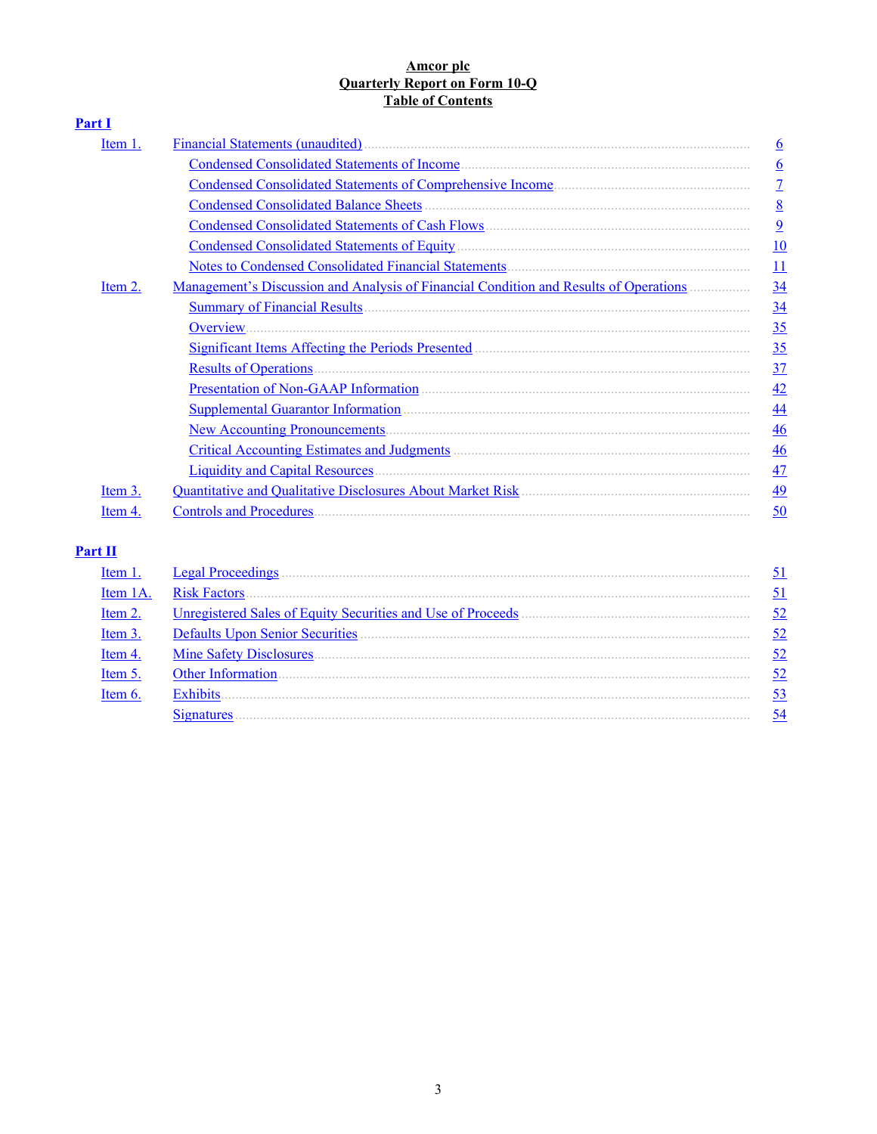## Amcor plc<br>Quarterly Report on Form 10-Q Table of Contents

| <b>Part I</b> |                                                                                              |                 |
|---------------|----------------------------------------------------------------------------------------------|-----------------|
| Item 1.       |                                                                                              | $\underline{6}$ |
|               |                                                                                              | $6\overline{6}$ |
|               |                                                                                              | $\overline{1}$  |
|               |                                                                                              | 8               |
|               |                                                                                              | $\overline{9}$  |
|               |                                                                                              | 10              |
|               |                                                                                              | 11              |
| Item 2.       | <u>Management's Discussion and Analysis of Financial Condition and Results of Operations</u> | 34              |
|               |                                                                                              | 34              |
|               | Overview.                                                                                    | 35              |
|               |                                                                                              | 35              |
|               |                                                                                              | 37              |
|               |                                                                                              | 42              |
|               |                                                                                              | $\overline{44}$ |
|               |                                                                                              | $\frac{46}{5}$  |
|               |                                                                                              | $\overline{46}$ |
|               |                                                                                              | 47              |
| Item 3.       |                                                                                              | 49              |
| Item 4.       |                                                                                              | 50              |

## $Part II$

| Item 1   | <b>Legal Proceedings</b>                                    |    |
|----------|-------------------------------------------------------------|----|
| Item 1A. | <b>Risk Factors</b>                                         |    |
| Item 2.  | Unregistered Sales of Equity Securities and Use of Proceeds | 52 |
| Item 3.  |                                                             | 52 |
| Item 4.  | <b>Mine Safety Disclosures</b>                              | 52 |
| Item 5   | <b>Other Information</b>                                    | 52 |
| Item 6   | Exhibits.                                                   |    |
|          |                                                             |    |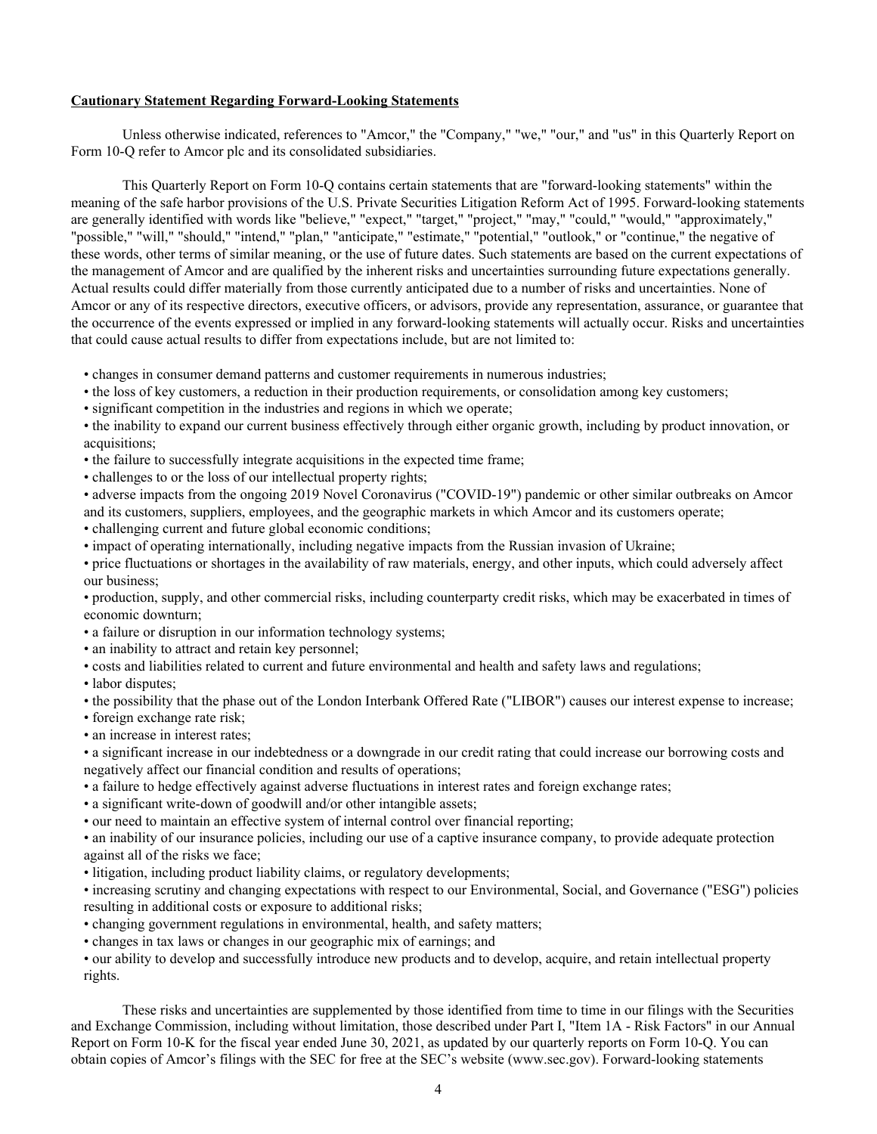#### **Cautionary Statement Regarding Forward-Looking Statements**

 Unless otherwise indicated, references to "Amcor," the "Company," "we," "our," and "us" in this Quarterly Report on Form 10-Q refer to Amcor plc and its consolidated subsidiaries.

This Quarterly Report on Form 10-Q contains certain statements that are "forward-looking statements" within the meaning of the safe harbor provisions of the U.S. Private Securities Litigation Reform Act of 1995. Forward-looking statements are generally identified with words like "believe," "expect," "target," "project," "may," "could," "would," "approximately," "possible," "will," "should," "intend," "plan," "anticipate," "estimate," "potential," "outlook," or "continue," the negative of these words, other terms of similar meaning, or the use of future dates. Such statements are based on the current expectations of the management of Amcor and are qualified by the inherent risks and uncertainties surrounding future expectations generally. Actual results could differ materially from those currently anticipated due to a number of risks and uncertainties. None of Amcor or any of its respective directors, executive officers, or advisors, provide any representation, assurance, or guarantee that the occurrence of the events expressed or implied in any forward-looking statements will actually occur. Risks and uncertainties that could cause actual results to differ from expectations include, but are not limited to:

• changes in consumer demand patterns and customer requirements in numerous industries;

- the loss of key customers, a reduction in their production requirements, or consolidation among key customers;
- significant competition in the industries and regions in which we operate;

• the inability to expand our current business effectively through either organic growth, including by product innovation, or acquisitions;

- the failure to successfully integrate acquisitions in the expected time frame;
- challenges to or the loss of our intellectual property rights;

• adverse impacts from the ongoing 2019 Novel Coronavirus ("COVID-19") pandemic or other similar outbreaks on Amcor and its customers, suppliers, employees, and the geographic markets in which Amcor and its customers operate;

- challenging current and future global economic conditions;
- impact of operating internationally, including negative impacts from the Russian invasion of Ukraine;

• price fluctuations or shortages in the availability of raw materials, energy, and other inputs, which could adversely affect our business;

• production, supply, and other commercial risks, including counterparty credit risks, which may be exacerbated in times of economic downturn;

- a failure or disruption in our information technology systems;
- an inability to attract and retain key personnel;
- costs and liabilities related to current and future environmental and health and safety laws and regulations;
- labor disputes:

• the possibility that the phase out of the London Interbank Offered Rate ("LIBOR") causes our interest expense to increase;

- foreign exchange rate risk;
- an increase in interest rates:

• a significant increase in our indebtedness or a downgrade in our credit rating that could increase our borrowing costs and negatively affect our financial condition and results of operations;

- a failure to hedge effectively against adverse fluctuations in interest rates and foreign exchange rates;
- a significant write-down of goodwill and/or other intangible assets;
- our need to maintain an effective system of internal control over financial reporting;

• an inability of our insurance policies, including our use of a captive insurance company, to provide adequate protection against all of the risks we face;

• litigation, including product liability claims, or regulatory developments;

• increasing scrutiny and changing expectations with respect to our Environmental, Social, and Governance ("ESG") policies resulting in additional costs or exposure to additional risks;

• changing government regulations in environmental, health, and safety matters;

• changes in tax laws or changes in our geographic mix of earnings; and

• our ability to develop and successfully introduce new products and to develop, acquire, and retain intellectual property rights.

 These risks and uncertainties are supplemented by those identified from time to time in our filings with the Securities and Exchange Commission, including without limitation, those described under Part I, "Item 1A - Risk Factors" in our Annual Report on Form 10-K for the fiscal year ended June 30, 2021, as updated by our quarterly reports on Form 10-Q. You can obtain copies of Amcor's filings with the SEC for free at the SEC's website (www.sec.gov). Forward-looking statements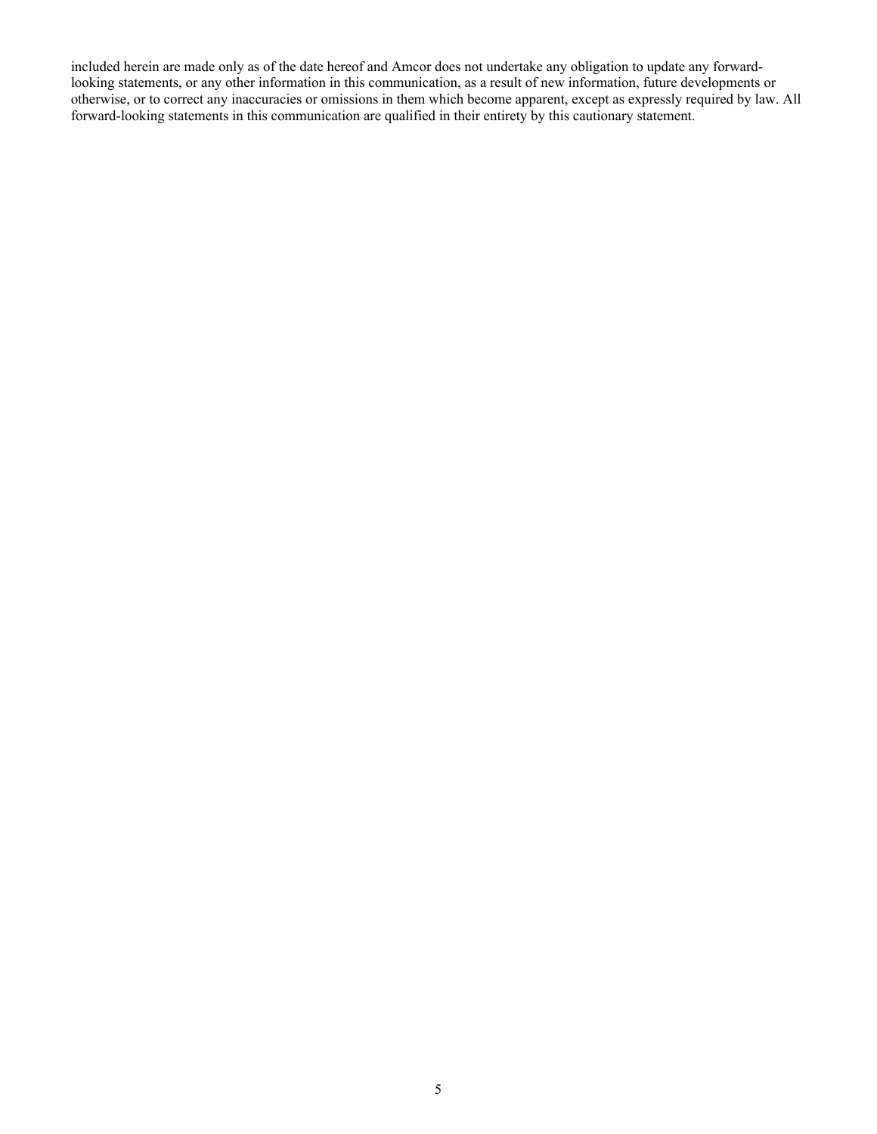included herein are made only as of the date hereof and Amcor does not undertake any obligation to update any forwardlooking statements, or any other information in this communication, as a result of new information, future developments or otherwise, or to correct any inaccuracies or omissions in them which become apparent, except as expressly required by law. All forward-looking statements in this communication are qualified in their entirety by this cautionary statement.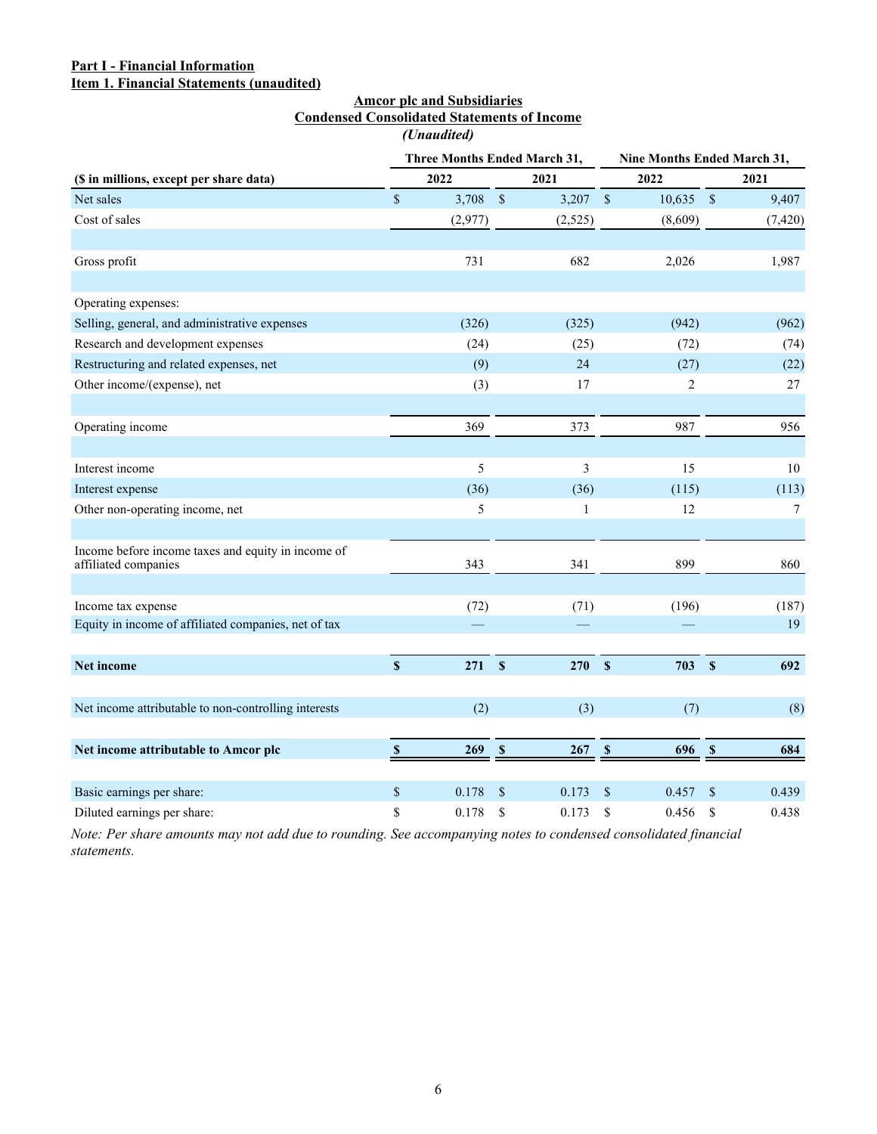## <span id="page-6-0"></span>**Part I - Financial Information Item 1. Financial Statements (unaudited)**

## **Amcor plc and Subsidiaries Condensed Consolidated Statements of Income** *(Unaudited)*

|                                                                            |                           | Three Months Ended March 31, |             |            | Nine Months Ended March 31, |                |             |          |  |
|----------------------------------------------------------------------------|---------------------------|------------------------------|-------------|------------|-----------------------------|----------------|-------------|----------|--|
| (\$ in millions, except per share data)                                    |                           | 2022                         |             | 2021       | 2022                        |                |             | 2021     |  |
| Net sales                                                                  | $\$$                      | $3,708$ \$                   |             | $3,207$ \$ |                             | $10,635$ \$    |             | 9,407    |  |
| Cost of sales                                                              |                           | (2,977)                      |             | (2, 525)   |                             | (8,609)        |             | (7, 420) |  |
|                                                                            |                           |                              |             |            |                             |                |             |          |  |
| Gross profit                                                               |                           | 731                          |             | 682        |                             | 2,026          |             | 1,987    |  |
| Operating expenses:                                                        |                           |                              |             |            |                             |                |             |          |  |
| Selling, general, and administrative expenses                              |                           | (326)                        |             | (325)      |                             | (942)          |             | (962)    |  |
| Research and development expenses                                          |                           | (24)                         |             | (25)       |                             | (72)           |             | (74)     |  |
| Restructuring and related expenses, net                                    |                           | (9)                          |             | 24         |                             | (27)           |             | (22)     |  |
| Other income/(expense), net                                                |                           | (3)                          |             | 17         |                             | $\overline{2}$ |             | 27       |  |
| Operating income                                                           |                           | 369                          |             | 373        |                             | 987            |             | 956      |  |
| Interest income                                                            |                           | 5                            |             | 3          |                             | 15             |             | 10       |  |
| Interest expense                                                           |                           | (36)                         |             | (36)       |                             | (115)          |             | (113)    |  |
| Other non-operating income, net                                            |                           | 5                            |             | 1          |                             | 12             |             | $\tau$   |  |
| Income before income taxes and equity in income of<br>affiliated companies |                           | 343                          |             | 341        |                             | 899            |             | 860      |  |
| Income tax expense                                                         |                           | (72)                         |             | (71)       |                             | (196)          |             | (187)    |  |
| Equity in income of affiliated companies, net of tax                       |                           |                              |             |            |                             |                |             | 19       |  |
| Net income                                                                 | $\mathbf{\hat{s}}$        | 271                          | $\mathbf S$ | 270        | $\mathbf S$                 | 703            | $\mathbf S$ | 692      |  |
| Net income attributable to non-controlling interests                       |                           | (2)                          |             | (3)        |                             | (7)            |             | (8)      |  |
| Net income attributable to Amcor plc                                       | $\boldsymbol{\mathsf{s}}$ | 269                          | $\mathbf s$ | 267 S      |                             | 696            | $\mathbf s$ | 684      |  |
| Basic earnings per share:                                                  | \$                        | 0.178                        | $\mathbf S$ | 0.173      | \$                          | 0.457          | \$          | 0.439    |  |
| Diluted earnings per share:                                                | \$                        | 0.178                        | \$          | 0.173      | \$                          | 0.456          | \$          | 0.438    |  |

*Note: Per share amounts may not add due to rounding. See accompanying notes to condensed consolidated financial statements.*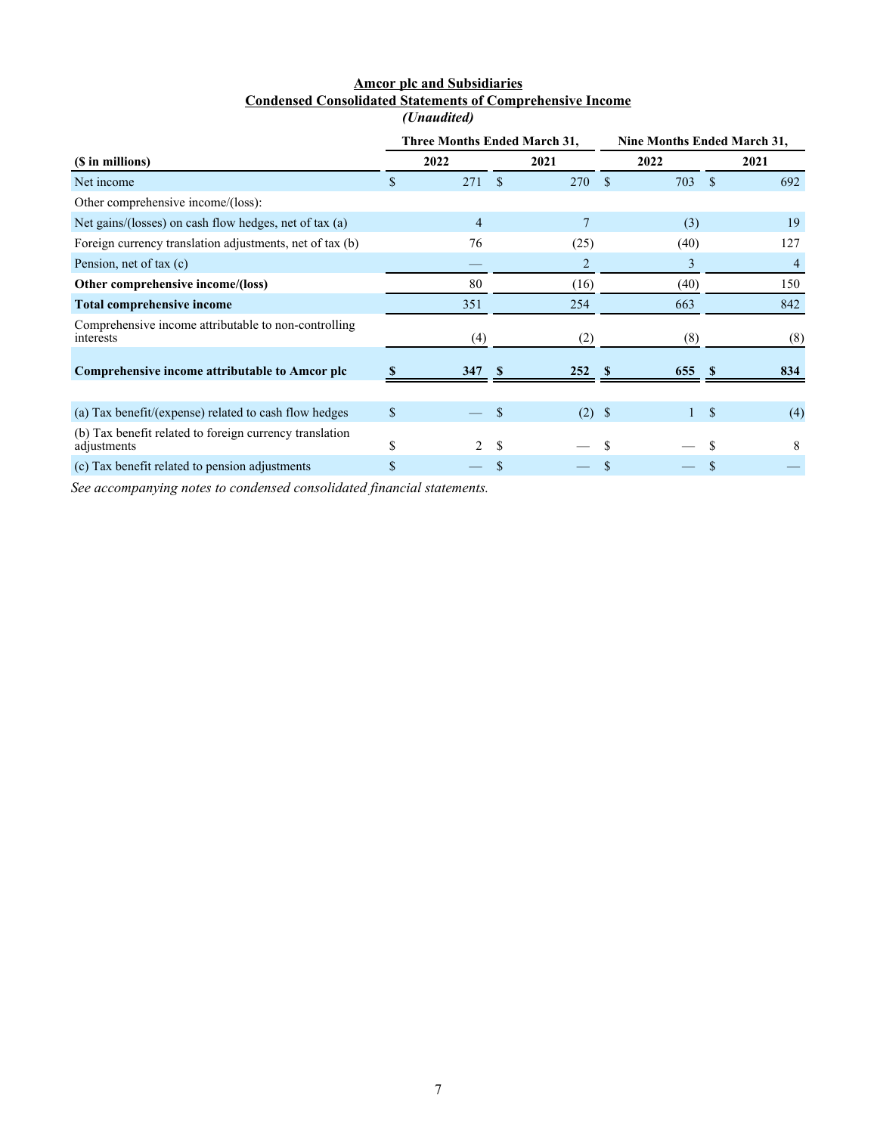## **Amcor plc and Subsidiaries Condensed Consolidated Statements of Comprehensive Income** *(Unaudited)*

<span id="page-7-0"></span>

|                                                                        |      |     |               | Three Months Ended March 31, | <b>Nine Months Ended March 31,</b> |      |             |     |  |
|------------------------------------------------------------------------|------|-----|---------------|------------------------------|------------------------------------|------|-------------|-----|--|
| (\$ in millions)                                                       | 2022 |     |               | 2021                         |                                    | 2022 | 2021        |     |  |
| Net income                                                             | \$   | 271 | <sup>\$</sup> | 270                          | -S                                 | 703  | -\$         | 692 |  |
| Other comprehensive income/(loss):                                     |      |     |               |                              |                                    |      |             |     |  |
| Net gains/(losses) on cash flow hedges, net of tax $(a)$               |      | 4   |               | 7                            |                                    | (3)  |             | 19  |  |
| Foreign currency translation adjustments, net of tax (b)               |      | 76  |               | (25)                         |                                    | (40) |             | 127 |  |
| Pension, net of tax (c)                                                |      |     |               | $\overline{2}$               |                                    | 3    |             |     |  |
| Other comprehensive income/(loss)                                      |      | 80  |               | (16)                         |                                    | (40) |             | 150 |  |
| <b>Total comprehensive income</b>                                      |      | 351 |               | 254                          |                                    | 663  |             | 842 |  |
| Comprehensive income attributable to non-controlling<br>interests      |      | (4) |               | (2)                          |                                    | (8)  |             | (8) |  |
| Comprehensive income attributable to Amcor plc                         |      | 347 | -S            | 252                          | -S                                 | 655  | <b>S</b>    | 834 |  |
|                                                                        |      |     |               |                              |                                    |      |             |     |  |
| (a) Tax benefit/(expense) related to cash flow hedges                  | \$   |     |               | $(2)$ \$                     |                                    |      | $\mathbf S$ | (4) |  |
| (b) Tax benefit related to foreign currency translation<br>adjustments | \$   | 2   | \$            |                              |                                    |      | S           | 8   |  |
| (c) Tax benefit related to pension adjustments                         | \$   |     |               |                              |                                    |      |             |     |  |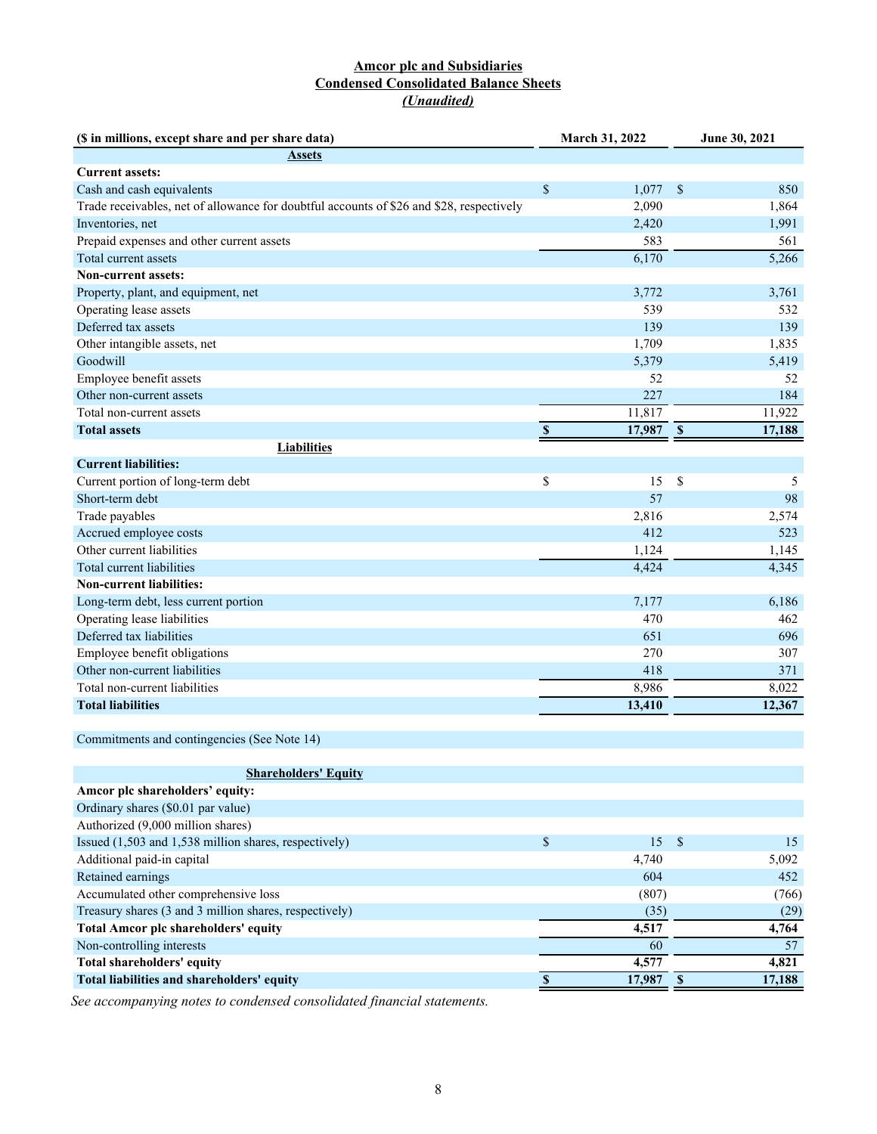## **Amcor plc and Subsidiaries Condensed Consolidated Balance Sheets** *(Unaudited)*

<span id="page-8-0"></span>

| (\$ in millions, except share and per share data)                                        |                           | March 31, 2022 | June 30, 2021 |        |  |
|------------------------------------------------------------------------------------------|---------------------------|----------------|---------------|--------|--|
| <b>Assets</b>                                                                            |                           |                |               |        |  |
| <b>Current assets:</b>                                                                   |                           |                |               |        |  |
| Cash and cash equivalents                                                                | $\$$                      | 1,077          | \$            | 850    |  |
| Trade receivables, net of allowance for doubtful accounts of \$26 and \$28, respectively |                           | 2,090          |               | 1,864  |  |
| Inventories, net                                                                         |                           | 2,420          |               | 1,991  |  |
| Prepaid expenses and other current assets                                                |                           | 583            |               | 561    |  |
| Total current assets                                                                     |                           | 6,170          |               | 5,266  |  |
| <b>Non-current assets:</b>                                                               |                           |                |               |        |  |
| Property, plant, and equipment, net                                                      |                           | 3,772          |               | 3,761  |  |
| Operating lease assets                                                                   |                           | 539            |               | 532    |  |
| Deferred tax assets                                                                      |                           | 139            |               | 139    |  |
| Other intangible assets, net                                                             |                           | 1,709          |               | 1,835  |  |
| Goodwill                                                                                 |                           | 5,379          |               | 5,419  |  |
| Employee benefit assets                                                                  |                           | 52             |               | 52     |  |
| Other non-current assets                                                                 |                           | 227            |               | 184    |  |
| Total non-current assets                                                                 |                           | 11,817         |               | 11,922 |  |
| <b>Total assets</b>                                                                      | $\boldsymbol{\mathsf{s}}$ | 17,987         | $\mathbf s$   | 17,188 |  |
| <b>Liabilities</b>                                                                       |                           |                |               |        |  |
| <b>Current liabilities:</b>                                                              |                           |                |               |        |  |
| Current portion of long-term debt                                                        | \$                        | 15             | \$            | 5      |  |
| Short-term debt                                                                          |                           | 57             |               | 98     |  |
| Trade payables                                                                           |                           | 2,816          |               | 2,574  |  |
| Accrued employee costs                                                                   |                           | 412            |               | 523    |  |
| Other current liabilities                                                                |                           | 1,124          |               | 1,145  |  |
| Total current liabilities                                                                |                           | 4,424          |               | 4,345  |  |
| <b>Non-current liabilities:</b>                                                          |                           |                |               |        |  |
| Long-term debt, less current portion                                                     |                           | 7,177          |               | 6,186  |  |
| Operating lease liabilities                                                              |                           | 470            |               | 462    |  |
| Deferred tax liabilities                                                                 |                           | 651            |               | 696    |  |
| Employee benefit obligations                                                             |                           | 270            |               | 307    |  |
| Other non-current liabilities                                                            |                           | 418            |               | 371    |  |
| Total non-current liabilities                                                            |                           | 8,986          |               | 8,022  |  |
| <b>Total liabilities</b>                                                                 |                           | 13,410         |               | 12,367 |  |
|                                                                                          |                           |                |               |        |  |
| Commitments and contingencies (See Note 14)                                              |                           |                |               |        |  |
|                                                                                          |                           |                |               |        |  |
| <b>Shareholders' Equity</b>                                                              |                           |                |               |        |  |
| Amcor plc shareholders' equity:                                                          |                           |                |               |        |  |
| Ordinary shares (\$0.01 par value)                                                       |                           |                |               |        |  |
| Authorized (9,000 million shares)                                                        |                           |                |               |        |  |
| Issued (1,503 and 1,538 million shares, respectively)                                    | $\$$                      | 15             | $\mathbb{S}$  | 15     |  |
| Additional paid-in capital                                                               |                           | 4,740          |               | 5,092  |  |
| Retained earnings                                                                        |                           | 604            |               | 452    |  |
| Accumulated other comprehensive loss                                                     |                           | (807)          |               | (766)  |  |
| Treasury shares (3 and 3 million shares, respectively)                                   |                           | (35)           |               | (29)   |  |
| <b>Total Amcor plc shareholders' equity</b>                                              |                           | 4,517          |               | 4,764  |  |
| Non-controlling interests                                                                |                           | 60             |               | 57     |  |
| Total shareholders' equity                                                               |                           | 4,577          |               | 4,821  |  |
| Total liabilities and shareholders' equity                                               | $\overline{\mathbb{S}}$   | 17,987 \$      |               | 17,188 |  |
|                                                                                          |                           |                |               |        |  |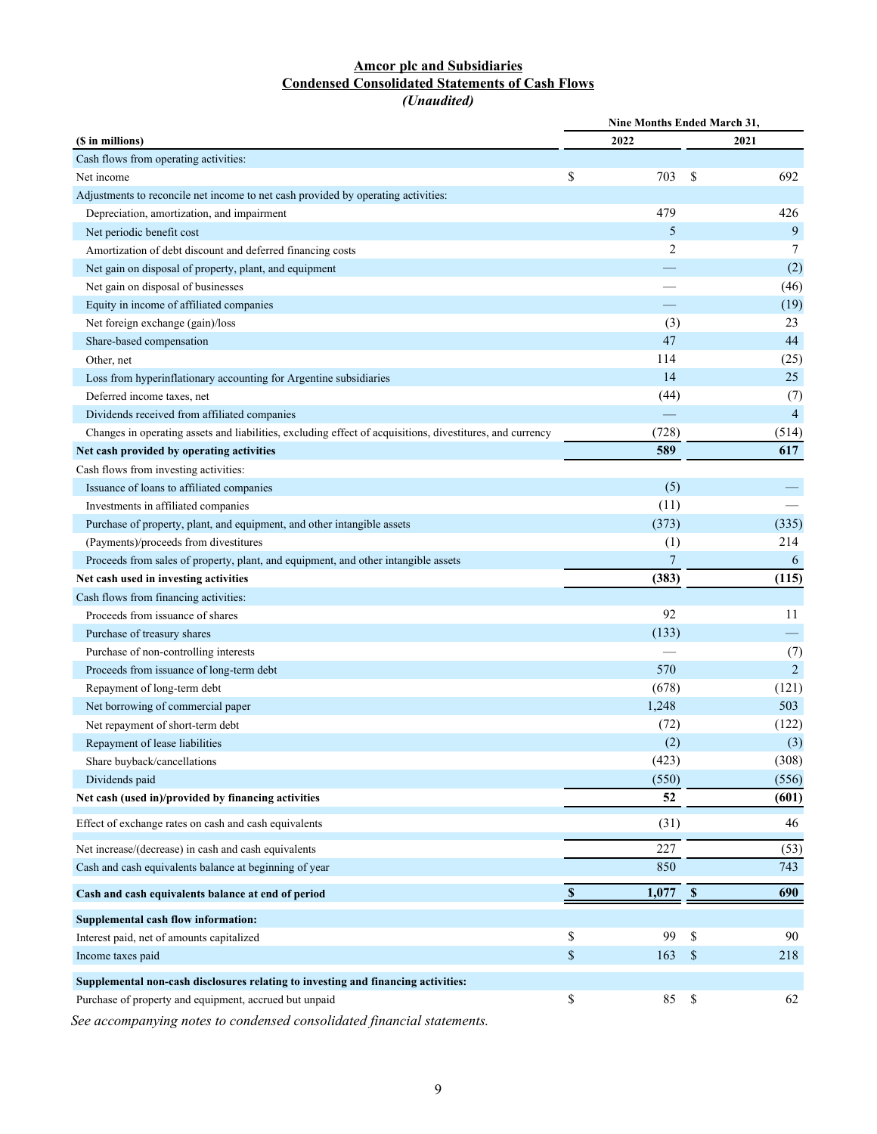## **Amcor plc and Subsidiaries Condensed Consolidated Statements of Cash Flows** *(Unaudited)*

<span id="page-9-0"></span>

|                                                                                                           | <b>Nine Months Ended March 31,</b> |                 |              |                |  |  |  |  |
|-----------------------------------------------------------------------------------------------------------|------------------------------------|-----------------|--------------|----------------|--|--|--|--|
| (\$ in millions)                                                                                          |                                    | 2022            |              | 2021           |  |  |  |  |
| Cash flows from operating activities:                                                                     |                                    |                 |              |                |  |  |  |  |
| Net income                                                                                                | \$                                 | 703             | \$           | 692            |  |  |  |  |
| Adjustments to reconcile net income to net cash provided by operating activities:                         |                                    |                 |              |                |  |  |  |  |
| Depreciation, amortization, and impairment                                                                |                                    | 479             |              | 426            |  |  |  |  |
| Net periodic benefit cost                                                                                 |                                    | 5               |              | 9              |  |  |  |  |
| Amortization of debt discount and deferred financing costs                                                |                                    | $\overline{2}$  |              | 7              |  |  |  |  |
| Net gain on disposal of property, plant, and equipment                                                    |                                    |                 |              | (2)            |  |  |  |  |
| Net gain on disposal of businesses                                                                        |                                    |                 |              | (46)           |  |  |  |  |
| Equity in income of affiliated companies                                                                  |                                    |                 |              | (19)           |  |  |  |  |
| Net foreign exchange (gain)/loss                                                                          |                                    | (3)             |              | 23             |  |  |  |  |
| Share-based compensation                                                                                  |                                    | 47              |              | 44             |  |  |  |  |
| Other, net                                                                                                |                                    | 114             |              | (25)           |  |  |  |  |
| Loss from hyperinflationary accounting for Argentine subsidiaries                                         |                                    | 14              |              | 25             |  |  |  |  |
| Deferred income taxes, net                                                                                |                                    | (44)            |              | (7)            |  |  |  |  |
| Dividends received from affiliated companies                                                              |                                    |                 |              | $\overline{4}$ |  |  |  |  |
| Changes in operating assets and liabilities, excluding effect of acquisitions, divestitures, and currency |                                    | (728)           |              | (514)          |  |  |  |  |
| Net cash provided by operating activities                                                                 |                                    | 589             |              | 617            |  |  |  |  |
| Cash flows from investing activities:                                                                     |                                    |                 |              |                |  |  |  |  |
| Issuance of loans to affiliated companies                                                                 |                                    | (5)             |              |                |  |  |  |  |
| Investments in affiliated companies                                                                       |                                    | (11)            |              |                |  |  |  |  |
| Purchase of property, plant, and equipment, and other intangible assets                                   |                                    | (373)           |              | (335)          |  |  |  |  |
| (Payments)/proceeds from divestitures                                                                     |                                    | (1)             |              | 214            |  |  |  |  |
| Proceeds from sales of property, plant, and equipment, and other intangible assets                        |                                    | $7\phantom{.0}$ |              | 6              |  |  |  |  |
| Net cash used in investing activities                                                                     |                                    | (383)           |              | (115)          |  |  |  |  |
| Cash flows from financing activities:                                                                     |                                    |                 |              |                |  |  |  |  |
| Proceeds from issuance of shares                                                                          |                                    | 92              |              | 11             |  |  |  |  |
| Purchase of treasury shares                                                                               |                                    | (133)           |              |                |  |  |  |  |
| Purchase of non-controlling interests                                                                     |                                    |                 |              | (7)            |  |  |  |  |
| Proceeds from issuance of long-term debt                                                                  |                                    | 570             |              | $\overline{2}$ |  |  |  |  |
| Repayment of long-term debt                                                                               |                                    | (678)           |              | (121)          |  |  |  |  |
| Net borrowing of commercial paper                                                                         |                                    | 1,248           |              | 503            |  |  |  |  |
| Net repayment of short-term debt                                                                          |                                    | (72)            |              | (122)          |  |  |  |  |
| Repayment of lease liabilities                                                                            |                                    | (2)             |              | (3)            |  |  |  |  |
| Share buyback/cancellations                                                                               |                                    | (423)           |              | (308)          |  |  |  |  |
| Dividends paid                                                                                            |                                    | (550)           |              | (556)          |  |  |  |  |
| Net cash (used in)/provided by financing activities                                                       |                                    | 52              |              | (601)          |  |  |  |  |
| Effect of exchange rates on cash and cash equivalents                                                     |                                    | (31)            |              | 46             |  |  |  |  |
| Net increase/(decrease) in cash and cash equivalents                                                      |                                    | 227             |              | (53)           |  |  |  |  |
| Cash and cash equivalents balance at beginning of year                                                    |                                    | 850             |              | 743            |  |  |  |  |
| Cash and cash equivalents balance at end of period                                                        | $\mathbb S$                        | 1,077           | $\mathbb{S}$ | 690            |  |  |  |  |
| <b>Supplemental cash flow information:</b>                                                                |                                    |                 |              |                |  |  |  |  |
| Interest paid, net of amounts capitalized                                                                 | \$                                 | 99              | \$           | 90             |  |  |  |  |
| Income taxes paid                                                                                         | $\mathcal{S}$                      | 163             | \$           | 218            |  |  |  |  |
|                                                                                                           |                                    |                 |              |                |  |  |  |  |
| Supplemental non-cash disclosures relating to investing and financing activities:                         |                                    |                 |              |                |  |  |  |  |
| Purchase of property and equipment, accrued but unpaid                                                    | \$                                 | 85              | $\mathbb S$  | 62             |  |  |  |  |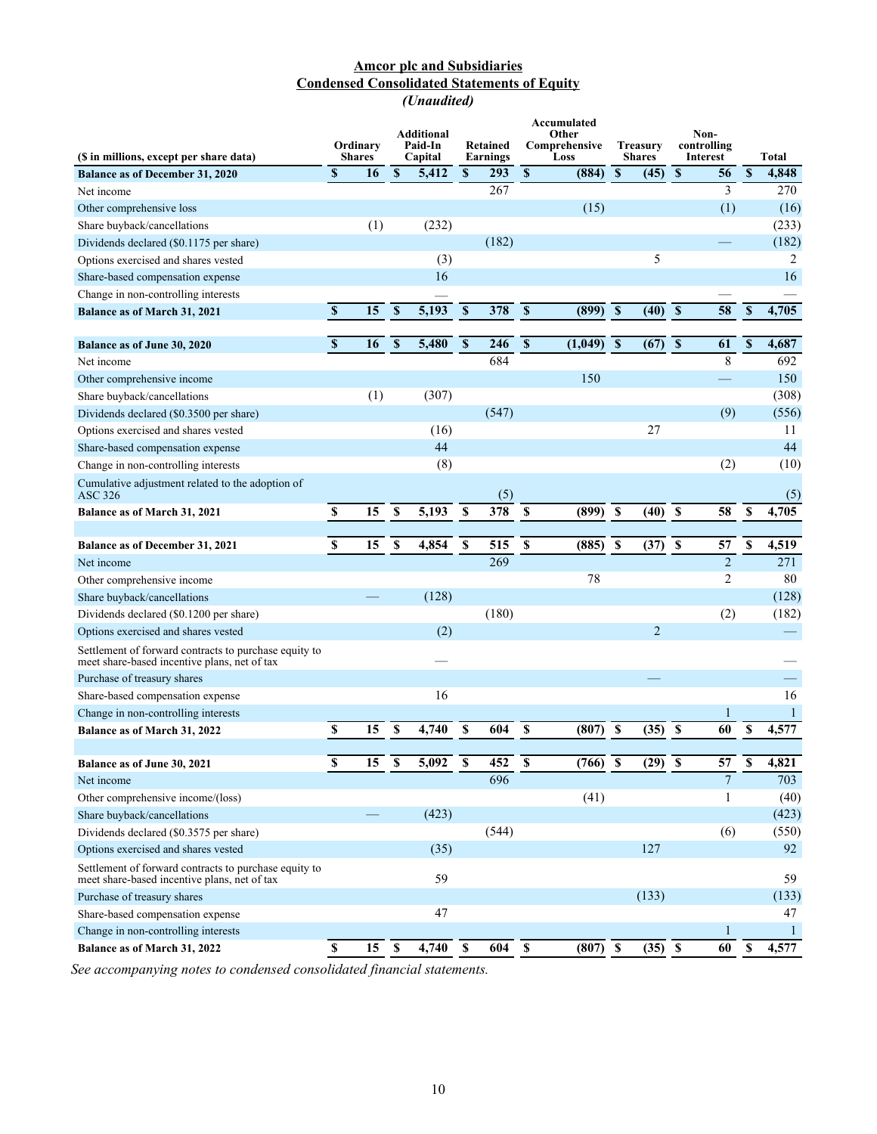## **Amcor plc and Subsidiaries Condensed Consolidated Statements of Equity** *(Unaudited)*

<span id="page-10-0"></span>

| (\$ in millions, except per share data)                                                               |                           | Ordinary<br><b>Shares</b> |                           | <b>Additional</b><br>Paid-In<br>Capital |                         | Retained<br>Earnings | Accumulated<br>Other<br>Comprehensive<br>Loss |            |                           | <b>Treasury</b><br><b>Shares</b> |                           | Non-<br>controlling<br><b>Interest</b> |                         | Total        |
|-------------------------------------------------------------------------------------------------------|---------------------------|---------------------------|---------------------------|-----------------------------------------|-------------------------|----------------------|-----------------------------------------------|------------|---------------------------|----------------------------------|---------------------------|----------------------------------------|-------------------------|--------------|
| <b>Balance as of December 31, 2020</b>                                                                | \$                        | 16                        | $\mathbf S$               | 5,412                                   | \$                      | 293                  | $\pmb{\mathbb{S}}$                            | (884)      | $\boldsymbol{s}$          | (45)                             | $\mathbf{s}$              | 56                                     | $\overline{\mathbb{S}}$ | 4,848        |
| Net income                                                                                            |                           |                           |                           |                                         |                         | 267                  |                                               |            |                           |                                  |                           | 3                                      |                         | 270          |
| Other comprehensive loss                                                                              |                           |                           |                           |                                         |                         |                      |                                               | (15)       |                           |                                  |                           | (1)                                    |                         | (16)         |
| Share buyback/cancellations                                                                           |                           | (1)                       |                           | (232)                                   |                         |                      |                                               |            |                           |                                  |                           |                                        |                         | (233)        |
| Dividends declared (\$0.1175 per share)                                                               |                           |                           |                           |                                         |                         | (182)                |                                               |            |                           |                                  |                           |                                        |                         | (182)        |
| Options exercised and shares vested                                                                   |                           |                           |                           | (3)                                     |                         |                      |                                               |            |                           | 5                                |                           |                                        |                         | 2            |
| Share-based compensation expense                                                                      |                           |                           |                           | 16                                      |                         |                      |                                               |            |                           |                                  |                           |                                        |                         | 16           |
| Change in non-controlling interests                                                                   |                           |                           |                           |                                         |                         |                      |                                               |            |                           |                                  |                           |                                        |                         |              |
| <b>Balance as of March 31, 2021</b>                                                                   | $\boldsymbol{\mathsf{s}}$ | 15                        | $\boldsymbol{s}$          | 5,193                                   | $\overline{\mathbf{s}}$ | 378                  | $\boldsymbol{\mathsf{s}}$                     | (899)      | $\overline{\mathbf{s}}$   | (40)                             | $\mathbf{s}$              | 58                                     | $\mathbb S$             | 4,705        |
|                                                                                                       |                           |                           |                           |                                         |                         |                      |                                               |            |                           |                                  |                           |                                        |                         |              |
| Balance as of June 30, 2020                                                                           | $\mathbf S$               | 16                        | $\boldsymbol{\mathsf{s}}$ | 5,480                                   | $\overline{\mathbf{s}}$ | 246                  | $\boldsymbol{\mathsf{s}}$                     | (1,049)    | $\mathbf{s}$              | $(67)$ \$                        |                           | 61                                     | $\mathbb S$             | 4,687        |
| Net income                                                                                            |                           |                           |                           |                                         |                         | 684                  |                                               |            |                           |                                  |                           | 8                                      |                         | 692          |
| Other comprehensive income                                                                            |                           |                           |                           |                                         |                         |                      |                                               | 150        |                           |                                  |                           |                                        |                         | 150          |
| Share buyback/cancellations                                                                           |                           | (1)                       |                           | (307)                                   |                         |                      |                                               |            |                           |                                  |                           |                                        |                         | (308)        |
| Dividends declared (\$0.3500 per share)                                                               |                           |                           |                           |                                         |                         | (547)                |                                               |            |                           |                                  |                           | (9)                                    |                         | (556)        |
| Options exercised and shares vested                                                                   |                           |                           |                           | (16)                                    |                         |                      |                                               |            |                           | 27                               |                           |                                        |                         | 11           |
| Share-based compensation expense                                                                      |                           |                           |                           | 44                                      |                         |                      |                                               |            |                           |                                  |                           |                                        |                         | 44           |
| Change in non-controlling interests                                                                   |                           |                           |                           | (8)                                     |                         |                      |                                               |            |                           |                                  |                           | (2)                                    |                         | (10)         |
| Cumulative adjustment related to the adoption of<br>ASC 326                                           |                           |                           |                           |                                         |                         | (5)                  |                                               |            |                           |                                  |                           |                                        |                         | (5)          |
| Balance as of March 31, 2021                                                                          | \$                        | 15                        | \$                        | 5,193                                   | <sup>\$</sup>           | 378                  | \$                                            | (899)      | $\boldsymbol{\mathsf{s}}$ | (40)                             | $\boldsymbol{\mathsf{S}}$ | 58                                     | $\mathbf{s}$            | 4,705        |
|                                                                                                       |                           |                           |                           |                                         |                         |                      |                                               |            |                           |                                  |                           |                                        |                         |              |
| Balance as of December 31, 2021                                                                       | \$                        | 15                        | \$                        | 4,854                                   | \$                      | 515                  | \$                                            | (885)      | $\boldsymbol{\mathsf{s}}$ | (37)                             | $\boldsymbol{\mathsf{s}}$ | 57                                     | \$                      | 4,519        |
| Net income                                                                                            |                           |                           |                           |                                         |                         | 269                  |                                               |            |                           |                                  |                           | $\overline{2}$                         |                         | 271          |
| Other comprehensive income                                                                            |                           |                           |                           |                                         |                         |                      |                                               | 78         |                           |                                  |                           | $\overline{2}$                         |                         | 80           |
| Share buyback/cancellations                                                                           |                           |                           |                           | (128)                                   |                         |                      |                                               |            |                           |                                  |                           |                                        |                         | (128)        |
| Dividends declared (\$0.1200 per share)                                                               |                           |                           |                           |                                         |                         | (180)                |                                               |            |                           |                                  |                           | (2)                                    |                         | (182)        |
| Options exercised and shares vested                                                                   |                           |                           |                           | (2)                                     |                         |                      |                                               |            |                           | $\overline{2}$                   |                           |                                        |                         |              |
| Settlement of forward contracts to purchase equity to<br>meet share-based incentive plans, net of tax |                           |                           |                           |                                         |                         |                      |                                               |            |                           |                                  |                           |                                        |                         |              |
| Purchase of treasury shares                                                                           |                           |                           |                           |                                         |                         |                      |                                               |            |                           |                                  |                           |                                        |                         |              |
| Share-based compensation expense                                                                      |                           |                           |                           | 16                                      |                         |                      |                                               |            |                           |                                  |                           |                                        |                         | 16           |
| Change in non-controlling interests                                                                   |                           |                           |                           |                                         |                         |                      |                                               |            |                           |                                  |                           | 1                                      |                         | $\mathbf{1}$ |
| Balance as of March 31, 2022                                                                          | \$                        | 15                        | \$                        | 4,740                                   | \$                      | 604                  | \$                                            | (807)      | - \$                      | (35)                             | \$                        | 60                                     | \$                      | 4,577        |
| Balance as of June 30, 2021                                                                           | \$                        | 15                        | $\mathbb S$               | 5,092                                   | \$                      | 452                  | $\mathbb S$                                   | (766)      | <b>S</b>                  | $(29)$ \$                        |                           | 57                                     | $\mathbb S$             | 4,821        |
| Net income                                                                                            |                           |                           |                           |                                         |                         | 696                  |                                               |            |                           |                                  |                           | $\overline{7}$                         |                         | 703          |
| Other comprehensive income/(loss)                                                                     |                           |                           |                           |                                         |                         |                      |                                               | (41)       |                           |                                  |                           | 1                                      |                         | (40)         |
| Share buyback/cancellations                                                                           |                           |                           |                           | (423)                                   |                         |                      |                                               |            |                           |                                  |                           |                                        |                         | (423)        |
| Dividends declared (\$0.3575 per share)                                                               |                           |                           |                           |                                         |                         | (544)                |                                               |            |                           |                                  |                           | (6)                                    |                         | (550)        |
| Options exercised and shares vested                                                                   |                           |                           |                           | (35)                                    |                         |                      |                                               |            |                           | 127                              |                           |                                        |                         | 92           |
| Settlement of forward contracts to purchase equity to<br>meet share-based incentive plans, net of tax |                           |                           |                           | 59                                      |                         |                      |                                               |            |                           |                                  |                           |                                        |                         | 59           |
| Purchase of treasury shares                                                                           |                           |                           |                           |                                         |                         |                      |                                               |            |                           | (133)                            |                           |                                        |                         | (133)        |
| Share-based compensation expense                                                                      |                           |                           |                           | 47                                      |                         |                      |                                               |            |                           |                                  |                           |                                        |                         | 47           |
| Change in non-controlling interests                                                                   |                           |                           |                           |                                         |                         |                      |                                               |            |                           |                                  |                           | 1                                      |                         | $\mathbf{1}$ |
| Balance as of March 31, 2022                                                                          | $\pmb{\mathbb{S}}$        | 15                        | $\overline{\mathbf{s}}$   | 4,740                                   | $\mathbf{s}$            | 604                  | $\pmb{\mathbb{S}}$                            | $(807)$ \$ |                           | $(35) \ \ \overline{\$}$         |                           | 60                                     | $\overline{\mathbf{s}}$ | 4,577        |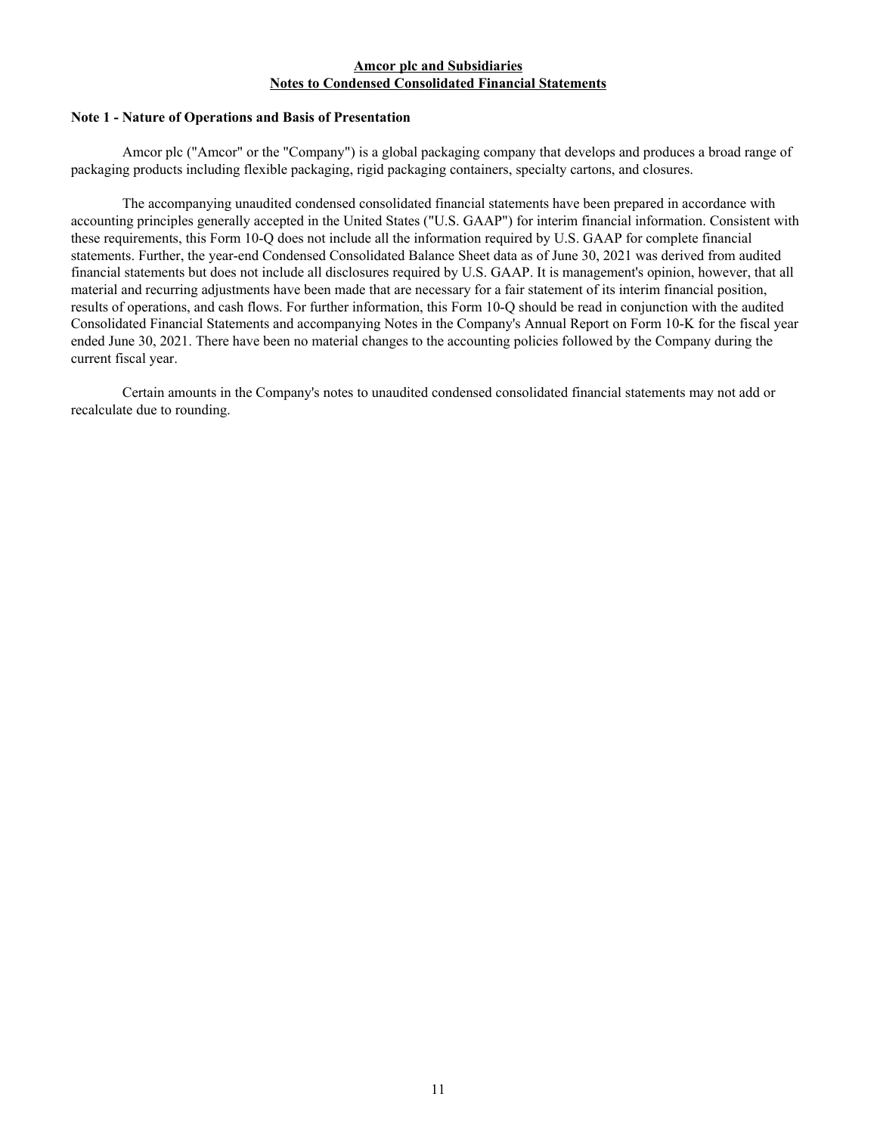## **Amcor plc and Subsidiaries Notes to Condensed Consolidated Financial Statements**

### <span id="page-11-0"></span>**Note 1 - Nature of Operations and Basis of Presentation**

 Amcor plc ("Amcor" or the "Company") is a global packaging company that develops and produces a broad range of packaging products including flexible packaging, rigid packaging containers, specialty cartons, and closures.

The accompanying unaudited condensed consolidated financial statements have been prepared in accordance with accounting principles generally accepted in the United States ("U.S. GAAP") for interim financial information. Consistent with these requirements, this Form 10-Q does not include all the information required by U.S. GAAP for complete financial statements. Further, the year-end Condensed Consolidated Balance Sheet data as of June 30, 2021 was derived from audited financial statements but does not include all disclosures required by U.S. GAAP. It is management's opinion, however, that all material and recurring adjustments have been made that are necessary for a fair statement of its interim financial position, results of operations, and cash flows. For further information, this Form 10-Q should be read in conjunction with the audited Consolidated Financial Statements and accompanying Notes in the Company's Annual Report on Form 10-K for the fiscal year ended June 30, 2021. There have been no material changes to the accounting policies followed by the Company during the current fiscal year.

Certain amounts in the Company's notes to unaudited condensed consolidated financial statements may not add or recalculate due to rounding.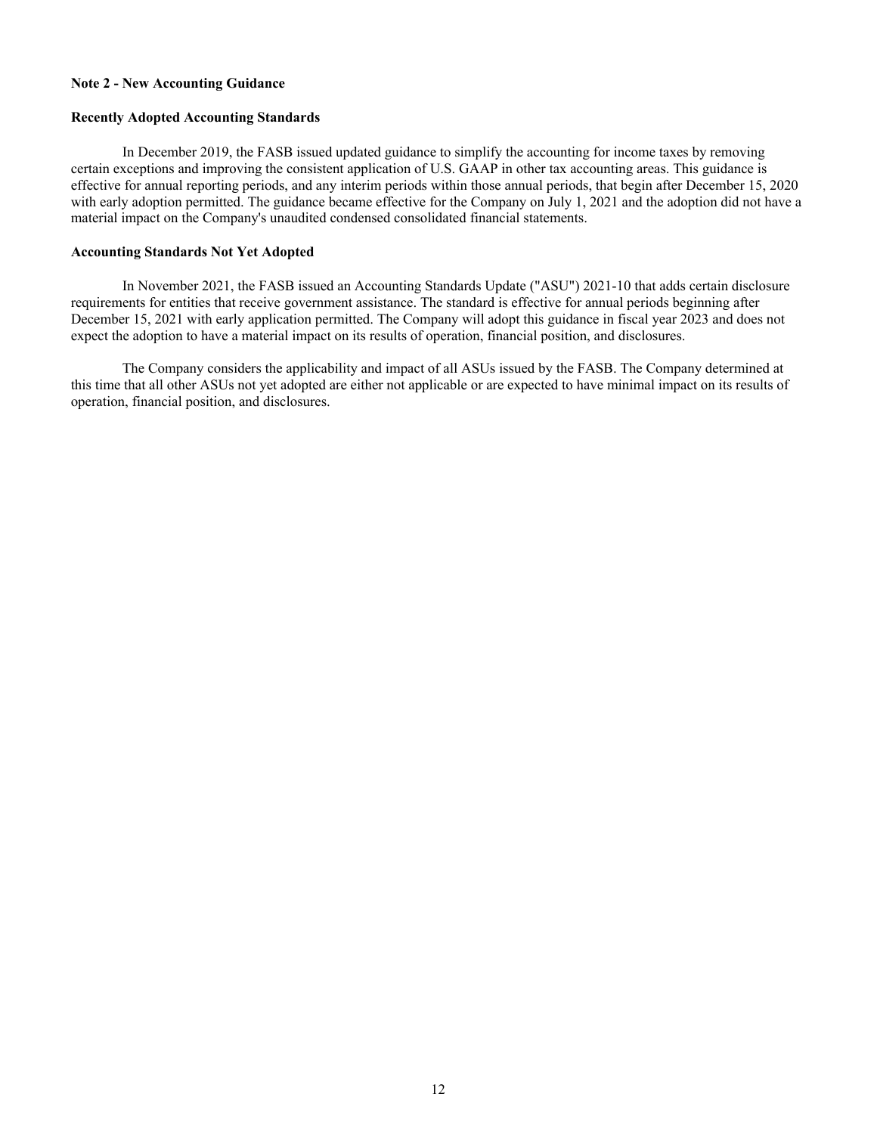#### **Note 2 - New Accounting Guidance**

#### **Recently Adopted Accounting Standards**

 In December 2019, the FASB issued updated guidance to simplify the accounting for income taxes by removing certain exceptions and improving the consistent application of U.S. GAAP in other tax accounting areas. This guidance is effective for annual reporting periods, and any interim periods within those annual periods, that begin after December 15, 2020 with early adoption permitted. The guidance became effective for the Company on July 1, 2021 and the adoption did not have a material impact on the Company's unaudited condensed consolidated financial statements.

#### **Accounting Standards Not Yet Adopted**

In November 2021, the FASB issued an Accounting Standards Update ("ASU") 2021-10 that adds certain disclosure requirements for entities that receive government assistance. The standard is effective for annual periods beginning after December 15, 2021 with early application permitted. The Company will adopt this guidance in fiscal year 2023 and does not expect the adoption to have a material impact on its results of operation, financial position, and disclosures.

 The Company considers the applicability and impact of all ASUs issued by the FASB. The Company determined at this time that all other ASUs not yet adopted are either not applicable or are expected to have minimal impact on its results of operation, financial position, and disclosures.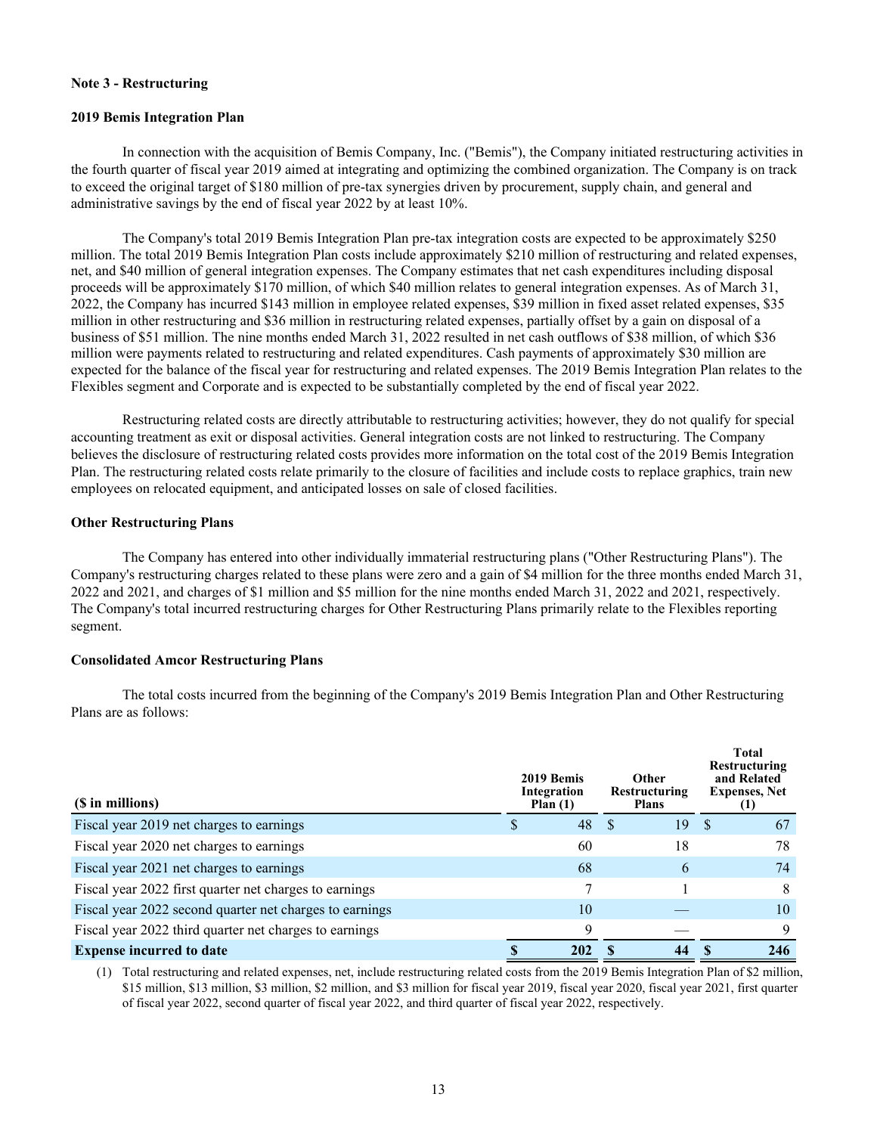### **Note 3 - Restructuring**

#### **2019 Bemis Integration Plan**

 In connection with the acquisition of Bemis Company, Inc. ("Bemis"), the Company initiated restructuring activities in the fourth quarter of fiscal year 2019 aimed at integrating and optimizing the combined organization. The Company is on track to exceed the original target of \$180 million of pre-tax synergies driven by procurement, supply chain, and general and administrative savings by the end of fiscal year 2022 by at least 10%.

 The Company's total 2019 Bemis Integration Plan pre-tax integration costs are expected to be approximately \$250 million. The total 2019 Bemis Integration Plan costs include approximately \$210 million of restructuring and related expenses, net, and \$40 million of general integration expenses. The Company estimates that net cash expenditures including disposal proceeds will be approximately \$170 million, of which \$40 million relates to general integration expenses. As of March 31, 2022, the Company has incurred \$143 million in employee related expenses, \$39 million in fixed asset related expenses, \$35 million in other restructuring and \$36 million in restructuring related expenses, partially offset by a gain on disposal of a business of \$51 million. The nine months ended March 31, 2022 resulted in net cash outflows of \$38 million, of which \$36 million were payments related to restructuring and related expenditures. Cash payments of approximately \$30 million are expected for the balance of the fiscal year for restructuring and related expenses. The 2019 Bemis Integration Plan relates to the Flexibles segment and Corporate and is expected to be substantially completed by the end of fiscal year 2022.

Restructuring related costs are directly attributable to restructuring activities; however, they do not qualify for special accounting treatment as exit or disposal activities. General integration costs are not linked to restructuring. The Company believes the disclosure of restructuring related costs provides more information on the total cost of the 2019 Bemis Integration Plan. The restructuring related costs relate primarily to the closure of facilities and include costs to replace graphics, train new employees on relocated equipment, and anticipated losses on sale of closed facilities.

#### **Other Restructuring Plans**

 The Company has entered into other individually immaterial restructuring plans ("Other Restructuring Plans"). The Company's restructuring charges related to these plans were zero and a gain of \$4 million for the three months ended March 31, 2022 and 2021, and charges of \$1 million and \$5 million for the nine months ended March 31, 2022 and 2021, respectively. The Company's total incurred restructuring charges for Other Restructuring Plans primarily relate to the Flexibles reporting segment.

## **Consolidated Amcor Restructuring Plans**

The total costs incurred from the beginning of the Company's 2019 Bemis Integration Plan and Other Restructuring Plans are as follows:

| (\$ in millions)                                        | 2019 Bemis<br>Integration<br>Plan $(1)$ | <b>Other</b><br>Restructuring<br><b>Plans</b> | Total<br>Restructuring<br>and Related<br><b>Expenses, Net</b> |
|---------------------------------------------------------|-----------------------------------------|-----------------------------------------------|---------------------------------------------------------------|
| Fiscal year 2019 net charges to earnings                | 48                                      | 19<br>-S                                      | 67<br><sup>S</sup>                                            |
| Fiscal year 2020 net charges to earnings                | 60                                      | 18                                            | 78                                                            |
| Fiscal year 2021 net charges to earnings                | 68                                      | 6                                             | 74                                                            |
| Fiscal year 2022 first quarter net charges to earnings  |                                         |                                               | 8                                                             |
| Fiscal year 2022 second quarter net charges to earnings | 10                                      |                                               | 10                                                            |
| Fiscal year 2022 third quarter net charges to earnings  | $\mathbf Q$                             |                                               | 9                                                             |
| <b>Expense incurred to date</b>                         | 202                                     |                                               | 246                                                           |

(1) Total restructuring and related expenses, net, include restructuring related costs from the 2019 Bemis Integration Plan of \$2 million, \$15 million, \$13 million, \$3 million, \$2 million, and \$3 million for fiscal year 2019, fiscal year 2020, fiscal year 2021, first quarter of fiscal year 2022, second quarter of fiscal year 2022, and third quarter of fiscal year 2022, respectively.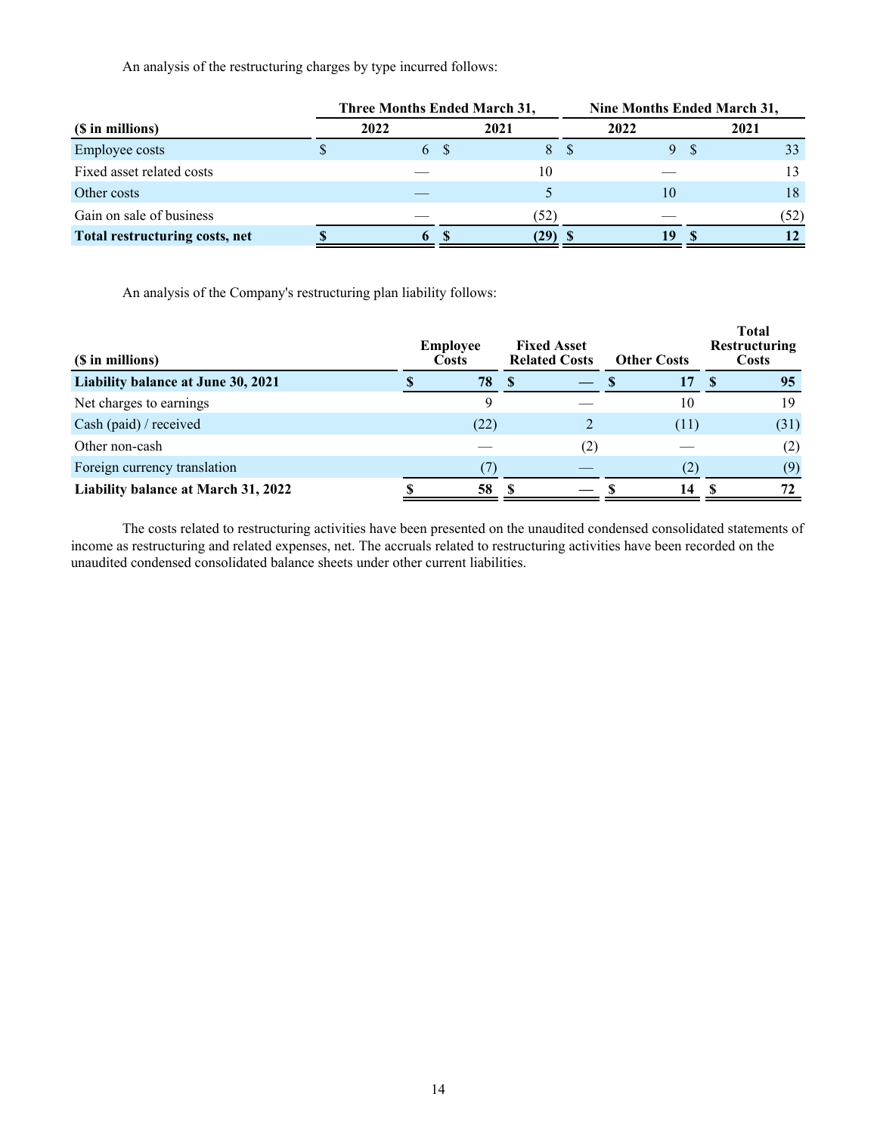An analysis of the restructuring charges by type incurred follows:

|                                | Three Months Ended March 31, |      | Nine Months Ended March 31, |      |  |      |  |  |  |
|--------------------------------|------------------------------|------|-----------------------------|------|--|------|--|--|--|
| (\$ in millions)               | 2022                         | 2021 |                             | 2022 |  | 2021 |  |  |  |
| <b>Employee costs</b>          | 6 S                          | 8    |                             | 9S   |  |      |  |  |  |
| Fixed asset related costs      |                              | 10   |                             |      |  |      |  |  |  |
| Other costs                    |                              |      |                             | 10   |  | 18   |  |  |  |
| Gain on sale of business       |                              | (52) |                             |      |  | (52) |  |  |  |
| Total restructuring costs, net | $\ddot{\mathbf{b}}$          | (29) |                             | 19   |  |      |  |  |  |

An analysis of the Company's restructuring plan liability follows:

| (\$ in millions)                    | <b>Employee</b><br><b>Costs</b> | <b>Fixed Asset</b><br><b>Related Costs</b> | <b>Other Costs</b> |    | <b>Total</b><br>Restructuring<br>Costs |
|-------------------------------------|---------------------------------|--------------------------------------------|--------------------|----|----------------------------------------|
| Liability balance at June 30, 2021  | 78                              |                                            | 17                 | -8 | 95                                     |
| Net charges to earnings             | 9                               |                                            | 10                 |    | 19                                     |
| Cash (paid) / received              | (22)                            |                                            | (11)               |    | (31)                                   |
| Other non-cash                      |                                 | (2)                                        |                    |    | (2)                                    |
| Foreign currency translation        |                                 |                                            |                    |    | (9)                                    |
| Liability balance at March 31, 2022 | 58                              |                                            | 14                 |    | 72                                     |

The costs related to restructuring activities have been presented on the unaudited condensed consolidated statements of income as restructuring and related expenses, net. The accruals related to restructuring activities have been recorded on the unaudited condensed consolidated balance sheets under other current liabilities.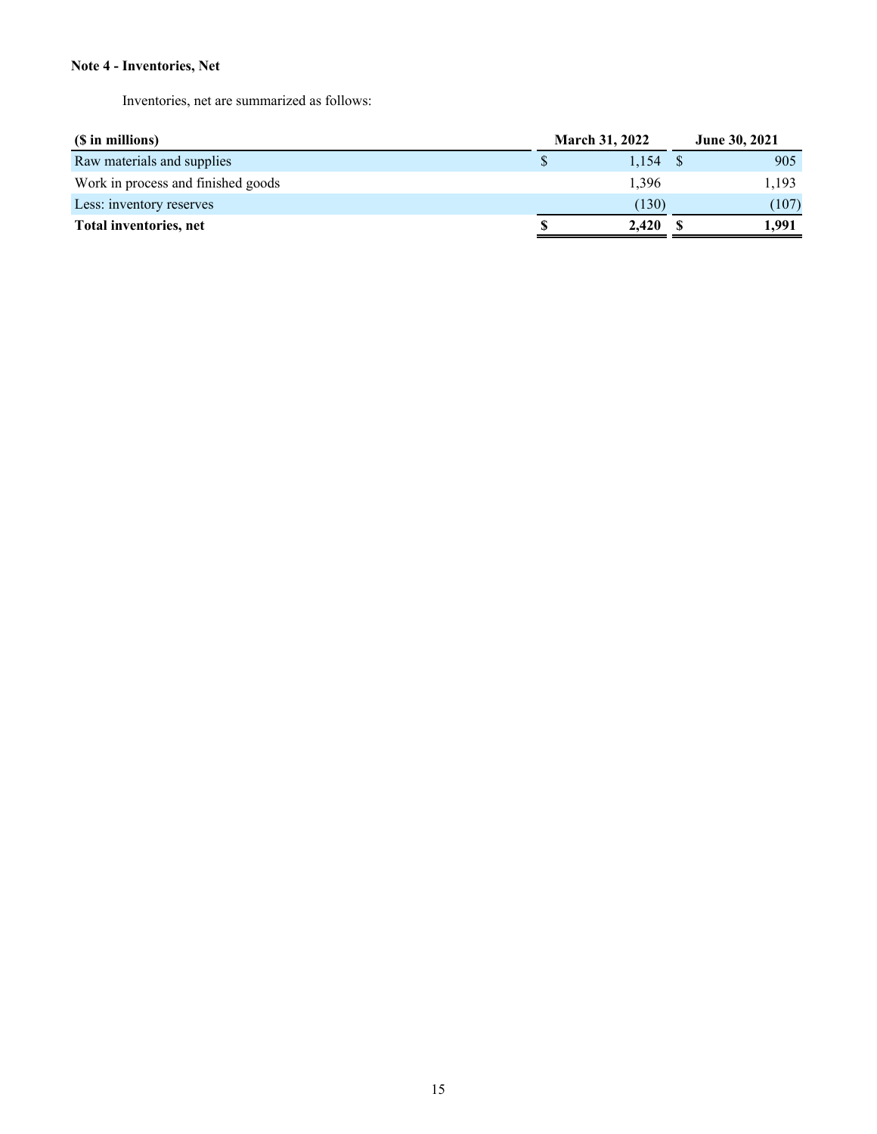## **Note 4 - Inventories, Net**

Inventories, net are summarized as follows:

| (\$ in millions)                   |   | <b>March 31, 2022</b> | <b>June 30, 2021</b> |  |  |
|------------------------------------|---|-----------------------|----------------------|--|--|
| Raw materials and supplies         |   | 1.154                 | 905                  |  |  |
| Work in process and finished goods |   | 1.396                 | 1,193                |  |  |
| Less: inventory reserves           |   | (130)                 | (107)                |  |  |
| Total inventories, net             | S | 2.420                 | 1.991                |  |  |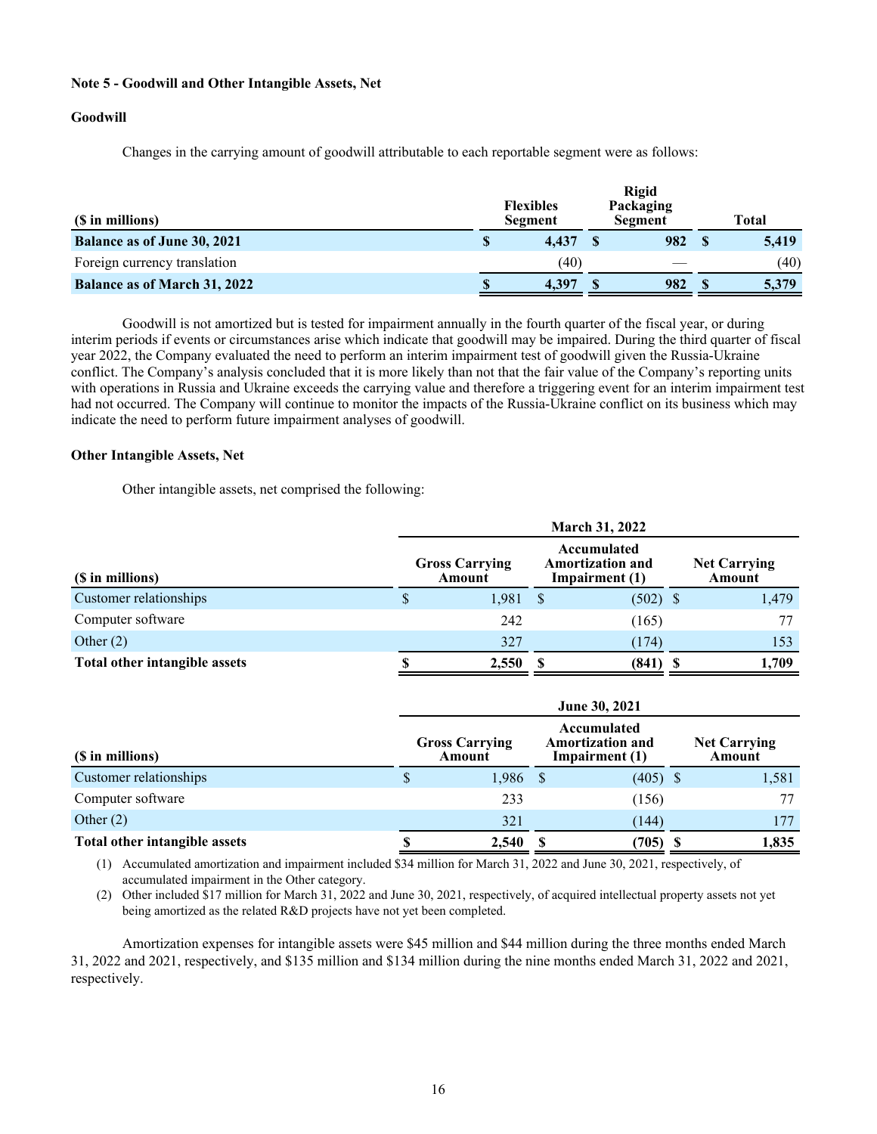### **Note 5 - Goodwill and Other Intangible Assets, Net**

#### **Goodwill**

Changes in the carrying amount of goodwill attributable to each reportable segment were as follows:

| (\$ in millions)                    |   | <b>Flexibles</b><br><b>Segment</b> | <b>Rigid</b><br>Packaging<br>Segment | Total |
|-------------------------------------|---|------------------------------------|--------------------------------------|-------|
| <b>Balance as of June 30, 2021</b>  | S | 4.437                              | 982                                  | 5,419 |
| Foreign currency translation        |   | (40)                               |                                      | (40)  |
| <b>Balance as of March 31, 2022</b> | S | 4.397                              | 982                                  | 5,379 |

 Goodwill is not amortized but is tested for impairment annually in the fourth quarter of the fiscal year, or during interim periods if events or circumstances arise which indicate that goodwill may be impaired. During the third quarter of fiscal year 2022, the Company evaluated the need to perform an interim impairment test of goodwill given the Russia-Ukraine conflict. The Company's analysis concluded that it is more likely than not that the fair value of the Company's reporting units with operations in Russia and Ukraine exceeds the carrying value and therefore a triggering event for an interim impairment test had not occurred. The Company will continue to monitor the impacts of the Russia-Ukraine conflict on its business which may indicate the need to perform future impairment analyses of goodwill.

#### **Other Intangible Assets, Net**

Other intangible assets, net comprised the following:

|                               | <b>March 31, 2022</b>           |                               |              |            |       |  |  |  |  |  |  |
|-------------------------------|---------------------------------|-------------------------------|--------------|------------|-------|--|--|--|--|--|--|
| (\$ in millions)              | <b>Gross Carrying</b><br>Amount | <b>Net Carrying</b><br>Amount |              |            |       |  |  |  |  |  |  |
| Customer relationships        | S                               | 1,981                         | <sup>S</sup> | $(502)$ \$ | 1,479 |  |  |  |  |  |  |
| Computer software             |                                 | 242                           |              | (165)      | 77    |  |  |  |  |  |  |
| Other $(2)$                   |                                 | 327                           |              | (174)      | 153   |  |  |  |  |  |  |
| Total other intangible assets |                                 | 2,550                         | (841)        |            | 1.709 |  |  |  |  |  |  |

|                               | <b>June 30, 2021</b>            |            |                               |            |  |       |  |  |  |  |  |  |
|-------------------------------|---------------------------------|------------|-------------------------------|------------|--|-------|--|--|--|--|--|--|
| (\$ in millions)              | <b>Gross Carrying</b><br>Amount |            | <b>Net Carrying</b><br>Amount |            |  |       |  |  |  |  |  |  |
| Customer relationships        | S                               | $1,986$ \$ |                               | $(405)$ \$ |  | 1,581 |  |  |  |  |  |  |
| Computer software             |                                 | 233        |                               | (156)      |  |       |  |  |  |  |  |  |
| Other $(2)$                   |                                 | 321        |                               | (144)      |  | 177   |  |  |  |  |  |  |
| Total other intangible assets |                                 | 2,540      |                               | 705)       |  | 1,835 |  |  |  |  |  |  |

(1) Accumulated amortization and impairment included \$34 million for March 31, 2022 and June 30, 2021, respectively, of accumulated impairment in the Other category.

(2) Other included \$17 million for March 31, 2022 and June 30, 2021, respectively, of acquired intellectual property assets not yet being amortized as the related R&D projects have not yet been completed.

 Amortization expenses for intangible assets were \$45 million and \$44 million during the three months ended March 31, 2022 and 2021, respectively, and \$135 million and \$134 million during the nine months ended March 31, 2022 and 2021, respectively.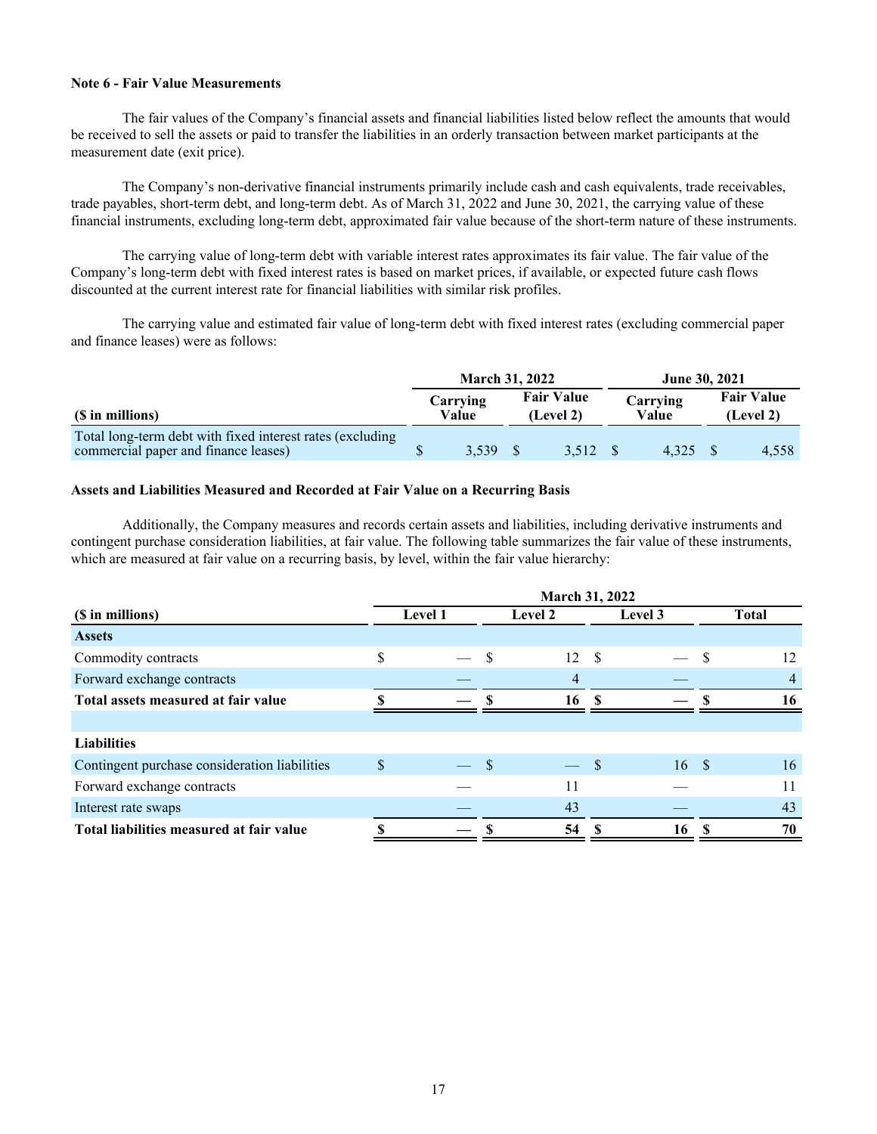#### **Note 6 - Fair Value Measurements**

 The fair values of the Company's financial assets and financial liabilities listed below reflect the amounts that would be received to sell the assets or paid to transfer the liabilities in an orderly transaction between market participants at the measurement date (exit price).

 The Company's non-derivative financial instruments primarily include cash and cash equivalents, trade receivables, trade payables, short-term debt, and long-term debt. As of March 31, 2022 and June 30, 2021, the carrying value of these financial instruments, excluding long-term debt, approximated fair value because of the short-term nature of these instruments.

 The carrying value of long-term debt with variable interest rates approximates its fair value. The fair value of the Company's long-term debt with fixed interest rates is based on market prices, if available, or expected future cash flows discounted at the current interest rate for financial liabilities with similar risk profiles.

The carrying value and estimated fair value of long-term debt with fixed interest rates (excluding commercial paper and finance leases) were as follows:

|                                                                                                   |                   | <b>March 31, 2022</b> |                                |         |  |                   | <b>June 30, 2021</b>           |       |
|---------------------------------------------------------------------------------------------------|-------------------|-----------------------|--------------------------------|---------|--|-------------------|--------------------------------|-------|
| (\$ in millions)                                                                                  | Carrying<br>Value |                       | <b>Fair Value</b><br>(Level 2) |         |  | Carrying<br>Value | <b>Fair Value</b><br>(Level 2) |       |
| Total long-term debt with fixed interest rates (excluding<br>commercial paper and finance leases) |                   | $3.539$ \$            |                                | 3.512 S |  | 4.325 S           |                                | 4,558 |

#### **Assets and Liabilities Measured and Recorded at Fair Value on a Recurring Basis**

 Additionally, the Company measures and records certain assets and liabilities, including derivative instruments and contingent purchase consideration liabilities, at fair value. The following table summarizes the fair value of these instruments, which are measured at fair value on a recurring basis, by level, within the fair value hierarchy:

|                                               | March 31, 2022 |  |                |    |      |         |      |              |
|-----------------------------------------------|----------------|--|----------------|----|------|---------|------|--------------|
| (\$ in millions)                              | <b>Level 1</b> |  | <b>Level 2</b> |    |      | Level 3 |      | <b>Total</b> |
| <b>Assets</b>                                 |                |  |                |    |      |         |      |              |
| Commodity contracts                           | \$             |  | -S             | 12 | - \$ |         |      | 12           |
| Forward exchange contracts                    |                |  |                | 4  |      |         |      | 4            |
| Total assets measured at fair value           |                |  |                | 16 |      |         |      | 16           |
|                                               |                |  |                |    |      |         |      |              |
| <b>Liabilities</b>                            |                |  |                |    |      |         |      |              |
| Contingent purchase consideration liabilities | \$             |  | $\mathbf{S}$   |    | -S   | 16      | - \$ | 16           |
| Forward exchange contracts                    |                |  |                | 11 |      |         |      | 11           |
| Interest rate swaps                           |                |  |                | 43 |      |         |      | 43           |
| Total liabilities measured at fair value      |                |  |                | 54 | ъ    | 16      |      | 70           |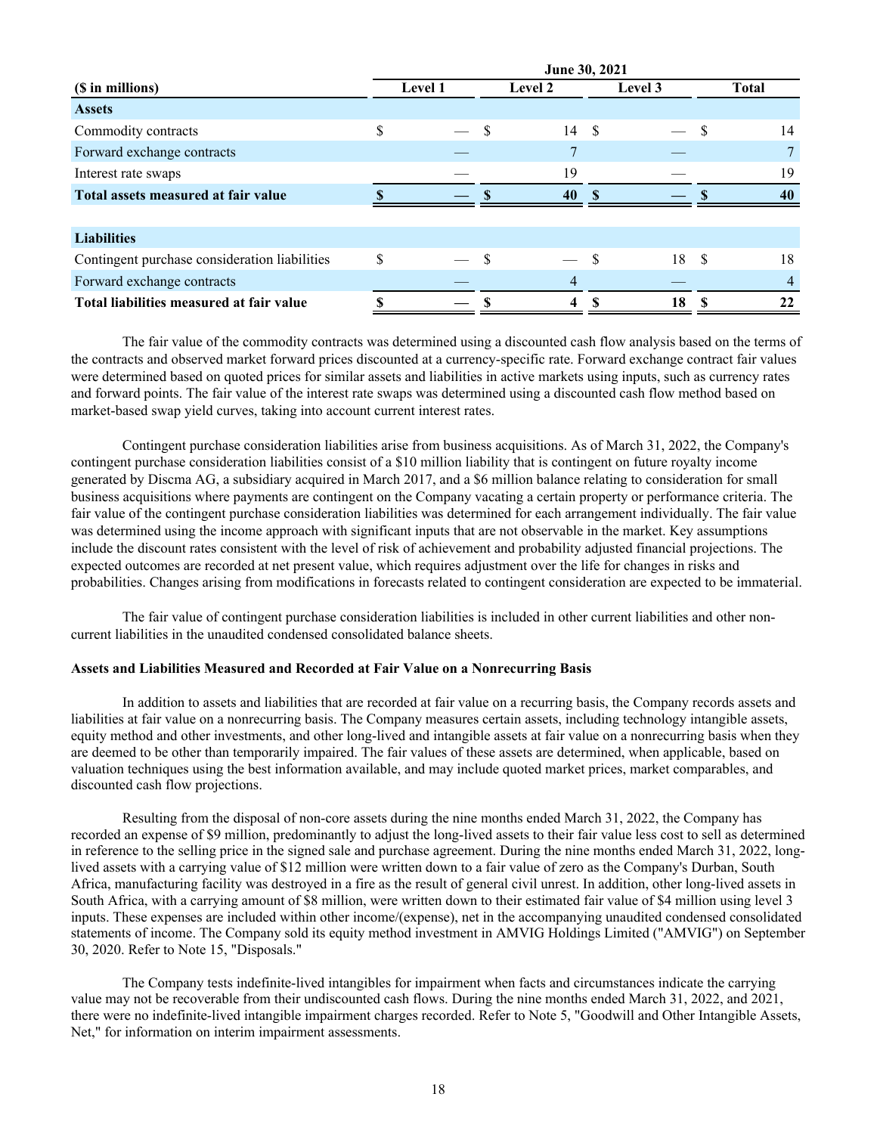|                                               | June 30, 2021 |  |   |                         |         |    |    |              |  |
|-----------------------------------------------|---------------|--|---|-------------------------|---------|----|----|--------------|--|
| (\$ in millions)                              | Level 1       |  |   | Level 2                 | Level 3 |    |    | <b>Total</b> |  |
| <b>Assets</b>                                 |               |  |   |                         |         |    |    |              |  |
| Commodity contracts                           | \$            |  | S | 14                      | - \$    |    | -S | 14           |  |
| Forward exchange contracts                    |               |  |   |                         |         |    |    |              |  |
| Interest rate swaps                           |               |  |   | 19                      |         |    |    | 19           |  |
| Total assets measured at fair value           |               |  |   | 40                      | ¢       |    |    | 40           |  |
|                                               |               |  |   |                         |         |    |    |              |  |
| <b>Liabilities</b>                            |               |  |   |                         |         |    |    |              |  |
| Contingent purchase consideration liabilities | \$            |  |   |                         |         | 18 | -S | 18           |  |
| Forward exchange contracts                    |               |  |   | 4                       |         |    |    |              |  |
| Total liabilities measured at fair value      |               |  |   | $\overline{\mathbf{4}}$ |         | 18 |    | 22           |  |

The fair value of the commodity contracts was determined using a discounted cash flow analysis based on the terms of the contracts and observed market forward prices discounted at a currency-specific rate. Forward exchange contract fair values were determined based on quoted prices for similar assets and liabilities in active markets using inputs, such as currency rates and forward points. The fair value of the interest rate swaps was determined using a discounted cash flow method based on market-based swap yield curves, taking into account current interest rates.

 Contingent purchase consideration liabilities arise from business acquisitions. As of March 31, 2022, the Company's contingent purchase consideration liabilities consist of a \$10 million liability that is contingent on future royalty income generated by Discma AG, a subsidiary acquired in March 2017, and a \$6 million balance relating to consideration for small business acquisitions where payments are contingent on the Company vacating a certain property or performance criteria. The fair value of the contingent purchase consideration liabilities was determined for each arrangement individually. The fair value was determined using the income approach with significant inputs that are not observable in the market. Key assumptions include the discount rates consistent with the level of risk of achievement and probability adjusted financial projections. The expected outcomes are recorded at net present value, which requires adjustment over the life for changes in risks and probabilities. Changes arising from modifications in forecasts related to contingent consideration are expected to be immaterial.

 The fair value of contingent purchase consideration liabilities is included in other current liabilities and other noncurrent liabilities in the unaudited condensed consolidated balance sheets.

## **Assets and Liabilities Measured and Recorded at Fair Value on a Nonrecurring Basis**

 In addition to assets and liabilities that are recorded at fair value on a recurring basis, the Company records assets and liabilities at fair value on a nonrecurring basis. The Company measures certain assets, including technology intangible assets, equity method and other investments, and other long-lived and intangible assets at fair value on a nonrecurring basis when they are deemed to be other than temporarily impaired. The fair values of these assets are determined, when applicable, based on valuation techniques using the best information available, and may include quoted market prices, market comparables, and discounted cash flow projections.

Resulting from the disposal of non-core assets during the nine months ended March 31, 2022, the Company has recorded an expense of \$9 million, predominantly to adjust the long-lived assets to their fair value less cost to sell as determined in reference to the selling price in the signed sale and purchase agreement. During the nine months ended March 31, 2022, longlived assets with a carrying value of \$12 million were written down to a fair value of zero as the Company's Durban, South Africa, manufacturing facility was destroyed in a fire as the result of general civil unrest. In addition, other long-lived assets in South Africa, with a carrying amount of \$8 million, were written down to their estimated fair value of \$4 million using level 3 inputs. These expenses are included within other income/(expense), net in the accompanying unaudited condensed consolidated statements of income. The Company sold its equity method investment in AMVIG Holdings Limited ("AMVIG") on September 30, 2020. Refer to Note 15, "Disposals."

 The Company tests indefinite-lived intangibles for impairment when facts and circumstances indicate the carrying value may not be recoverable from their undiscounted cash flows. During the nine months ended March 31, 2022, and 2021, there were no indefinite-lived intangible impairment charges recorded. Refer to Note 5, "Goodwill and Other Intangible Assets, Net," for information on interim impairment assessments.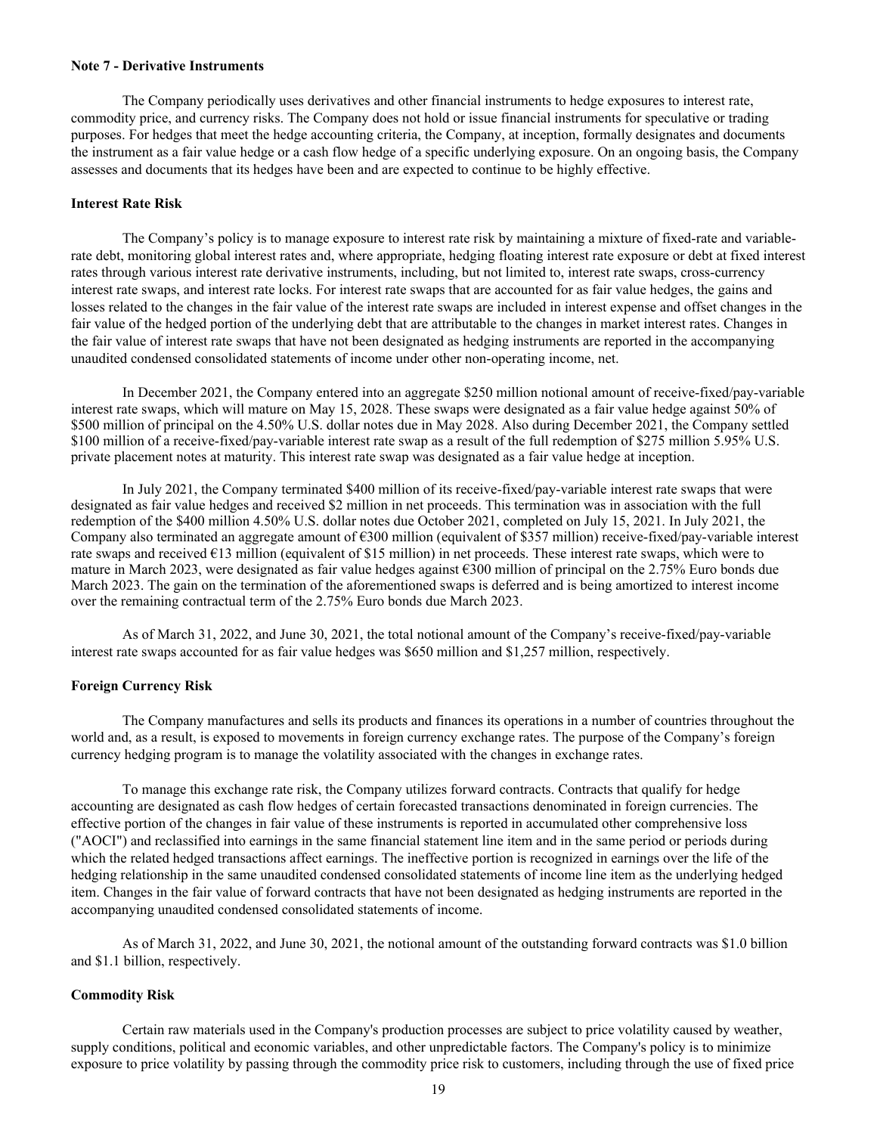#### **Note 7 - Derivative Instruments**

 The Company periodically uses derivatives and other financial instruments to hedge exposures to interest rate, commodity price, and currency risks. The Company does not hold or issue financial instruments for speculative or trading purposes. For hedges that meet the hedge accounting criteria, the Company, at inception, formally designates and documents the instrument as a fair value hedge or a cash flow hedge of a specific underlying exposure. On an ongoing basis, the Company assesses and documents that its hedges have been and are expected to continue to be highly effective.

#### **Interest Rate Risk**

 The Company's policy is to manage exposure to interest rate risk by maintaining a mixture of fixed-rate and variablerate debt, monitoring global interest rates and, where appropriate, hedging floating interest rate exposure or debt at fixed interest rates through various interest rate derivative instruments, including, but not limited to, interest rate swaps, cross-currency interest rate swaps, and interest rate locks. For interest rate swaps that are accounted for as fair value hedges, the gains and losses related to the changes in the fair value of the interest rate swaps are included in interest expense and offset changes in the fair value of the hedged portion of the underlying debt that are attributable to the changes in market interest rates. Changes in the fair value of interest rate swaps that have not been designated as hedging instruments are reported in the accompanying unaudited condensed consolidated statements of income under other non-operating income, net.

 In December 2021, the Company entered into an aggregate \$250 million notional amount of receive-fixed/pay-variable interest rate swaps, which will mature on May 15, 2028. These swaps were designated as a fair value hedge against 50% of \$500 million of principal on the 4.50% U.S. dollar notes due in May 2028. Also during December 2021, the Company settled \$100 million of a receive-fixed/pay-variable interest rate swap as a result of the full redemption of \$275 million 5.95% U.S. private placement notes at maturity. This interest rate swap was designated as a fair value hedge at inception.

 In July 2021, the Company terminated \$400 million of its receive-fixed/pay-variable interest rate swaps that were designated as fair value hedges and received \$2 million in net proceeds. This termination was in association with the full redemption of the \$400 million 4.50% U.S. dollar notes due October 2021, completed on July 15, 2021. In July 2021, the Company also terminated an aggregate amount of  $\epsilon$ 300 million (equivalent of \$357 million) receive-fixed/pay-variable interest rate swaps and received  $\epsilon$ 13 million (equivalent of \$15 million) in net proceeds. These interest rate swaps, which were to mature in March 2023, were designated as fair value hedges against  $\epsilon$ 300 million of principal on the 2.75% Euro bonds due March 2023. The gain on the termination of the aforementioned swaps is deferred and is being amortized to interest income over the remaining contractual term of the 2.75% Euro bonds due March 2023.

 As of March 31, 2022, and June 30, 2021, the total notional amount of the Company's receive-fixed/pay-variable interest rate swaps accounted for as fair value hedges was \$650 million and \$1,257 million, respectively.

### **Foreign Currency Risk**

 The Company manufactures and sells its products and finances its operations in a number of countries throughout the world and, as a result, is exposed to movements in foreign currency exchange rates. The purpose of the Company's foreign currency hedging program is to manage the volatility associated with the changes in exchange rates.

 To manage this exchange rate risk, the Company utilizes forward contracts. Contracts that qualify for hedge accounting are designated as cash flow hedges of certain forecasted transactions denominated in foreign currencies. The effective portion of the changes in fair value of these instruments is reported in accumulated other comprehensive loss ("AOCI") and reclassified into earnings in the same financial statement line item and in the same period or periods during which the related hedged transactions affect earnings. The ineffective portion is recognized in earnings over the life of the hedging relationship in the same unaudited condensed consolidated statements of income line item as the underlying hedged item. Changes in the fair value of forward contracts that have not been designated as hedging instruments are reported in the accompanying unaudited condensed consolidated statements of income.

 As of March 31, 2022, and June 30, 2021, the notional amount of the outstanding forward contracts was \$1.0 billion and \$1.1 billion, respectively.

#### **Commodity Risk**

 Certain raw materials used in the Company's production processes are subject to price volatility caused by weather, supply conditions, political and economic variables, and other unpredictable factors. The Company's policy is to minimize exposure to price volatility by passing through the commodity price risk to customers, including through the use of fixed price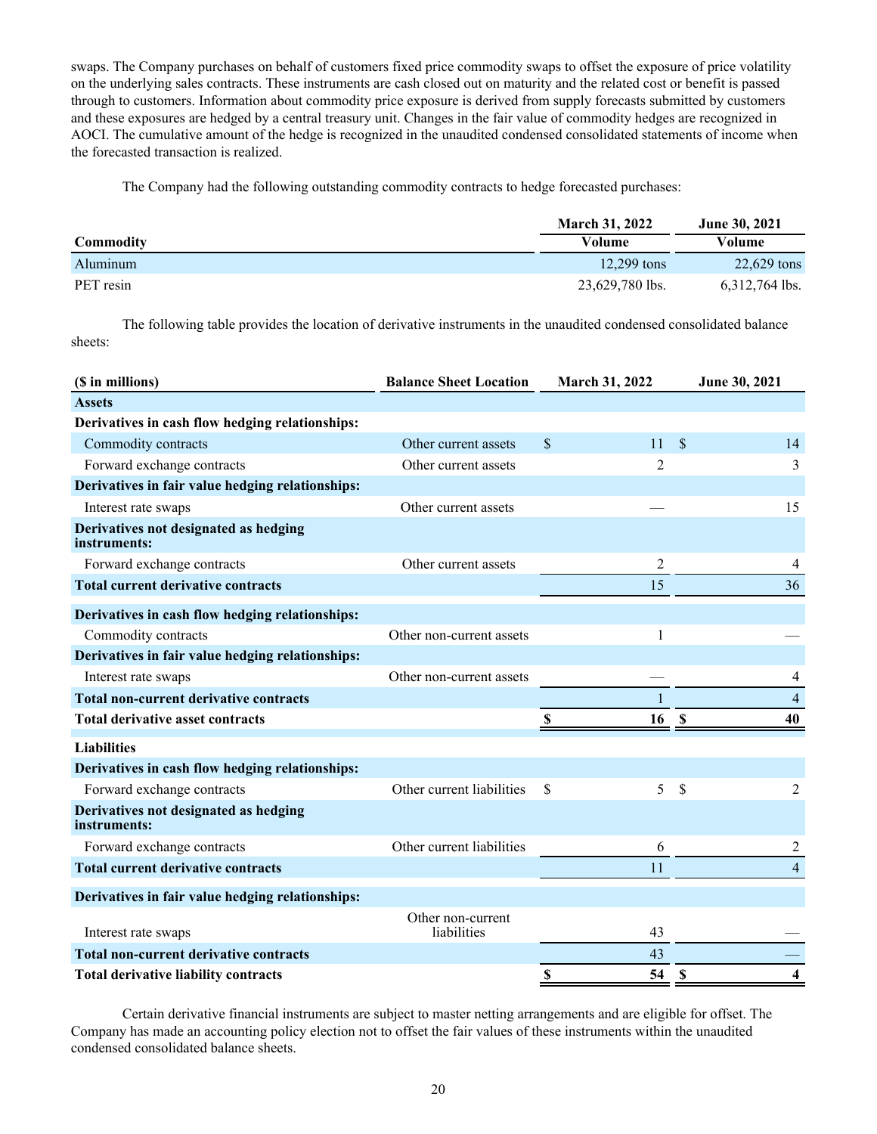swaps. The Company purchases on behalf of customers fixed price commodity swaps to offset the exposure of price volatility on the underlying sales contracts. These instruments are cash closed out on maturity and the related cost or benefit is passed through to customers. Information about commodity price exposure is derived from supply forecasts submitted by customers and these exposures are hedged by a central treasury unit. Changes in the fair value of commodity hedges are recognized in AOCI. The cumulative amount of the hedge is recognized in the unaudited condensed consolidated statements of income when the forecasted transaction is realized.

The Company had the following outstanding commodity contracts to hedge forecasted purchases:

|           | <b>March 31, 2022</b> | <b>June 30, 2021</b> |
|-----------|-----------------------|----------------------|
| Commodity | Volume                | Volume               |
| Aluminum  | 12.299 tons           | 22,629 tons          |
| PET resin | 23,629,780 lbs.       | $6,312,764$ lbs.     |

The following table provides the location of derivative instruments in the unaudited condensed consolidated balance sheets:

| (\$ in millions)                                      | <b>Balance Sheet Location</b>    | <b>March 31, 2022</b> | June 30, 2021                   |
|-------------------------------------------------------|----------------------------------|-----------------------|---------------------------------|
| <b>Assets</b>                                         |                                  |                       |                                 |
| Derivatives in cash flow hedging relationships:       |                                  |                       |                                 |
| Commodity contracts                                   | Other current assets             | $\mathbb{S}$<br>11    | $\mathbf{\hat{S}}$<br>14        |
| Forward exchange contracts                            | Other current assets             | $\overline{2}$        | 3                               |
| Derivatives in fair value hedging relationships:      |                                  |                       |                                 |
| Interest rate swaps                                   | Other current assets             |                       | 15                              |
| Derivatives not designated as hedging<br>instruments: |                                  |                       |                                 |
| Forward exchange contracts                            | Other current assets             | 2                     | 4                               |
| <b>Total current derivative contracts</b>             |                                  | 15                    | 36                              |
| Derivatives in cash flow hedging relationships:       |                                  |                       |                                 |
| Commodity contracts                                   | Other non-current assets         | 1                     |                                 |
| Derivatives in fair value hedging relationships:      |                                  |                       |                                 |
| Interest rate swaps                                   | Other non-current assets         |                       | 4                               |
| <b>Total non-current derivative contracts</b>         |                                  |                       | $\overline{4}$                  |
| <b>Total derivative asset contracts</b>               |                                  | S<br>16               | 40<br>$\boldsymbol{\mathsf{S}}$ |
| <b>Liabilities</b>                                    |                                  |                       |                                 |
| Derivatives in cash flow hedging relationships:       |                                  |                       |                                 |
| Forward exchange contracts                            | Other current liabilities        | \$<br>5               | \$<br>2                         |
| Derivatives not designated as hedging<br>instruments: |                                  |                       |                                 |
| Forward exchange contracts                            | Other current liabilities        | 6                     | 2                               |
| <b>Total current derivative contracts</b>             |                                  | 11                    | $\overline{4}$                  |
| Derivatives in fair value hedging relationships:      |                                  |                       |                                 |
| Interest rate swaps                                   | Other non-current<br>liabilities | 43                    |                                 |
| <b>Total non-current derivative contracts</b>         |                                  | 43                    |                                 |
| <b>Total derivative liability contracts</b>           |                                  | 54<br>\$              | $\mathbf S$<br>4                |

Certain derivative financial instruments are subject to master netting arrangements and are eligible for offset. The Company has made an accounting policy election not to offset the fair values of these instruments within the unaudited condensed consolidated balance sheets.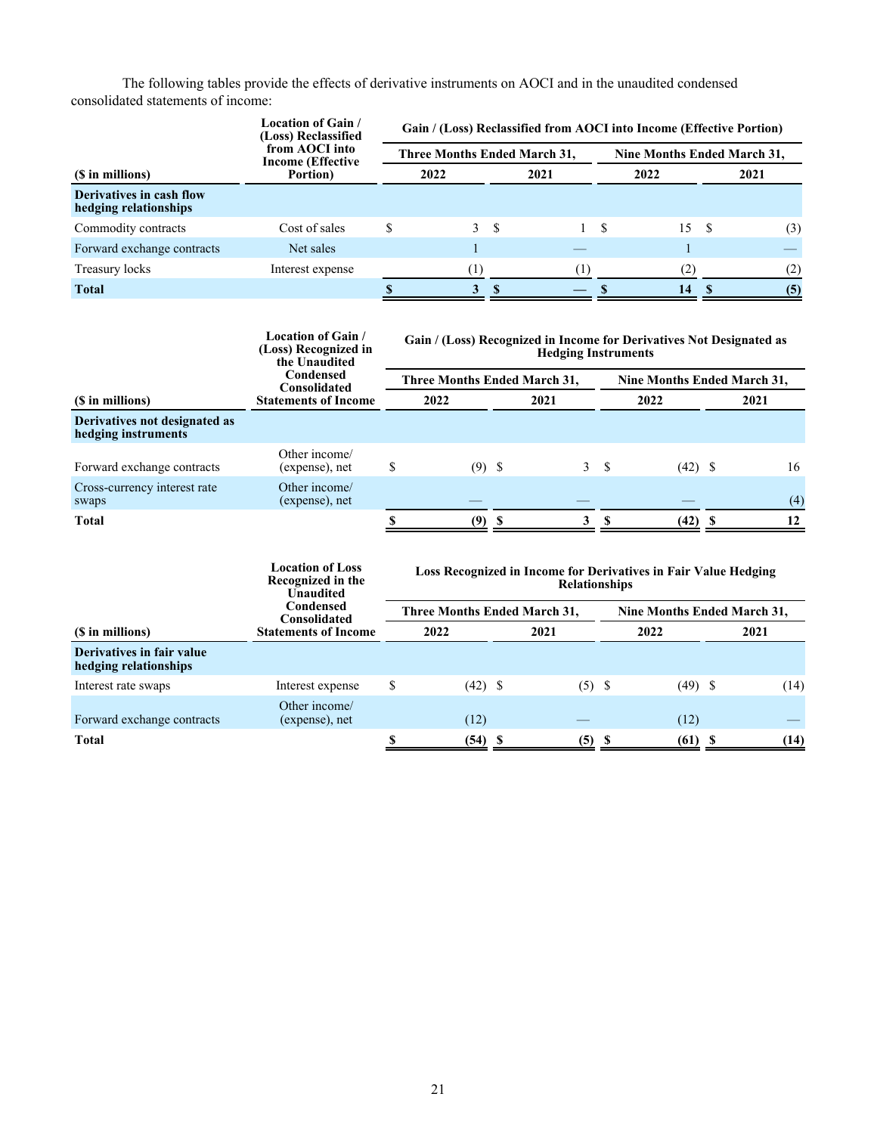The following tables provide the effects of derivative instruments on AOCI and in the unaudited condensed consolidated statements of income:

|                                                   | Location of Gain /<br>(Loss) Reclassified<br>from AOCI into<br><b>Income (Effective</b> | Gain / (Loss) Reclassified from AOCI into Income (Effective Portion) |                                     |    |      |                             |      |  |      |  |  |  |
|---------------------------------------------------|-----------------------------------------------------------------------------------------|----------------------------------------------------------------------|-------------------------------------|----|------|-----------------------------|------|--|------|--|--|--|
|                                                   |                                                                                         |                                                                      | <b>Three Months Ended March 31,</b> |    |      | Nine Months Ended March 31, |      |  |      |  |  |  |
| (\$ in millions)                                  | Portion)                                                                                |                                                                      | 2022                                |    | 2021 |                             | 2022 |  | 2021 |  |  |  |
| Derivatives in cash flow<br>hedging relationships |                                                                                         |                                                                      |                                     |    |      |                             |      |  |      |  |  |  |
| Commodity contracts                               | Cost of sales                                                                           | S                                                                    |                                     | 3S |      | -S                          | 15 S |  | (3)  |  |  |  |
| Forward exchange contracts                        | Net sales                                                                               |                                                                      |                                     |    |      |                             |      |  |      |  |  |  |
| Treasury locks                                    | Interest expense                                                                        |                                                                      |                                     |    | [1]  |                             | (2)  |  | (2)  |  |  |  |
| <b>Total</b>                                      |                                                                                         |                                                                      |                                     |    |      |                             | 14   |  | (5)  |  |  |  |

|                                                      | Location of Gain /<br>(Loss) Recognized in<br>the Unaudited<br>Condensed<br>Consolidated<br><b>Statements of Income</b> | Gain / (Loss) Recognized in Income for Derivatives Not Designated as<br><b>Hedging Instruments</b> |                                     |  |              |                             |           |  |      |  |  |  |
|------------------------------------------------------|-------------------------------------------------------------------------------------------------------------------------|----------------------------------------------------------------------------------------------------|-------------------------------------|--|--------------|-----------------------------|-----------|--|------|--|--|--|
| (\$ in millions)                                     |                                                                                                                         |                                                                                                    | <b>Three Months Ended March 31,</b> |  |              | Nine Months Ended March 31, |           |  |      |  |  |  |
|                                                      |                                                                                                                         |                                                                                                    | 2022                                |  | 2021         |                             | 2022      |  | 2021 |  |  |  |
| Derivatives not designated as<br>hedging instruments |                                                                                                                         |                                                                                                    |                                     |  |              |                             |           |  |      |  |  |  |
| Forward exchange contracts                           | Other income/<br>(expense), net                                                                                         | \$                                                                                                 | $(9)$ \$                            |  | $\mathbf{3}$ | -S                          | $(42)$ \$ |  | 16   |  |  |  |
| Cross-currency interest rate<br>swaps                | Other income/<br>(expense), net                                                                                         |                                                                                                    |                                     |  |              |                             |           |  | (4)  |  |  |  |
| Total                                                |                                                                                                                         |                                                                                                    | (9)                                 |  | 3            |                             | $(42)$ \$ |  | 12   |  |  |  |

|                                                    | <b>Location of Loss</b><br>Recognized in the<br><b>Unaudited</b> | Loss Recognized in Income for Derivatives in Fair Value Hedging<br><b>Relationships</b> |                                     |      |          |                             |           |      |      |  |  |  |
|----------------------------------------------------|------------------------------------------------------------------|-----------------------------------------------------------------------------------------|-------------------------------------|------|----------|-----------------------------|-----------|------|------|--|--|--|
|                                                    | Condensed<br>Consolidated                                        |                                                                                         | <b>Three Months Ended March 31,</b> |      |          | Nine Months Ended March 31, |           |      |      |  |  |  |
| (\$ in millions)                                   | <b>Statements of Income</b>                                      |                                                                                         | 2022                                | 2021 |          |                             | 2022      | 2021 |      |  |  |  |
| Derivatives in fair value<br>hedging relationships |                                                                  |                                                                                         |                                     |      |          |                             |           |      |      |  |  |  |
| Interest rate swaps                                | Interest expense                                                 | \$                                                                                      | $(42)$ \$                           |      | $(5)$ \$ |                             | $(49)$ \$ |      | (14) |  |  |  |
| Forward exchange contracts                         | Other income/<br>(expense), net                                  |                                                                                         | (12)                                |      |          |                             | (12)      |      |      |  |  |  |
| Total                                              |                                                                  |                                                                                         | (54)                                | - 56 | (5)      | -S                          | (61)      | - 56 | (14) |  |  |  |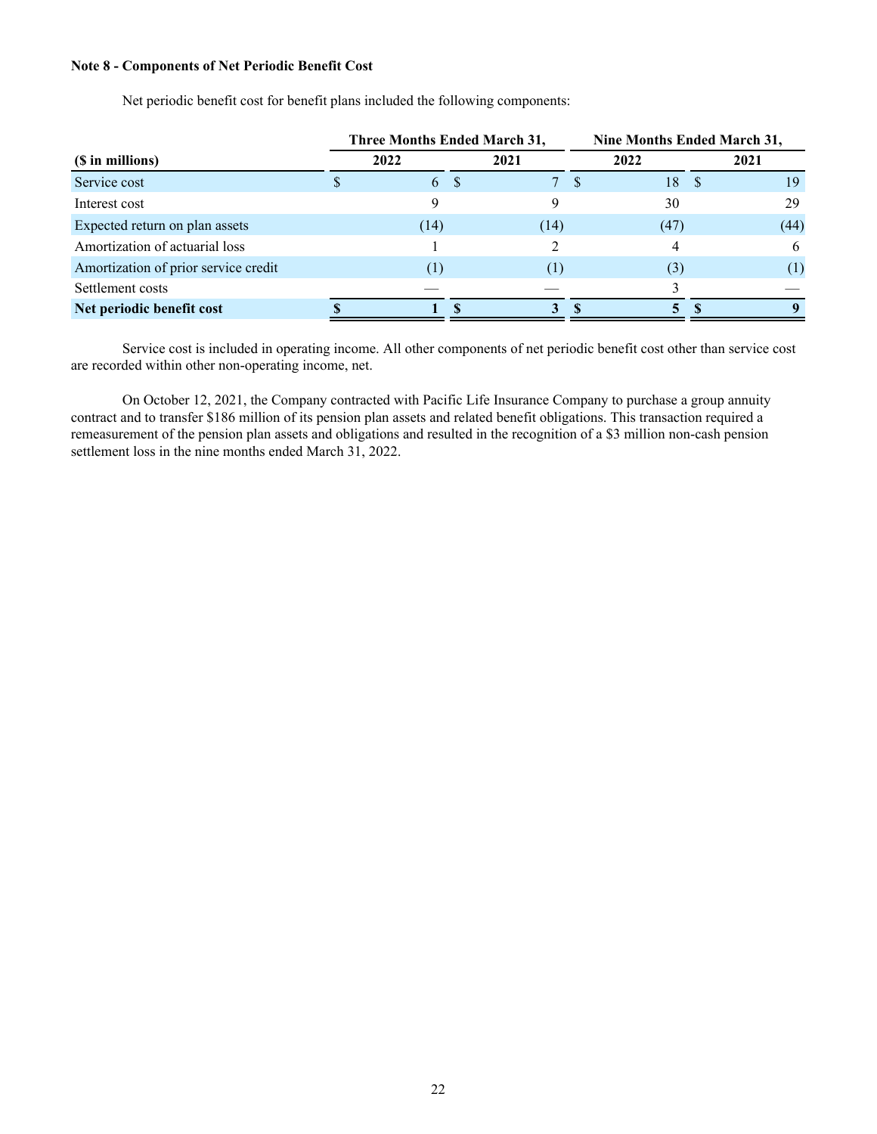#### **Note 8 - Components of Net Periodic Benefit Cost**

| Net periodic benefit cost for benefit plans included the following components: |  |
|--------------------------------------------------------------------------------|--|
|--------------------------------------------------------------------------------|--|

|                                      | <b>Three Months Ended March 31,</b> |             | Nine Months Ended March 31, |      |      |      |  |  |
|--------------------------------------|-------------------------------------|-------------|-----------------------------|------|------|------|--|--|
| (\$ in millions)                     | 2022                                | 2021        |                             | 2022 | 2021 |      |  |  |
| Service cost                         | 6 \$                                | $7^{\circ}$ | <sup>S</sup>                | 18   |      | 19   |  |  |
| Interest cost                        |                                     |             |                             | 30   |      | 29   |  |  |
| Expected return on plan assets       | (14)                                | (14)        |                             | (47) |      | (44) |  |  |
| Amortization of actuarial loss       |                                     |             |                             |      |      | 6    |  |  |
| Amortization of prior service credit |                                     |             |                             | (3)  |      | (1)  |  |  |
| Settlement costs                     |                                     |             |                             |      |      |      |  |  |
| Net periodic benefit cost            |                                     | 3           |                             | 5.   |      |      |  |  |

Service cost is included in operating income. All other components of net periodic benefit cost other than service cost are recorded within other non-operating income, net.

 On October 12, 2021, the Company contracted with Pacific Life Insurance Company to purchase a group annuity contract and to transfer \$186 million of its pension plan assets and related benefit obligations. This transaction required a remeasurement of the pension plan assets and obligations and resulted in the recognition of a \$3 million non-cash pension settlement loss in the nine months ended March 31, 2022.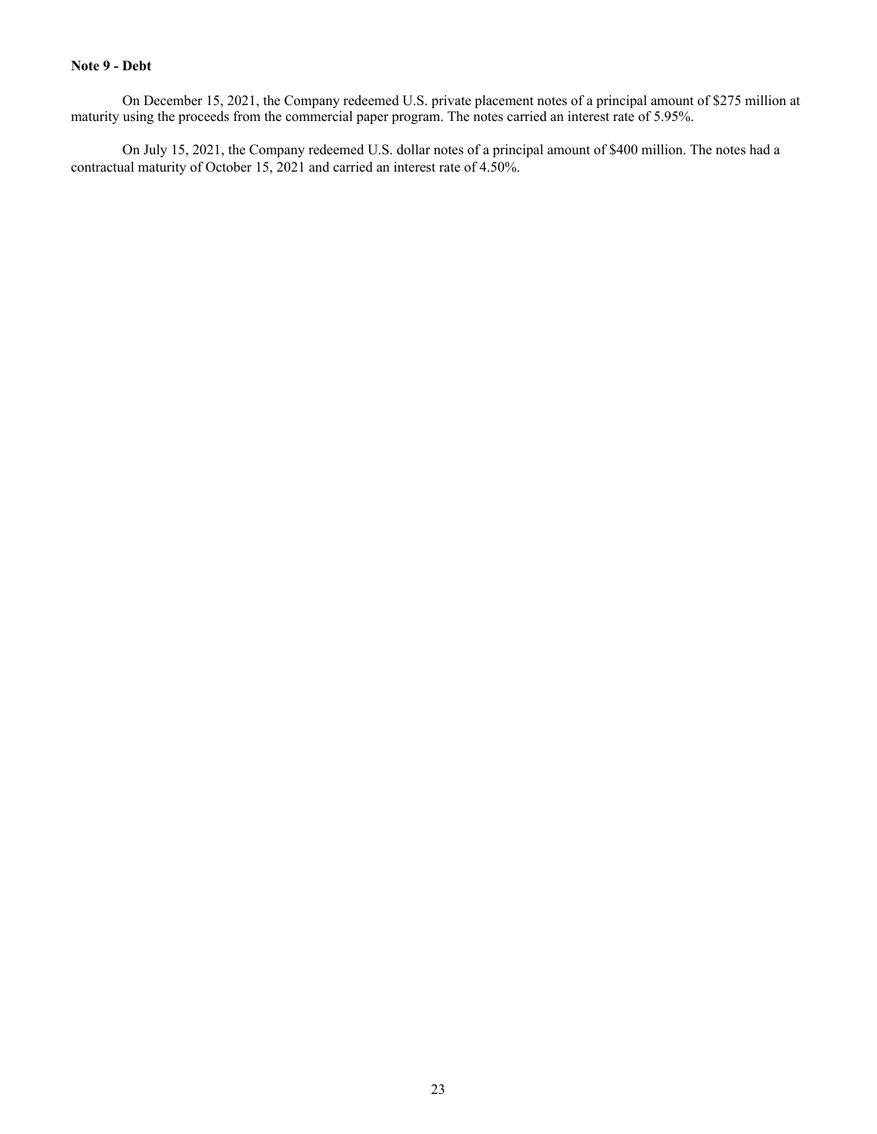## **Note 9 - Debt**

On December 15, 2021, the Company redeemed U.S. private placement notes of a principal amount of \$275 million at maturity using the proceeds from the commercial paper program. The notes carried an interest rate of 5.95%.

 On July 15, 2021, the Company redeemed U.S. dollar notes of a principal amount of \$400 million. The notes had a contractual maturity of October 15, 2021 and carried an interest rate of 4.50%.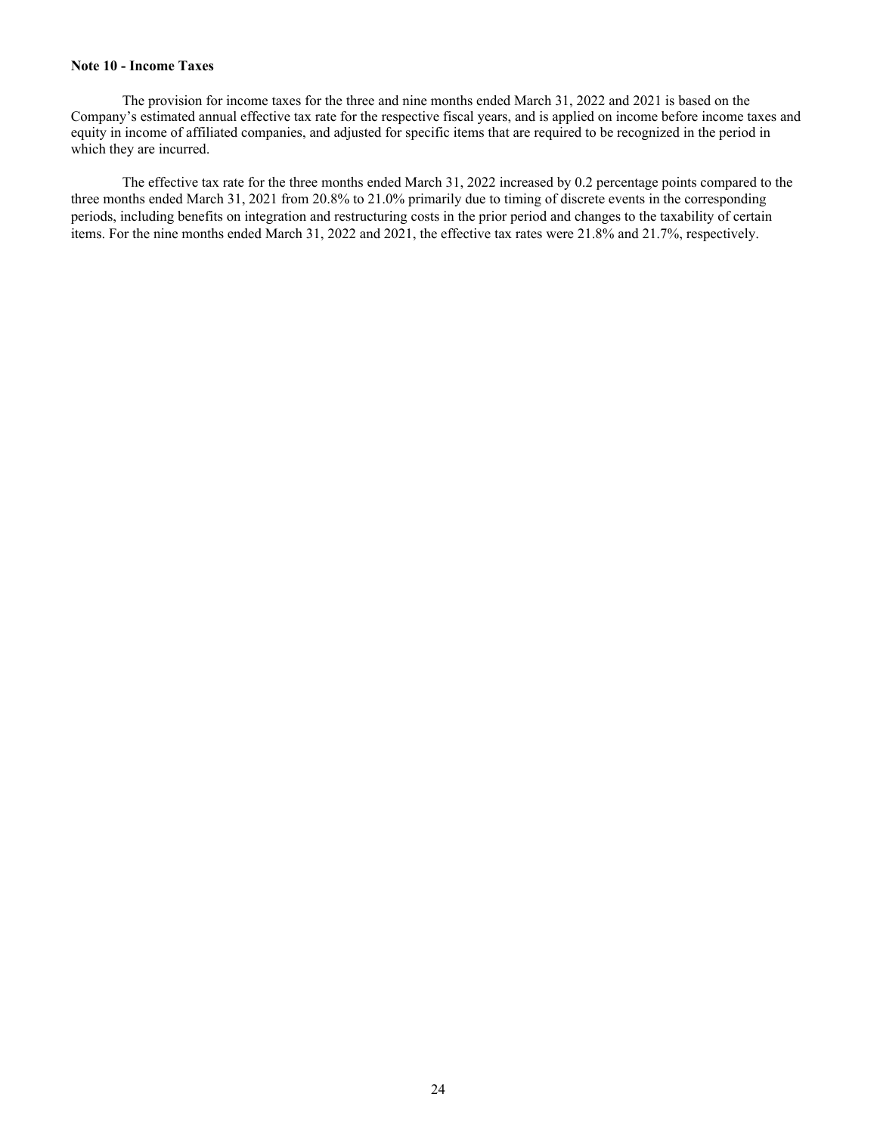## **Note 10 - Income Taxes**

 The provision for income taxes for the three and nine months ended March 31, 2022 and 2021 is based on the Company's estimated annual effective tax rate for the respective fiscal years, and is applied on income before income taxes and equity in income of affiliated companies, and adjusted for specific items that are required to be recognized in the period in which they are incurred.

 The effective tax rate for the three months ended March 31, 2022 increased by 0.2 percentage points compared to the three months ended March 31, 2021 from 20.8% to 21.0% primarily due to timing of discrete events in the corresponding periods, including benefits on integration and restructuring costs in the prior period and changes to the taxability of certain items. For the nine months ended March 31, 2022 and 2021, the effective tax rates were 21.8% and 21.7%, respectively.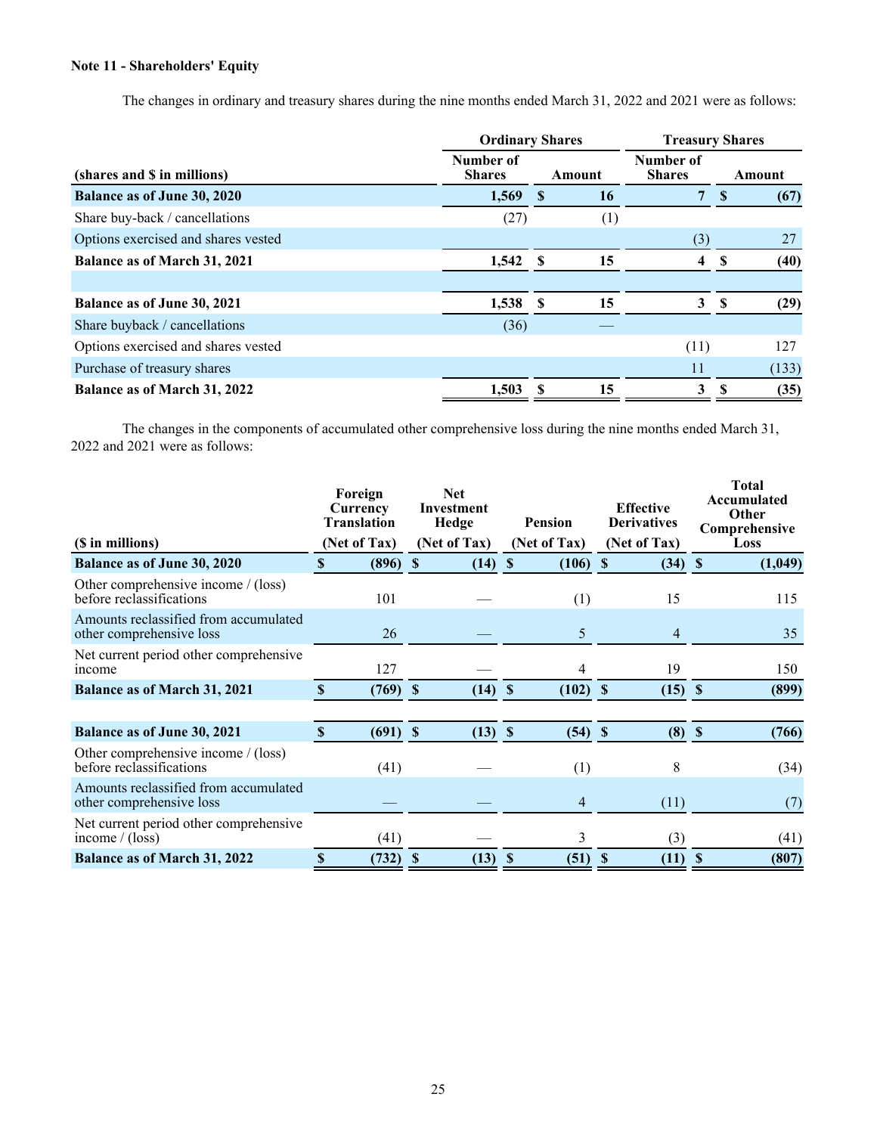## **Note 11 - Shareholders' Equity**

The changes in ordinary and treasury shares during the nine months ended March 31, 2022 and 2021 were as follows:

|                                     | <b>Ordinary Shares</b>     |      |        | <b>Treasury Shares</b>     |          |       |  |
|-------------------------------------|----------------------------|------|--------|----------------------------|----------|-------|--|
| (shares and \$ in millions)         | Number of<br><b>Shares</b> |      | Amount | Number of<br><b>Shares</b> | Amount   |       |  |
| <b>Balance as of June 30, 2020</b>  | 1,569                      | -S   | 16     | $\overline{7}$             | <b>S</b> | (67)  |  |
| Share buy-back / cancellations      | (27)                       |      | (1)    |                            |          |       |  |
| Options exercised and shares vested |                            |      |        | (3)                        |          | 27    |  |
| Balance as of March 31, 2021        | 1,542                      | - \$ | 15     | 4                          | S        | (40)  |  |
|                                     |                            |      |        |                            |          |       |  |
| Balance as of June 30, 2021         | 1,538                      | -8   | 15     | 3                          | -S       | (29)  |  |
| Share buyback / cancellations       | (36)                       |      |        |                            |          |       |  |
| Options exercised and shares vested |                            |      |        | (11)                       |          | 127   |  |
| Purchase of treasury shares         |                            |      |        | 11                         |          | (133) |  |
| Balance as of March 31, 2022        | 1.503                      |      | 15     | 3                          |          | (35)  |  |

The changes in the components of accumulated other comprehensive loss during the nine months ended March 31, 2022 and 2021 were as follows:

| (\$ in millions)                                                  | Foreign<br>Currency<br><b>Translation</b><br>(Net of Tax) |            |             | <b>Net</b><br>Investment<br>Hedge<br>(Net of Tax) |          | <b>Pension</b><br>(Net of Tax) |              | <b>Effective</b><br><b>Derivatives</b><br>(Net of Tax) |              | <b>Total</b><br>Accumulated<br>Other<br>Comprehensive<br>Loss |
|-------------------------------------------------------------------|-----------------------------------------------------------|------------|-------------|---------------------------------------------------|----------|--------------------------------|--------------|--------------------------------------------------------|--------------|---------------------------------------------------------------|
| <b>Balance as of June 30, 2020</b>                                | <b>S</b>                                                  | (896)      | $\mathbf S$ | (14)                                              | <b>S</b> | (106)                          | $\mathbf{s}$ | (34)                                                   | <sup>S</sup> | (1,049)                                                       |
| Other comprehensive income $/(loss)$<br>before reclassifications  |                                                           | 101        |             |                                                   |          | (1)                            |              | 15                                                     |              | 115                                                           |
| Amounts reclassified from accumulated<br>other comprehensive loss |                                                           | 26         |             |                                                   |          | 5                              |              | $\overline{4}$                                         |              | 35                                                            |
| Net current period other comprehensive<br>income                  |                                                           | 127        |             |                                                   |          | 4                              |              | 19                                                     |              | 150                                                           |
| <b>Balance as of March 31, 2021</b>                               | <b>S</b>                                                  | (769)      | <b>S</b>    | $(14)$ \$                                         |          | $(102)$ \$                     |              | $(15)$ \$                                              |              | (899)                                                         |
|                                                                   |                                                           |            |             |                                                   |          |                                |              |                                                        |              |                                                               |
| <b>Balance as of June 30, 2021</b>                                | S                                                         | $(691)$ \$ |             | $(13)$ \$                                         |          | $(54)$ \$                      |              | $(8)$ \$                                               |              | (766)                                                         |
| Other comprehensive income / (loss)<br>before reclassifications   |                                                           | (41)       |             |                                                   |          | (1)                            |              | 8                                                      |              | (34)                                                          |
| Amounts reclassified from accumulated<br>other comprehensive loss |                                                           |            |             |                                                   |          | 4                              |              | (11)                                                   |              | (7)                                                           |
| Net current period other comprehensive<br>income $/$ (loss)       |                                                           | (41)       |             |                                                   |          | 3                              |              | (3)                                                    |              | (41)                                                          |
| <b>Balance as of March 31, 2022</b>                               | S                                                         | (732)      | \$          | $(13)$ \$                                         |          | (51)                           | S            | (11)                                                   | S            | (807)                                                         |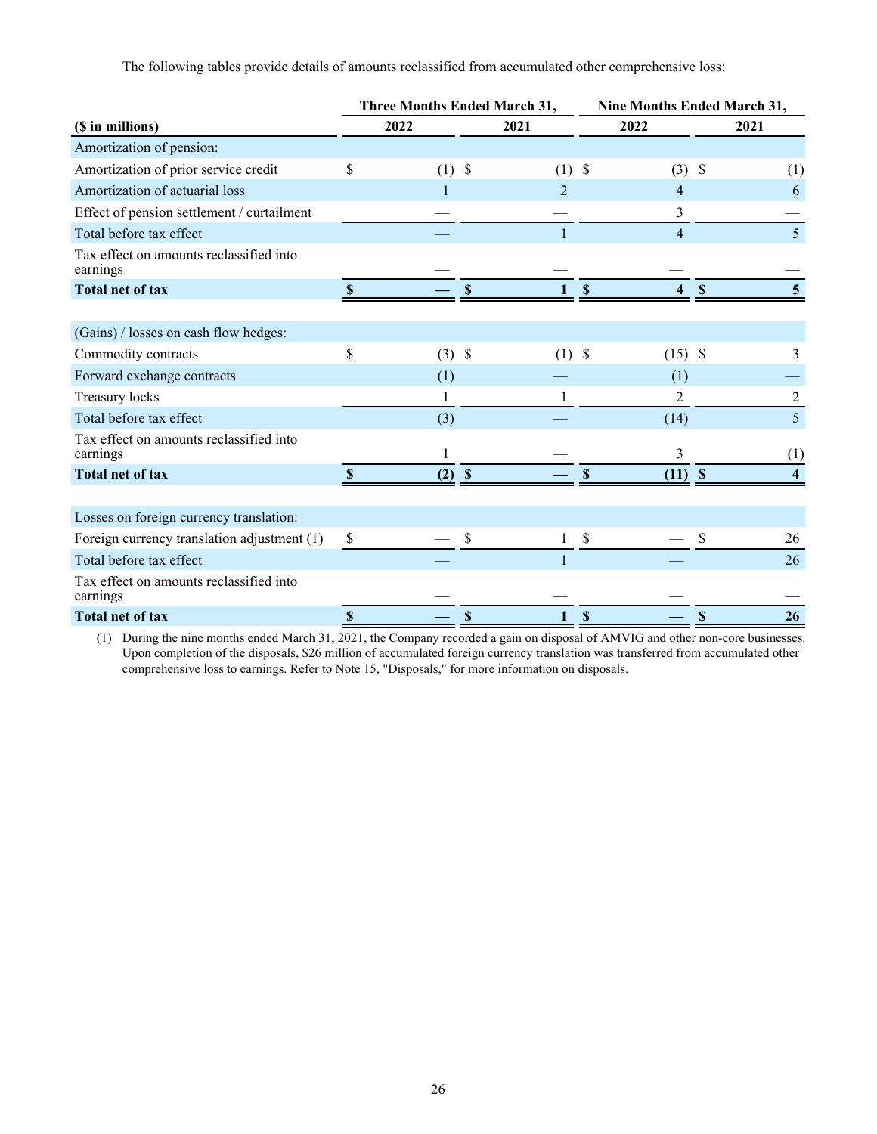The following tables provide details of amounts reclassified from accumulated other comprehensive loss:

|                                                     |                           | <b>Three Months Ended March 31,</b> |                           |                | Nine Months Ended March 31, |                |                           |                |  |  |
|-----------------------------------------------------|---------------------------|-------------------------------------|---------------------------|----------------|-----------------------------|----------------|---------------------------|----------------|--|--|
| (\$ in millions)                                    |                           | 2022                                |                           | 2021           |                             | 2022           |                           | 2021           |  |  |
| Amortization of pension:                            |                           |                                     |                           |                |                             |                |                           |                |  |  |
| Amortization of prior service credit                | \$                        | $(1)$ \$                            |                           | (1)            | \$                          | $(3)$ \$       |                           | (1)            |  |  |
| Amortization of actuarial loss                      |                           |                                     |                           | $\overline{2}$ |                             | $\overline{4}$ |                           | 6              |  |  |
| Effect of pension settlement / curtailment          |                           |                                     |                           |                |                             | 3              |                           |                |  |  |
| Total before tax effect                             |                           |                                     |                           |                |                             | $\overline{4}$ |                           | 5              |  |  |
| Tax effect on amounts reclassified into<br>earnings |                           |                                     |                           |                |                             |                |                           |                |  |  |
| <b>Total net of tax</b>                             | <sup>\$</sup>             |                                     | \$                        |                | $\boldsymbol{\mathsf{S}}$   |                | $\boldsymbol{\mathsf{S}}$ | $\overline{5}$ |  |  |
|                                                     |                           |                                     |                           |                |                             |                |                           |                |  |  |
| (Gains) / losses on cash flow hedges:               |                           |                                     |                           |                |                             |                |                           |                |  |  |
| Commodity contracts                                 | \$                        | $(3)$ \$                            |                           | $(1)$ \$       |                             | $(15)$ \$      |                           | 3              |  |  |
| Forward exchange contracts                          |                           | (1)                                 |                           |                |                             | (1)            |                           |                |  |  |
| Treasury locks                                      |                           |                                     |                           |                |                             | 2              |                           | $\overline{c}$ |  |  |
| Total before tax effect                             |                           | (3)                                 |                           |                |                             | (14)           |                           | 5              |  |  |
| Tax effect on amounts reclassified into<br>earnings |                           |                                     |                           |                |                             | 3              |                           | (1)            |  |  |
| <b>Total net of tax</b>                             | $\boldsymbol{\mathsf{S}}$ | $(2) $ \$                           |                           |                | \$                          | $(11)$ \$      |                           | 4              |  |  |
|                                                     |                           |                                     |                           |                |                             |                |                           |                |  |  |
| Losses on foreign currency translation:             |                           |                                     |                           |                |                             |                |                           |                |  |  |
| Foreign currency translation adjustment (1)         | \$                        |                                     | \$                        |                | \$                          |                | \$                        | 26             |  |  |
| Total before tax effect                             |                           |                                     |                           |                |                             |                |                           | 26             |  |  |
| Tax effect on amounts reclassified into<br>earnings |                           |                                     |                           |                |                             |                |                           |                |  |  |
| <b>Total net of tax</b>                             | $\mathbf S$               |                                     | $\boldsymbol{\mathsf{S}}$ | 1              | $\boldsymbol{\mathsf{S}}$   |                | $\mathbf S$               | 26             |  |  |

(1) During the nine months ended March 31, 2021, the Company recorded a gain on disposal of AMVIG and other non-core businesses. Upon completion of the disposals, \$26 million of accumulated foreign currency translation was transferred from accumulated other comprehensive loss to earnings. Refer to Note 15, "Disposals," for more information on disposals.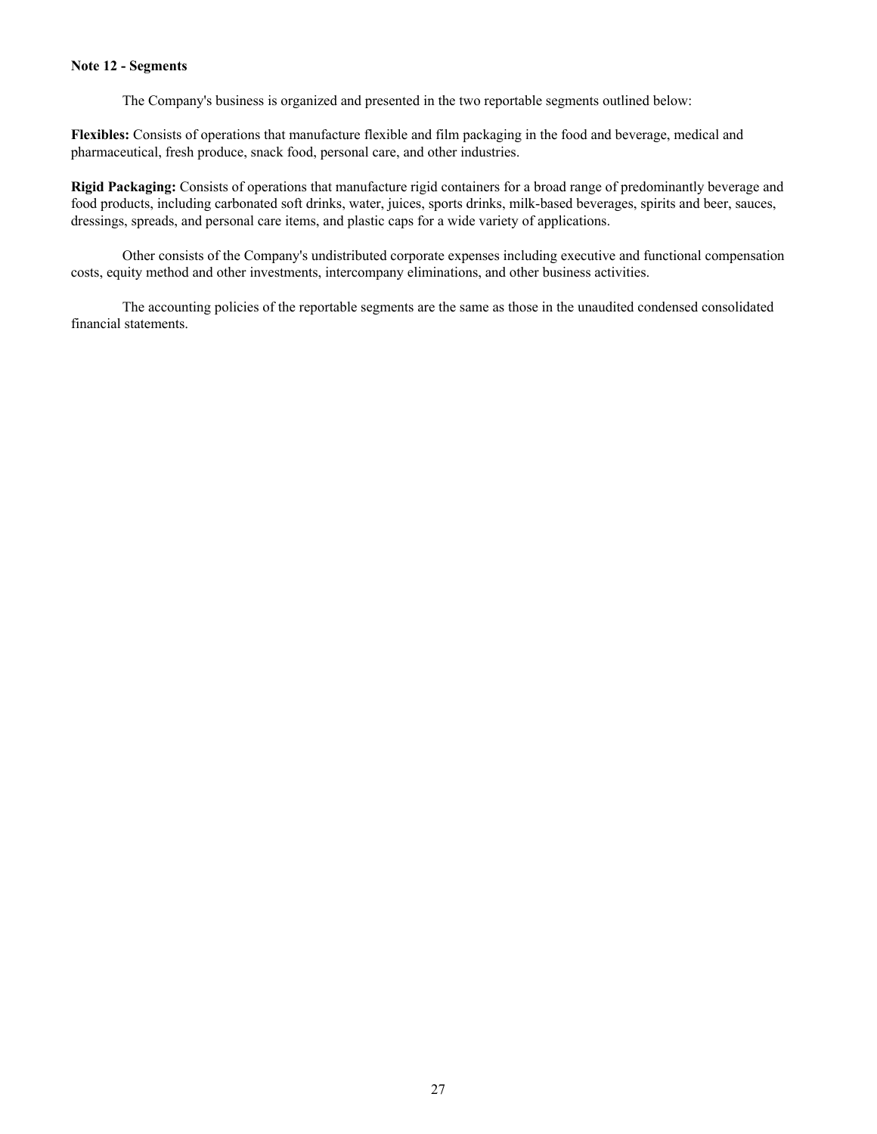#### **Note 12 - Segments**

The Company's business is organized and presented in the two reportable segments outlined below:

**Flexibles:** Consists of operations that manufacture flexible and film packaging in the food and beverage, medical and pharmaceutical, fresh produce, snack food, personal care, and other industries.

**Rigid Packaging:** Consists of operations that manufacture rigid containers for a broad range of predominantly beverage and food products, including carbonated soft drinks, water, juices, sports drinks, milk-based beverages, spirits and beer, sauces, dressings, spreads, and personal care items, and plastic caps for a wide variety of applications.

 Other consists of the Company's undistributed corporate expenses including executive and functional compensation costs, equity method and other investments, intercompany eliminations, and other business activities.

 The accounting policies of the reportable segments are the same as those in the unaudited condensed consolidated financial statements.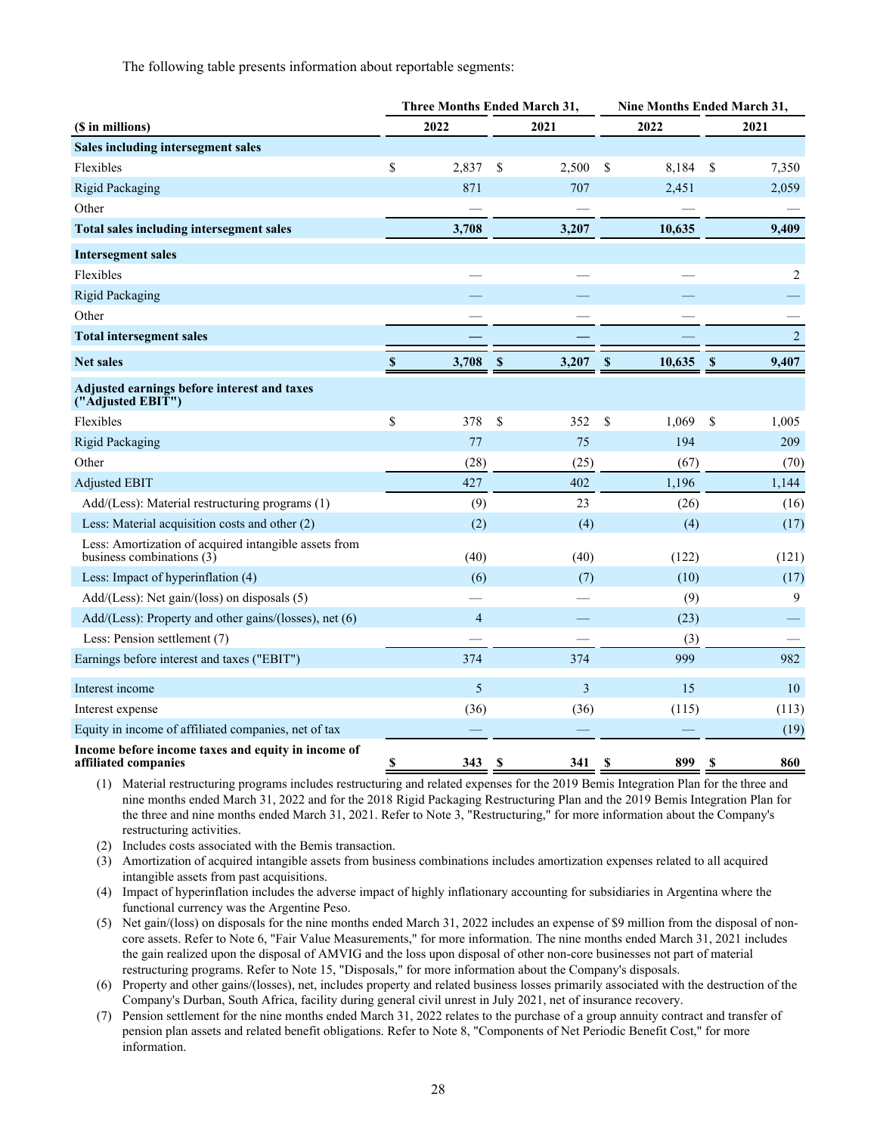The following table presents information about reportable segments:

|                                                                                    | <b>Three Months Ended March 31,</b> |                |             |                |             | <b>Nine Months Ended March 31,</b> |             |                |  |
|------------------------------------------------------------------------------------|-------------------------------------|----------------|-------------|----------------|-------------|------------------------------------|-------------|----------------|--|
| (\$ in millions)                                                                   |                                     | 2022           |             | 2021           |             | 2022                               |             | 2021           |  |
| Sales including intersegment sales                                                 |                                     |                |             |                |             |                                    |             |                |  |
| Flexibles                                                                          | \$                                  | 2,837          | \$          | 2,500          | \$          | 8,184                              | \$          | 7,350          |  |
| <b>Rigid Packaging</b>                                                             |                                     | 871            |             | 707            |             | 2,451                              |             | 2,059          |  |
| Other                                                                              |                                     |                |             |                |             |                                    |             |                |  |
| <b>Total sales including intersegment sales</b>                                    |                                     | 3,708          |             | 3,207          |             | 10,635                             |             | 9,409          |  |
| <b>Intersegment sales</b>                                                          |                                     |                |             |                |             |                                    |             |                |  |
| Flexibles                                                                          |                                     |                |             |                |             |                                    |             | 2              |  |
| <b>Rigid Packaging</b>                                                             |                                     |                |             |                |             |                                    |             |                |  |
| Other                                                                              |                                     |                |             |                |             |                                    |             |                |  |
| <b>Total intersegment sales</b>                                                    |                                     |                |             |                |             |                                    |             | $\overline{c}$ |  |
| <b>Net sales</b>                                                                   | $\mathbf{\$}$                       | 3,708          | $\mathbf S$ | 3,207          | $\mathbf S$ | 10,635                             | $\mathbf S$ | 9,407          |  |
| Adjusted earnings before interest and taxes<br>("Adjusted EBIT")                   |                                     |                |             |                |             |                                    |             |                |  |
| Flexibles                                                                          | \$                                  | 378            | \$          | 352            | \$          | 1,069                              | \$          | 1,005          |  |
| <b>Rigid Packaging</b>                                                             |                                     | 77             |             | 75             |             | 194                                |             | 209            |  |
| Other                                                                              |                                     | (28)           |             | (25)           |             | (67)                               |             | (70)           |  |
| <b>Adjusted EBIT</b>                                                               |                                     | 427            |             | 402            |             | 1,196                              |             | 1,144          |  |
| Add/(Less): Material restructuring programs (1)                                    |                                     | (9)            |             | 23             |             | (26)                               |             | (16)           |  |
| Less: Material acquisition costs and other (2)                                     |                                     | (2)            |             | (4)            |             | (4)                                |             | (17)           |  |
| Less: Amortization of acquired intangible assets from<br>business combinations (3) |                                     | (40)           |             | (40)           |             | (122)                              |             | (121)          |  |
| Less: Impact of hyperinflation (4)                                                 |                                     | (6)            |             | (7)            |             | (10)                               |             | (17)           |  |
| Add/(Less): Net gain/(loss) on disposals (5)                                       |                                     |                |             |                |             | (9)                                |             | 9              |  |
| Add/(Less): Property and other gains/(losses), net (6)                             |                                     | $\overline{4}$ |             |                |             | (23)                               |             |                |  |
| Less: Pension settlement (7)                                                       |                                     |                |             |                |             | (3)                                |             |                |  |
| Earnings before interest and taxes ("EBIT")                                        |                                     | 374            |             | 374            |             | 999                                |             | 982            |  |
| Interest income                                                                    |                                     | 5              |             | $\mathfrak{Z}$ |             | 15                                 |             | 10             |  |
| Interest expense                                                                   |                                     | (36)           |             | (36)           |             | (115)                              |             | (113)          |  |
| Equity in income of affiliated companies, net of tax                               |                                     |                |             |                |             |                                    |             | (19)           |  |
| Income before income taxes and equity in income of<br>affiliated companies         | \$                                  | 343            | S           | 341            | S           | 899                                | S           | 860            |  |

(1) Material restructuring programs includes restructuring and related expenses for the 2019 Bemis Integration Plan for the three and nine months ended March 31, 2022 and for the 2018 Rigid Packaging Restructuring Plan and the 2019 Bemis Integration Plan for the three and nine months ended March 31, 2021. Refer to Note 3, "Restructuring," for more information about the Company's restructuring activities.

(2) Includes costs associated with the Bemis transaction.

(3) Amortization of acquired intangible assets from business combinations includes amortization expenses related to all acquired intangible assets from past acquisitions.

(4) Impact of hyperinflation includes the adverse impact of highly inflationary accounting for subsidiaries in Argentina where the functional currency was the Argentine Peso.

(5) Net gain/(loss) on disposals for the nine months ended March 31, 2022 includes an expense of \$9 million from the disposal of noncore assets. Refer to Note 6, "Fair Value Measurements," for more information. The nine months ended March 31, 2021 includes the gain realized upon the disposal of AMVIG and the loss upon disposal of other non-core businesses not part of material restructuring programs. Refer to Note 15, "Disposals," for more information about the Company's disposals.

(6) Property and other gains/(losses), net, includes property and related business losses primarily associated with the destruction of the Company's Durban, South Africa, facility during general civil unrest in July 2021, net of insurance recovery.

(7) Pension settlement for the nine months ended March 31, 2022 relates to the purchase of a group annuity contract and transfer of pension plan assets and related benefit obligations. Refer to Note 8, "Components of Net Periodic Benefit Cost," for more information.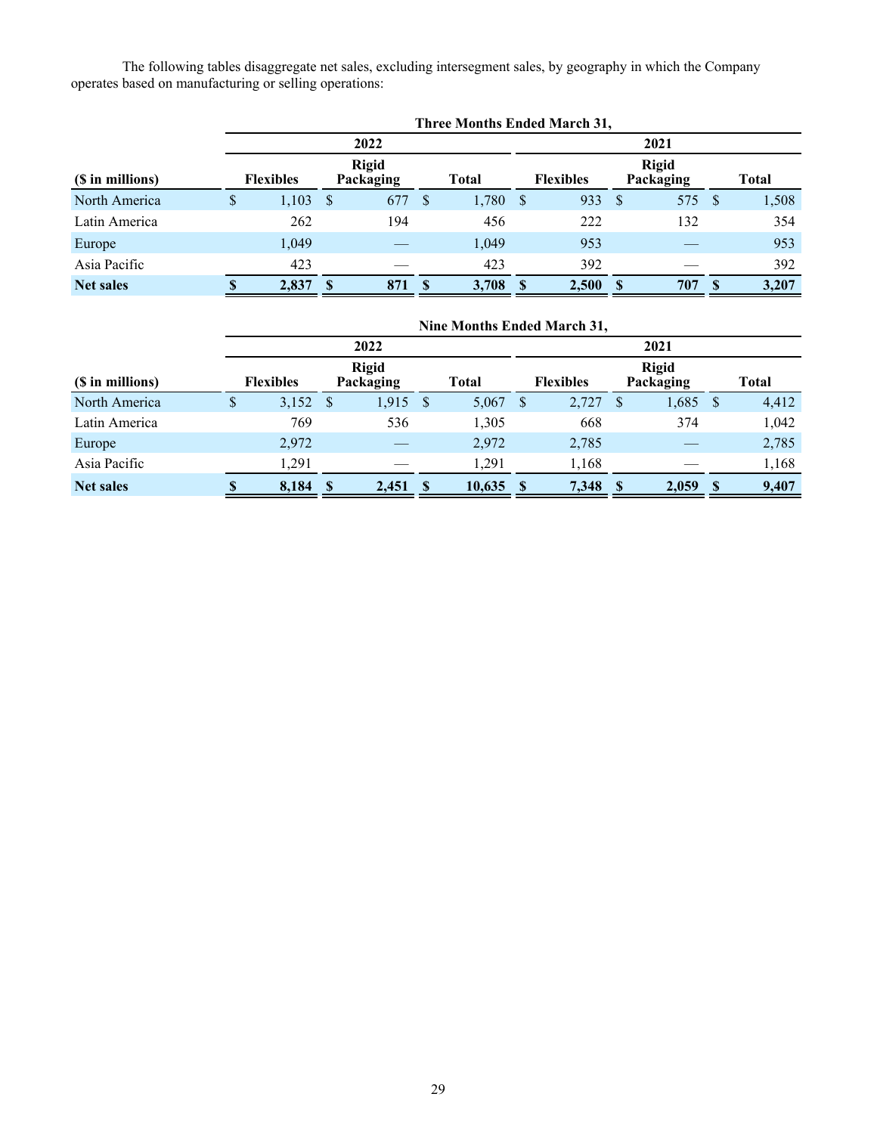The following tables disaggregate net sales, excluding intersegment sales, by geography in which the Company operates based on manufacturing or selling operations:

|                  | Three Months Ended March 31, |                  |               |                           |              |       |              |                  |               |                           |          |       |  |
|------------------|------------------------------|------------------|---------------|---------------------------|--------------|-------|--------------|------------------|---------------|---------------------------|----------|-------|--|
|                  |                              |                  |               | 2022                      |              |       | 2021         |                  |               |                           |          |       |  |
| (\$ in millions) |                              | <b>Flexibles</b> |               | <b>Rigid</b><br>Packaging |              | Total |              | <b>Flexibles</b> |               | <b>Rigid</b><br>Packaging |          | Total |  |
| North America    | \$                           | 1,103            | <sup>\$</sup> | 677                       | <sup>S</sup> | 1,780 | <sup>S</sup> | 933              | <sup>\$</sup> | 575 \$                    |          | 1,508 |  |
| Latin America    |                              | 262              |               | 194                       |              | 456   |              | 222              |               | 132                       |          | 354   |  |
| Europe           |                              | 1,049            |               |                           |              | 1,049 |              | 953              |               |                           |          | 953   |  |
| Asia Pacific     |                              | 423              |               |                           |              | 423   |              | 392              |               |                           |          | 392   |  |
| <b>Net sales</b> |                              | 2,837            | S             | 871                       | <b>S</b>     | 3,708 | <b>S</b>     | 2,500            |               | 707                       | <b>S</b> | 3,207 |  |

|                  |    |                  |              |                           |    |             |   | Nine Months Ended March 31, |   |                           |      |       |
|------------------|----|------------------|--------------|---------------------------|----|-------------|---|-----------------------------|---|---------------------------|------|-------|
| 2022             |    |                  |              |                           |    | 2021        |   |                             |   |                           |      |       |
| (\$ in millions) |    | <b>Flexibles</b> |              | <b>Rigid</b><br>Packaging |    | Total       |   | <b>Flexibles</b>            |   | <b>Rigid</b><br>Packaging |      | Total |
| North America    | \$ | 3,152            | <sup>S</sup> | 1,915                     | -S | 5,067       | S | 2,727                       | S | $1,685$ \$                |      | 4,412 |
| Latin America    |    | 769              |              | 536                       |    | 1,305       |   | 668                         |   | 374                       |      | 1,042 |
| Europe           |    | 2,972            |              |                           |    | 2,972       |   | 2,785                       |   |                           |      | 2,785 |
| Asia Pacific     |    | 1,291            |              |                           |    | 1,291       |   | 1,168                       |   |                           |      | 1,168 |
| <b>Net sales</b> |    | 8,184            | - \$         | $2,451$ \$                |    | $10,635$ \$ |   | 7,348 \$                    |   | 2,059                     | - \$ | 9,407 |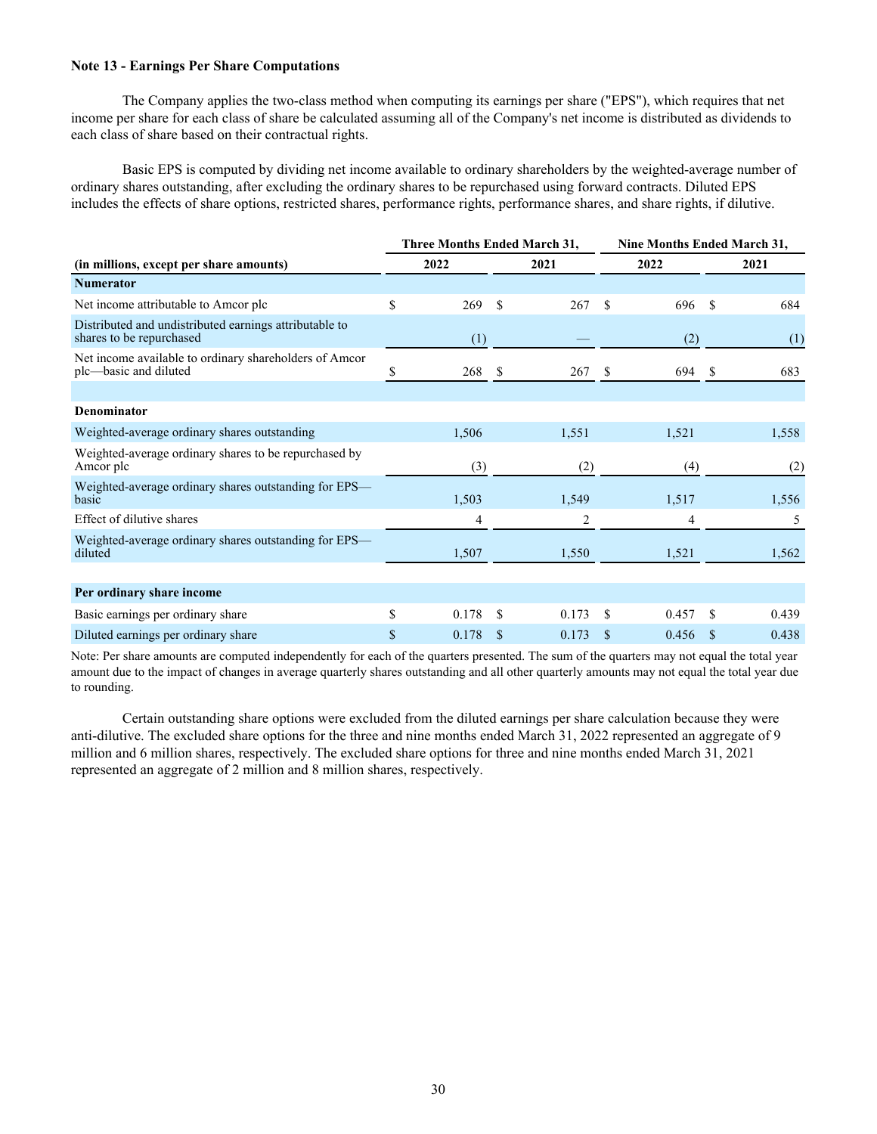#### **Note 13 - Earnings Per Share Computations**

 The Company applies the two-class method when computing its earnings per share ("EPS"), which requires that net income per share for each class of share be calculated assuming all of the Company's net income is distributed as dividends to each class of share based on their contractual rights.

Basic EPS is computed by dividing net income available to ordinary shareholders by the weighted-average number of ordinary shares outstanding, after excluding the ordinary shares to be repurchased using forward contracts. Diluted EPS includes the effects of share options, restricted shares, performance rights, performance shares, and share rights, if dilutive.

|                                                                                    | <b>Three Months Ended March 31,</b> |               |       |     | <b>Nine Months Ended March 31,</b> |     |       |  |  |
|------------------------------------------------------------------------------------|-------------------------------------|---------------|-------|-----|------------------------------------|-----|-------|--|--|
| (in millions, except per share amounts)                                            | 2022                                |               | 2021  |     | 2022                               |     | 2021  |  |  |
| <b>Numerator</b>                                                                   |                                     |               |       |     |                                    |     |       |  |  |
| Net income attributable to Amcor plc                                               | \$<br>269                           | \$            | 267   | \$. | 696                                | \$. | 684   |  |  |
| Distributed and undistributed earnings attributable to<br>shares to be repurchased | (1)                                 |               |       |     | (2)                                |     | (1)   |  |  |
| Net income available to ordinary shareholders of Amcor<br>plc—basic and diluted    | 268                                 | -S            | 267S  |     | 694                                | -S  | 683   |  |  |
|                                                                                    |                                     |               |       |     |                                    |     |       |  |  |
| <b>Denominator</b>                                                                 |                                     |               |       |     |                                    |     |       |  |  |
| Weighted-average ordinary shares outstanding                                       | 1,506                               |               | 1,551 |     | 1,521                              |     | 1,558 |  |  |
| Weighted-average ordinary shares to be repurchased by<br>Amcor plc                 | (3)                                 |               | (2)   |     | (4)                                |     | (2)   |  |  |
| Weighted-average ordinary shares outstanding for EPS—<br>basic                     | 1,503                               |               | 1,549 |     | 1,517                              |     | 1,556 |  |  |
| Effect of dilutive shares                                                          | 4                                   |               | 2     |     | 4                                  |     | 5     |  |  |
| Weighted-average ordinary shares outstanding for EPS—<br>diluted                   | 1,507                               |               | 1,550 |     | 1,521                              |     | 1,562 |  |  |
|                                                                                    |                                     |               |       |     |                                    |     |       |  |  |
| Per ordinary share income                                                          |                                     |               |       |     |                                    |     |       |  |  |
| Basic earnings per ordinary share                                                  | \$<br>0.178                         | S             | 0.173 | \$  | 0.457                              | \$  | 0.439 |  |  |
| Diluted earnings per ordinary share                                                | \$<br>0.178                         | <sup>\$</sup> | 0.173 | \$  | 0.456                              | -S  | 0.438 |  |  |

Note: Per share amounts are computed independently for each of the quarters presented. The sum of the quarters may not equal the total year amount due to the impact of changes in average quarterly shares outstanding and all other quarterly amounts may not equal the total year due to rounding.

 Certain outstanding share options were excluded from the diluted earnings per share calculation because they were anti-dilutive. The excluded share options for the three and nine months ended March 31, 2022 represented an aggregate of 9 million and 6 million shares, respectively. The excluded share options for three and nine months ended March 31, 2021 represented an aggregate of 2 million and 8 million shares, respectively.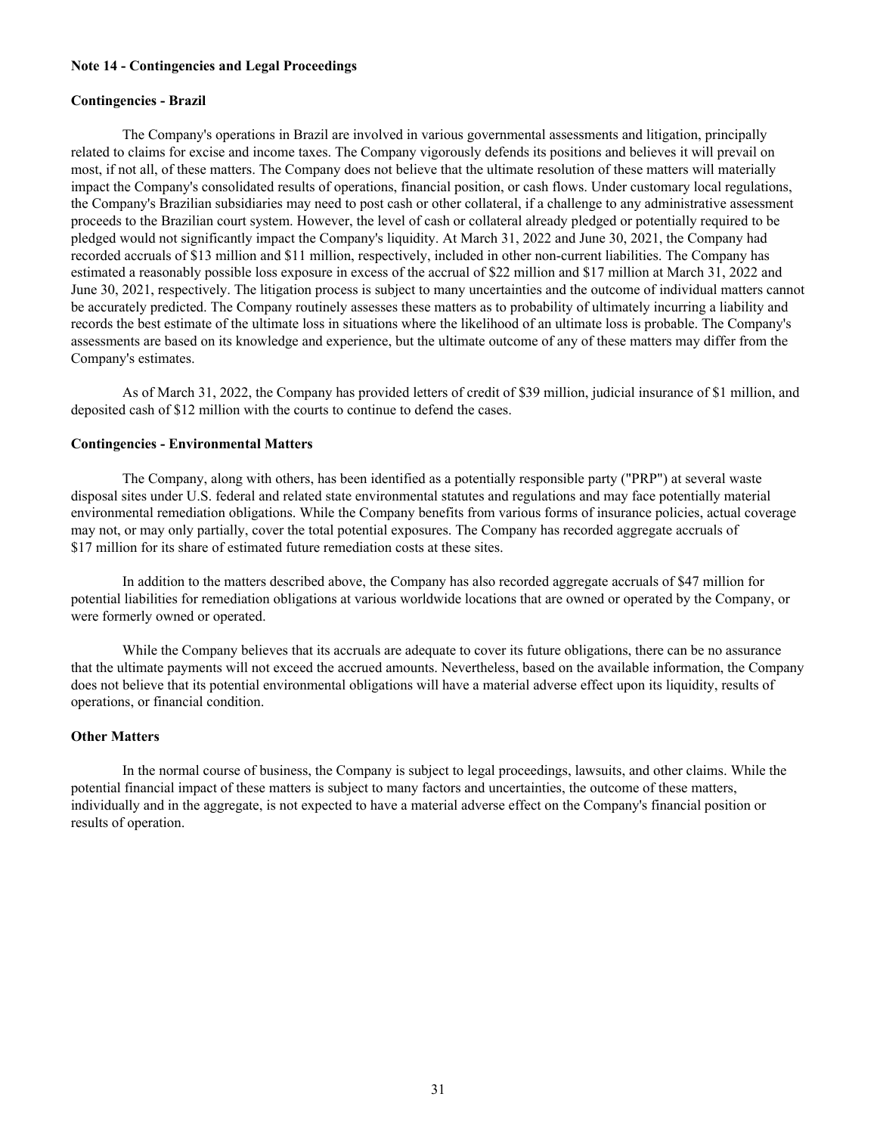#### **Note 14 - Contingencies and Legal Proceedings**

#### **Contingencies - Brazil**

 The Company's operations in Brazil are involved in various governmental assessments and litigation, principally related to claims for excise and income taxes. The Company vigorously defends its positions and believes it will prevail on most, if not all, of these matters. The Company does not believe that the ultimate resolution of these matters will materially impact the Company's consolidated results of operations, financial position, or cash flows. Under customary local regulations, the Company's Brazilian subsidiaries may need to post cash or other collateral, if a challenge to any administrative assessment proceeds to the Brazilian court system. However, the level of cash or collateral already pledged or potentially required to be pledged would not significantly impact the Company's liquidity. At March 31, 2022 and June 30, 2021, the Company had recorded accruals of \$13 million and \$11 million, respectively, included in other non-current liabilities. The Company has estimated a reasonably possible loss exposure in excess of the accrual of \$22 million and \$17 million at March 31, 2022 and June 30, 2021, respectively. The litigation process is subject to many uncertainties and the outcome of individual matters cannot be accurately predicted. The Company routinely assesses these matters as to probability of ultimately incurring a liability and records the best estimate of the ultimate loss in situations where the likelihood of an ultimate loss is probable. The Company's assessments are based on its knowledge and experience, but the ultimate outcome of any of these matters may differ from the Company's estimates.

 As of March 31, 2022, the Company has provided letters of credit of \$39 million, judicial insurance of \$1 million, and deposited cash of \$12 million with the courts to continue to defend the cases.

### **Contingencies - Environmental Matters**

 The Company, along with others, has been identified as a potentially responsible party ("PRP") at several waste disposal sites under U.S. federal and related state environmental statutes and regulations and may face potentially material environmental remediation obligations. While the Company benefits from various forms of insurance policies, actual coverage may not, or may only partially, cover the total potential exposures. The Company has recorded aggregate accruals of \$17 million for its share of estimated future remediation costs at these sites.

 In addition to the matters described above, the Company has also recorded aggregate accruals of \$47 million for potential liabilities for remediation obligations at various worldwide locations that are owned or operated by the Company, or were formerly owned or operated.

 While the Company believes that its accruals are adequate to cover its future obligations, there can be no assurance that the ultimate payments will not exceed the accrued amounts. Nevertheless, based on the available information, the Company does not believe that its potential environmental obligations will have a material adverse effect upon its liquidity, results of operations, or financial condition.

#### **Other Matters**

 In the normal course of business, the Company is subject to legal proceedings, lawsuits, and other claims. While the potential financial impact of these matters is subject to many factors and uncertainties, the outcome of these matters, individually and in the aggregate, is not expected to have a material adverse effect on the Company's financial position or results of operation.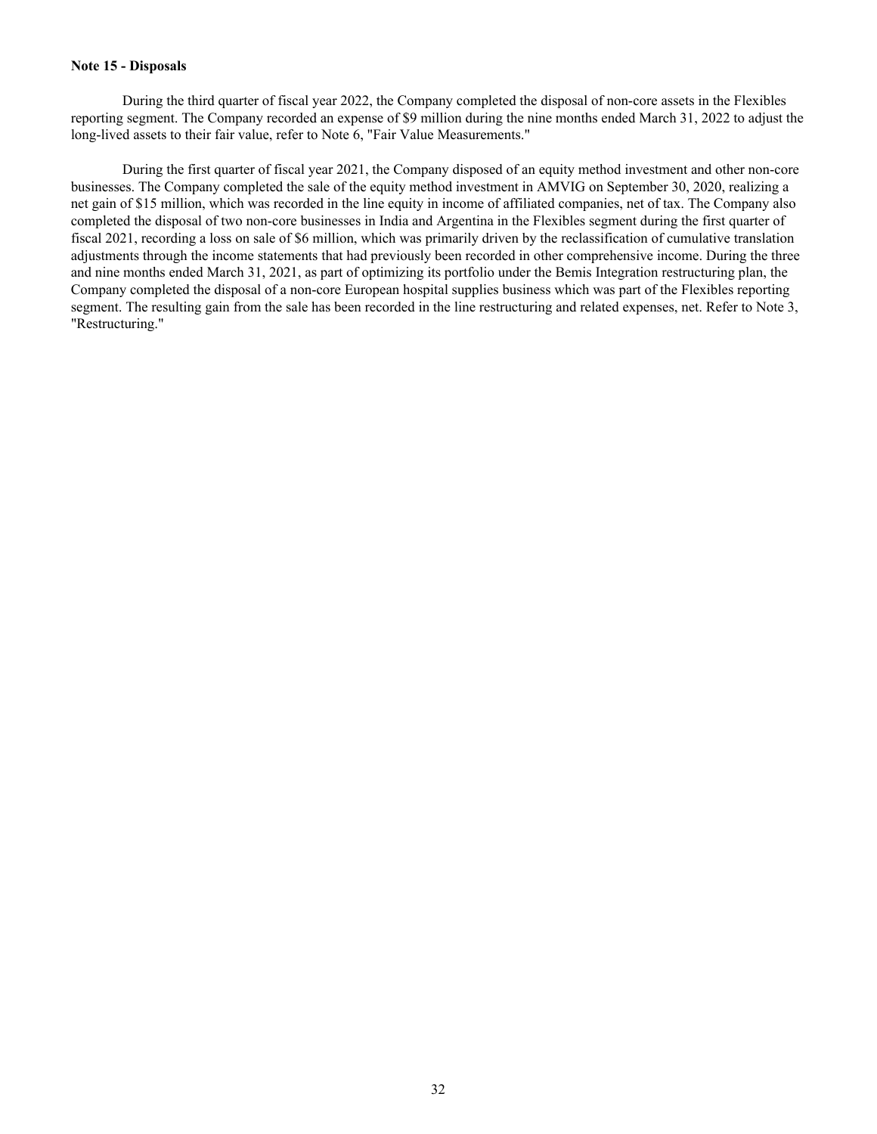#### **Note 15 - Disposals**

 During the third quarter of fiscal year 2022, the Company completed the disposal of non-core assets in the Flexibles reporting segment. The Company recorded an expense of \$9 million during the nine months ended March 31, 2022 to adjust the long-lived assets to their fair value, refer to Note 6, "Fair Value Measurements."

 During the first quarter of fiscal year 2021, the Company disposed of an equity method investment and other non-core businesses. The Company completed the sale of the equity method investment in AMVIG on September 30, 2020, realizing a net gain of \$15 million, which was recorded in the line equity in income of affiliated companies, net of tax. The Company also completed the disposal of two non-core businesses in India and Argentina in the Flexibles segment during the first quarter of fiscal 2021, recording a loss on sale of \$6 million, which was primarily driven by the reclassification of cumulative translation adjustments through the income statements that had previously been recorded in other comprehensive income. During the three and nine months ended March 31, 2021, as part of optimizing its portfolio under the Bemis Integration restructuring plan, the Company completed the disposal of a non-core European hospital supplies business which was part of the Flexibles reporting segment. The resulting gain from the sale has been recorded in the line restructuring and related expenses, net. Refer to Note 3, "Restructuring."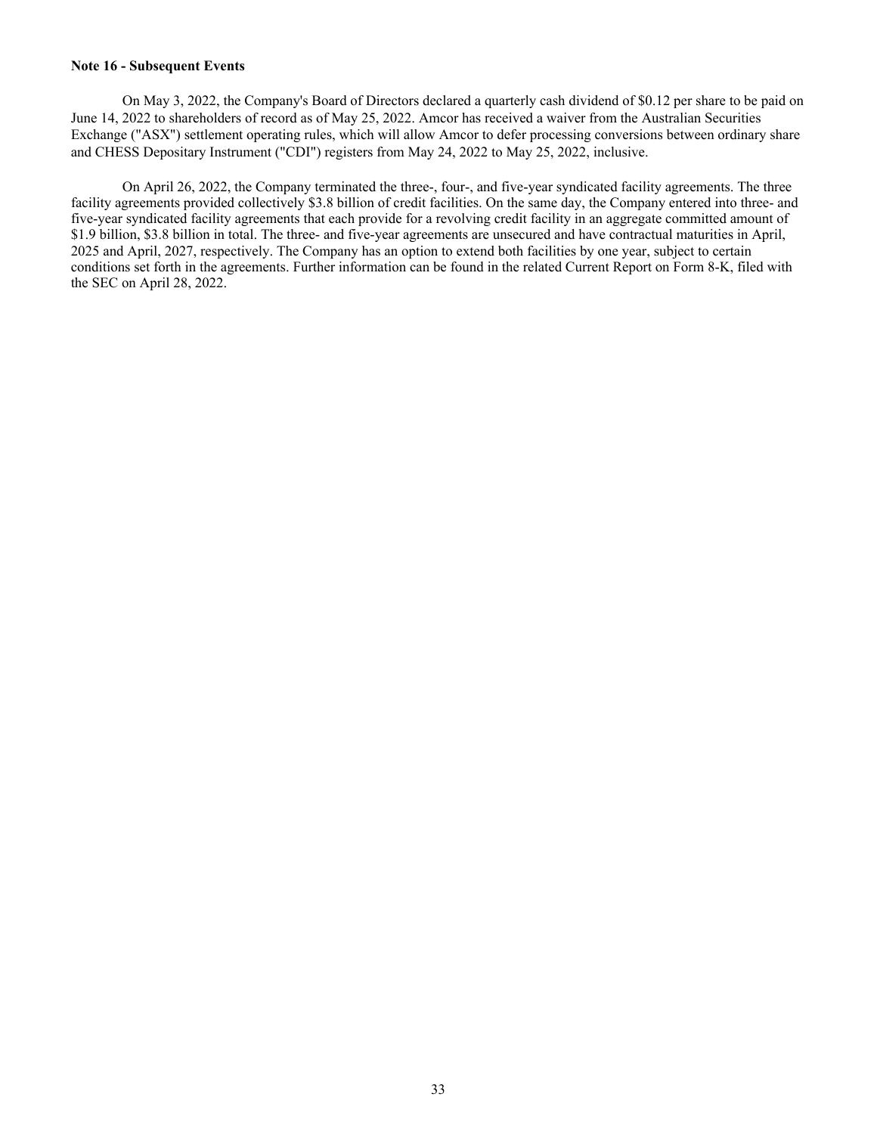#### **Note 16 - Subsequent Events**

 On May 3, 2022, the Company's Board of Directors declared a quarterly cash dividend of \$0.12 per share to be paid on June 14, 2022 to shareholders of record as of May 25, 2022. Amcor has received a waiver from the Australian Securities Exchange ("ASX") settlement operating rules, which will allow Amcor to defer processing conversions between ordinary share and CHESS Depositary Instrument ("CDI") registers from May 24, 2022 to May 25, 2022, inclusive.

 On April 26, 2022, the Company terminated the three-, four-, and five-year syndicated facility agreements. The three facility agreements provided collectively \$3.8 billion of credit facilities. On the same day, the Company entered into three- and five-year syndicated facility agreements that each provide for a revolving credit facility in an aggregate committed amount of \$1.9 billion, \$3.8 billion in total. The three- and five-year agreements are unsecured and have contractual maturities in April, 2025 and April, 2027, respectively. The Company has an option to extend both facilities by one year, subject to certain conditions set forth in the agreements. Further information can be found in the related Current Report on Form 8-K, filed with the SEC on April 28, 2022.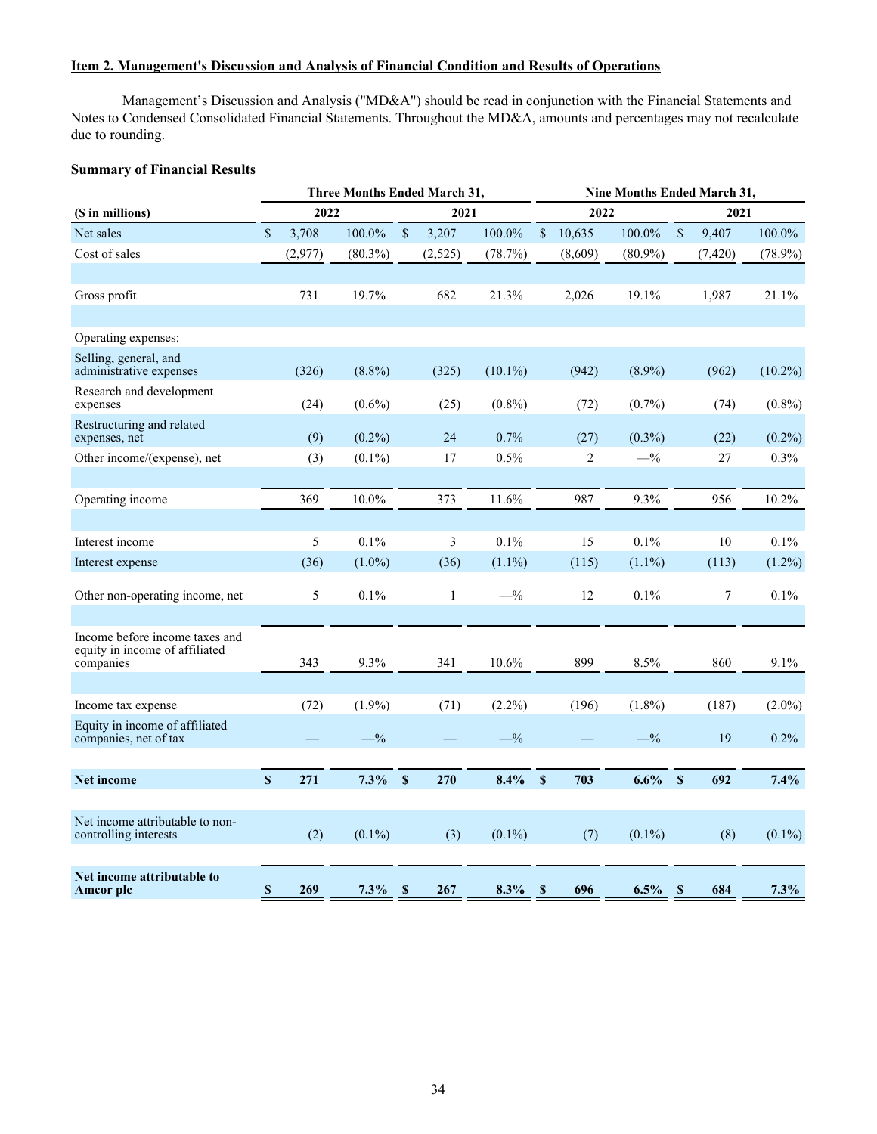## <span id="page-34-0"></span>**Item 2. Management's Discussion and Analysis of Financial Condition and Results of Operations**

 Management's Discussion and Analysis ("MD&A") should be read in conjunction with the Financial Statements and Notes to Condensed Consolidated Financial Statements. Throughout the MD&A, amounts and percentages may not recalculate due to rounding.

## **Summary of Financial Results**

|                                                                               |                           |         | Three Months Ended March 31, |                           |              |            | Nine Months Ended March 31, |                |            |              |          |            |  |
|-------------------------------------------------------------------------------|---------------------------|---------|------------------------------|---------------------------|--------------|------------|-----------------------------|----------------|------------|--------------|----------|------------|--|
| (\$ in millions)                                                              |                           | 2022    |                              |                           | 2021         |            |                             | 2022           |            | 2021         |          |            |  |
| Net sales                                                                     | \$                        | 3,708   | 100.0%                       | \$                        | 3,207        | 100.0%     | \$                          | 10,635         | 100.0%     | \$           | 9,407    | 100.0%     |  |
| Cost of sales                                                                 |                           | (2,977) | $(80.3\%)$                   |                           | (2, 525)     | (78.7%)    |                             | (8,609)        | $(80.9\%)$ |              | (7, 420) | $(78.9\%)$ |  |
|                                                                               |                           |         |                              |                           |              |            |                             |                |            |              |          |            |  |
| Gross profit                                                                  |                           | 731     | 19.7%                        |                           | 682          | 21.3%      |                             | 2,026          | 19.1%      |              | 1,987    | 21.1%      |  |
|                                                                               |                           |         |                              |                           |              |            |                             |                |            |              |          |            |  |
| Operating expenses:                                                           |                           |         |                              |                           |              |            |                             |                |            |              |          |            |  |
| Selling, general, and<br>administrative expenses                              |                           | (326)   | $(8.8\%)$                    |                           | (325)        | $(10.1\%)$ |                             | (942)          | $(8.9\%)$  |              | (962)    | $(10.2\%)$ |  |
| Research and development<br>expenses                                          |                           | (24)    | $(0.6\%)$                    |                           | (25)         | $(0.8\%)$  |                             | (72)           | $(0.7\%)$  |              | (74)     | $(0.8\%)$  |  |
| Restructuring and related<br>expenses, net                                    |                           | (9)     | $(0.2\%)$                    |                           | 24           | 0.7%       |                             | (27)           | $(0.3\%)$  |              | (22)     | $(0.2\%)$  |  |
| Other income/(expense), net                                                   |                           | (3)     | $(0.1\%)$                    |                           | 17           | 0.5%       |                             | $\overline{c}$ | $-$ %      |              | 27       | 0.3%       |  |
| Operating income                                                              |                           | 369     | 10.0%                        |                           | 373          | 11.6%      |                             | 987            | 9.3%       |              | 956      | $10.2\%$   |  |
|                                                                               |                           |         |                              |                           |              |            |                             |                |            |              |          |            |  |
| Interest income                                                               |                           | 5       | 0.1%                         |                           | 3            | 0.1%       |                             | 15             | 0.1%       |              | 10       | 0.1%       |  |
| Interest expense                                                              |                           | (36)    | $(1.0\%)$                    |                           | (36)         | $(1.1\%)$  |                             | (115)          | $(1.1\%)$  |              | (113)    | $(1.2\%)$  |  |
| Other non-operating income, net                                               |                           | 5       | 0.1%                         |                           | $\mathbf{1}$ | $-$ %      |                             | 12             | 0.1%       |              | $\tau$   | 0.1%       |  |
|                                                                               |                           |         |                              |                           |              |            |                             |                |            |              |          |            |  |
| Income before income taxes and<br>equity in income of affiliated<br>companies |                           | 343     | 9.3%                         |                           | 341          | 10.6%      |                             | 899            | 8.5%       |              | 860      | 9.1%       |  |
|                                                                               |                           |         |                              |                           |              |            |                             |                |            |              |          |            |  |
| Income tax expense                                                            |                           | (72)    | $(1.9\%)$                    |                           | (71)         | $(2.2\%)$  |                             | (196)          | $(1.8\%)$  |              | (187)    | $(2.0\%)$  |  |
| Equity in income of affiliated<br>companies, net of tax                       |                           |         | $-$ %                        |                           |              | $-$ %      |                             |                | $-$ %      |              | 19       | 0.2%       |  |
|                                                                               |                           |         |                              |                           |              |            |                             |                |            |              |          |            |  |
| Net income                                                                    | $\boldsymbol{\mathsf{S}}$ | 271     | $7.3\%$                      | $\boldsymbol{\mathsf{S}}$ | 270          | $8.4\%$    | $\mathbf S$                 | 703            | $6.6\%$    | $\mathbf S$  | 692      | 7.4%       |  |
| Net income attributable to non-<br>controlling interests                      |                           | (2)     | $(0.1\%)$                    |                           | (3)          | $(0.1\%)$  |                             | (7)            | $(0.1\%)$  |              | (8)      | $(0.1\%)$  |  |
| Net income attributable to<br>Amcor plc                                       | $\boldsymbol{\mathsf{s}}$ | 269     | 7.3%                         | $\mathbf s$               | 267          | $8.3\%$    | $\mathbf{s}$                | 696            | 6.5%       | $\mathbf{s}$ | 684      | 7.3%       |  |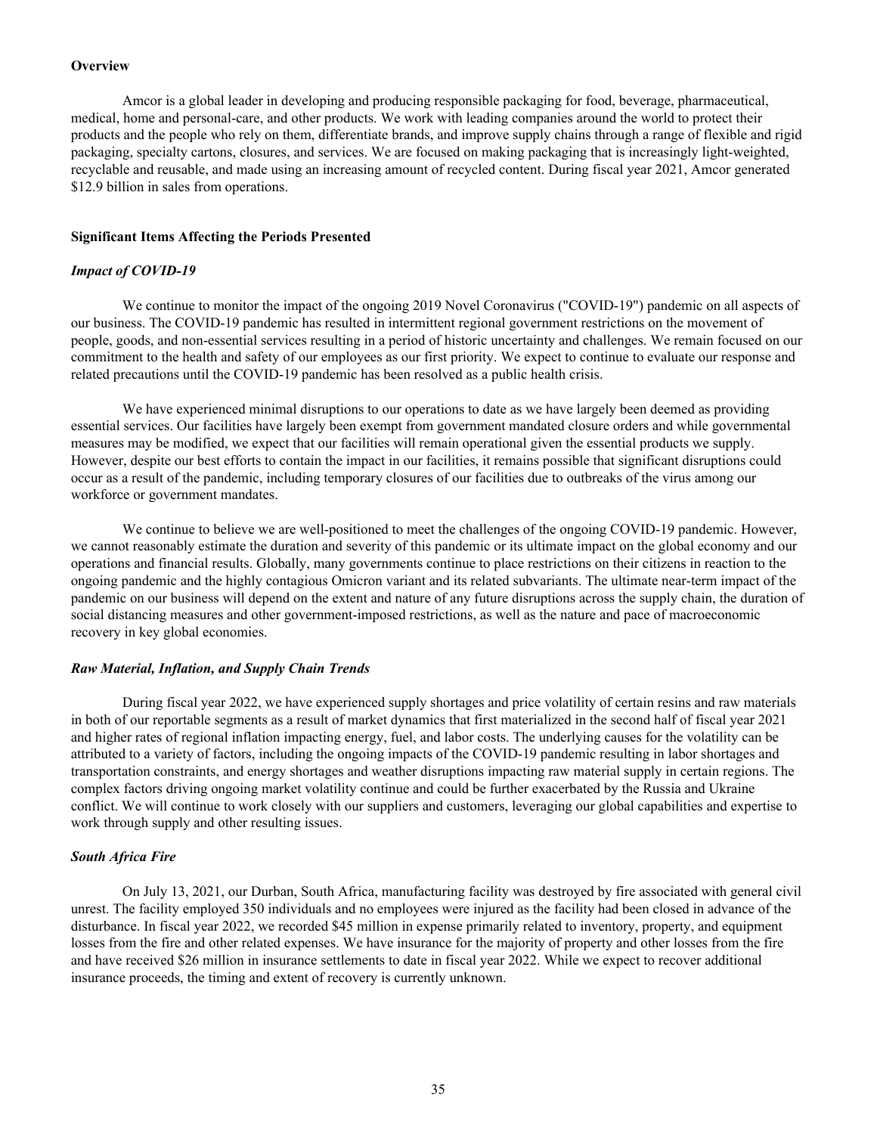#### <span id="page-35-0"></span>**Overview**

 Amcor is a global leader in developing and producing responsible packaging for food, beverage, pharmaceutical, medical, home and personal-care, and other products. We work with leading companies around the world to protect their products and the people who rely on them, differentiate brands, and improve supply chains through a range of flexible and rigid packaging, specialty cartons, closures, and services. We are focused on making packaging that is increasingly light-weighted, recyclable and reusable, and made using an increasing amount of recycled content. During fiscal year 2021, Amcor generated \$12.9 billion in sales from operations.

#### **Significant Items Affecting the Periods Presented**

#### *Impact of COVID-19*

We continue to monitor the impact of the ongoing 2019 Novel Coronavirus ("COVID-19") pandemic on all aspects of our business. The COVID-19 pandemic has resulted in intermittent regional government restrictions on the movement of people, goods, and non-essential services resulting in a period of historic uncertainty and challenges. We remain focused on our commitment to the health and safety of our employees as our first priority. We expect to continue to evaluate our response and related precautions until the COVID-19 pandemic has been resolved as a public health crisis.

 We have experienced minimal disruptions to our operations to date as we have largely been deemed as providing essential services. Our facilities have largely been exempt from government mandated closure orders and while governmental measures may be modified, we expect that our facilities will remain operational given the essential products we supply. However, despite our best efforts to contain the impact in our facilities, it remains possible that significant disruptions could occur as a result of the pandemic, including temporary closures of our facilities due to outbreaks of the virus among our workforce or government mandates.

We continue to believe we are well-positioned to meet the challenges of the ongoing COVID-19 pandemic. However, we cannot reasonably estimate the duration and severity of this pandemic or its ultimate impact on the global economy and our operations and financial results. Globally, many governments continue to place restrictions on their citizens in reaction to the ongoing pandemic and the highly contagious Omicron variant and its related subvariants. The ultimate near-term impact of the pandemic on our business will depend on the extent and nature of any future disruptions across the supply chain, the duration of social distancing measures and other government-imposed restrictions, as well as the nature and pace of macroeconomic recovery in key global economies.

#### *Raw Material, Inflation, and Supply Chain Trends*

 During fiscal year 2022, we have experienced supply shortages and price volatility of certain resins and raw materials in both of our reportable segments as a result of market dynamics that first materialized in the second half of fiscal year 2021 and higher rates of regional inflation impacting energy, fuel, and labor costs. The underlying causes for the volatility can be attributed to a variety of factors, including the ongoing impacts of the COVID-19 pandemic resulting in labor shortages and transportation constraints, and energy shortages and weather disruptions impacting raw material supply in certain regions. The complex factors driving ongoing market volatility continue and could be further exacerbated by the Russia and Ukraine conflict. We will continue to work closely with our suppliers and customers, leveraging our global capabilities and expertise to work through supply and other resulting issues.

#### *South Africa Fire*

 On July 13, 2021, our Durban, South Africa, manufacturing facility was destroyed by fire associated with general civil unrest. The facility employed 350 individuals and no employees were injured as the facility had been closed in advance of the disturbance. In fiscal year 2022, we recorded \$45 million in expense primarily related to inventory, property, and equipment losses from the fire and other related expenses. We have insurance for the majority of property and other losses from the fire and have received \$26 million in insurance settlements to date in fiscal year 2022. While we expect to recover additional insurance proceeds, the timing and extent of recovery is currently unknown.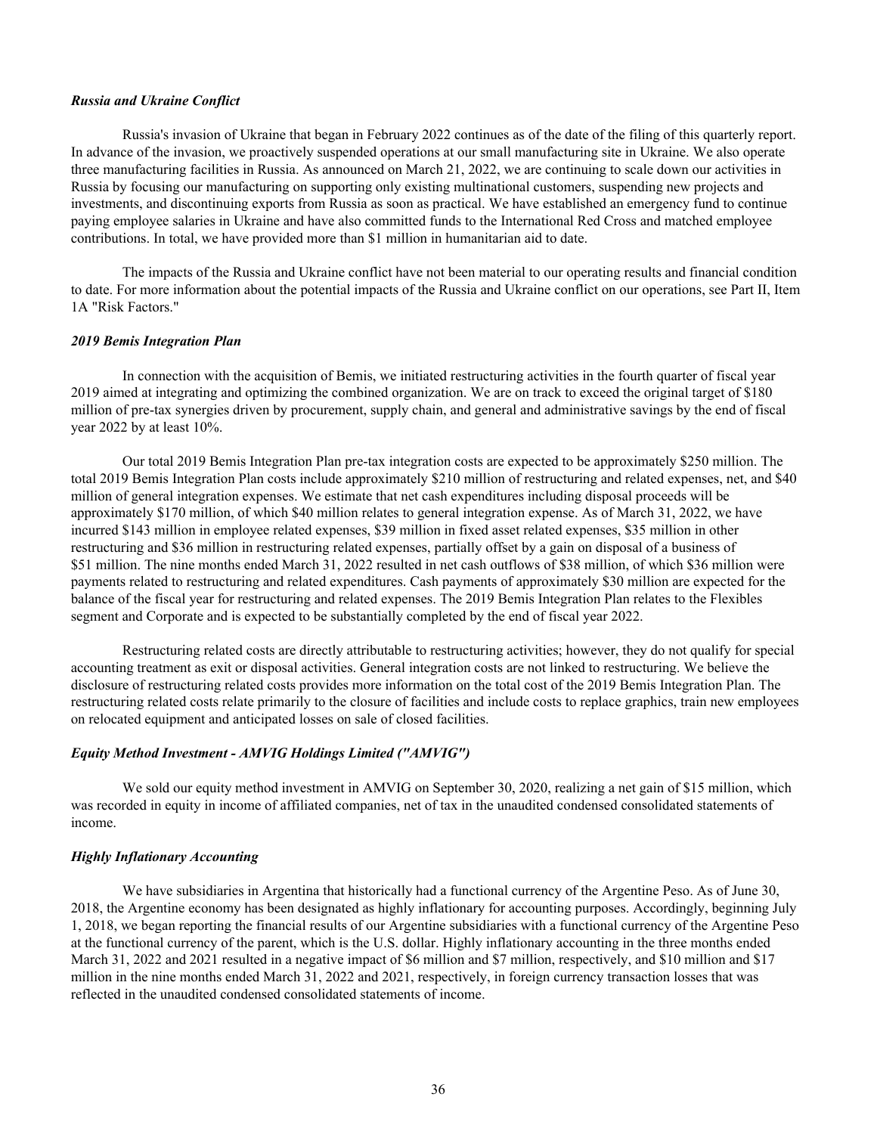#### *Russia and Ukraine Conflict*

Russia's invasion of Ukraine that began in February 2022 continues as of the date of the filing of this quarterly report. In advance of the invasion, we proactively suspended operations at our small manufacturing site in Ukraine. We also operate three manufacturing facilities in Russia. As announced on March 21, 2022, we are continuing to scale down our activities in Russia by focusing our manufacturing on supporting only existing multinational customers, suspending new projects and investments, and discontinuing exports from Russia as soon as practical. We have established an emergency fund to continue paying employee salaries in Ukraine and have also committed funds to the International Red Cross and matched employee contributions. In total, we have provided more than \$1 million in humanitarian aid to date.

 The impacts of the Russia and Ukraine conflict have not been material to our operating results and financial condition to date. For more information about the potential impacts of the Russia and Ukraine conflict on our operations, see Part II, Item 1A "Risk Factors."

#### *2019 Bemis Integration Plan*

 In connection with the acquisition of Bemis, we initiated restructuring activities in the fourth quarter of fiscal year 2019 aimed at integrating and optimizing the combined organization. We are on track to exceed the original target of \$180 million of pre-tax synergies driven by procurement, supply chain, and general and administrative savings by the end of fiscal year 2022 by at least 10%.

 Our total 2019 Bemis Integration Plan pre-tax integration costs are expected to be approximately \$250 million. The total 2019 Bemis Integration Plan costs include approximately \$210 million of restructuring and related expenses, net, and \$40 million of general integration expenses. We estimate that net cash expenditures including disposal proceeds will be approximately \$170 million, of which \$40 million relates to general integration expense. As of March 31, 2022, we have incurred \$143 million in employee related expenses, \$39 million in fixed asset related expenses, \$35 million in other restructuring and \$36 million in restructuring related expenses, partially offset by a gain on disposal of a business of \$51 million. The nine months ended March 31, 2022 resulted in net cash outflows of \$38 million, of which \$36 million were payments related to restructuring and related expenditures. Cash payments of approximately \$30 million are expected for the balance of the fiscal year for restructuring and related expenses. The 2019 Bemis Integration Plan relates to the Flexibles segment and Corporate and is expected to be substantially completed by the end of fiscal year 2022.

 Restructuring related costs are directly attributable to restructuring activities; however, they do not qualify for special accounting treatment as exit or disposal activities. General integration costs are not linked to restructuring. We believe the disclosure of restructuring related costs provides more information on the total cost of the 2019 Bemis Integration Plan. The restructuring related costs relate primarily to the closure of facilities and include costs to replace graphics, train new employees on relocated equipment and anticipated losses on sale of closed facilities.

## *Equity Method Investment - AMVIG Holdings Limited ("AMVIG")*

We sold our equity method investment in AMVIG on September 30, 2020, realizing a net gain of \$15 million, which was recorded in equity in income of affiliated companies, net of tax in the unaudited condensed consolidated statements of income.

#### *Highly Inflationary Accounting*

 We have subsidiaries in Argentina that historically had a functional currency of the Argentine Peso. As of June 30, 2018, the Argentine economy has been designated as highly inflationary for accounting purposes. Accordingly, beginning July 1, 2018, we began reporting the financial results of our Argentine subsidiaries with a functional currency of the Argentine Peso at the functional currency of the parent, which is the U.S. dollar. Highly inflationary accounting in the three months ended March 31, 2022 and 2021 resulted in a negative impact of \$6 million and \$7 million, respectively, and \$10 million and \$17 million in the nine months ended March 31, 2022 and 2021, respectively, in foreign currency transaction losses that was reflected in the unaudited condensed consolidated statements of income.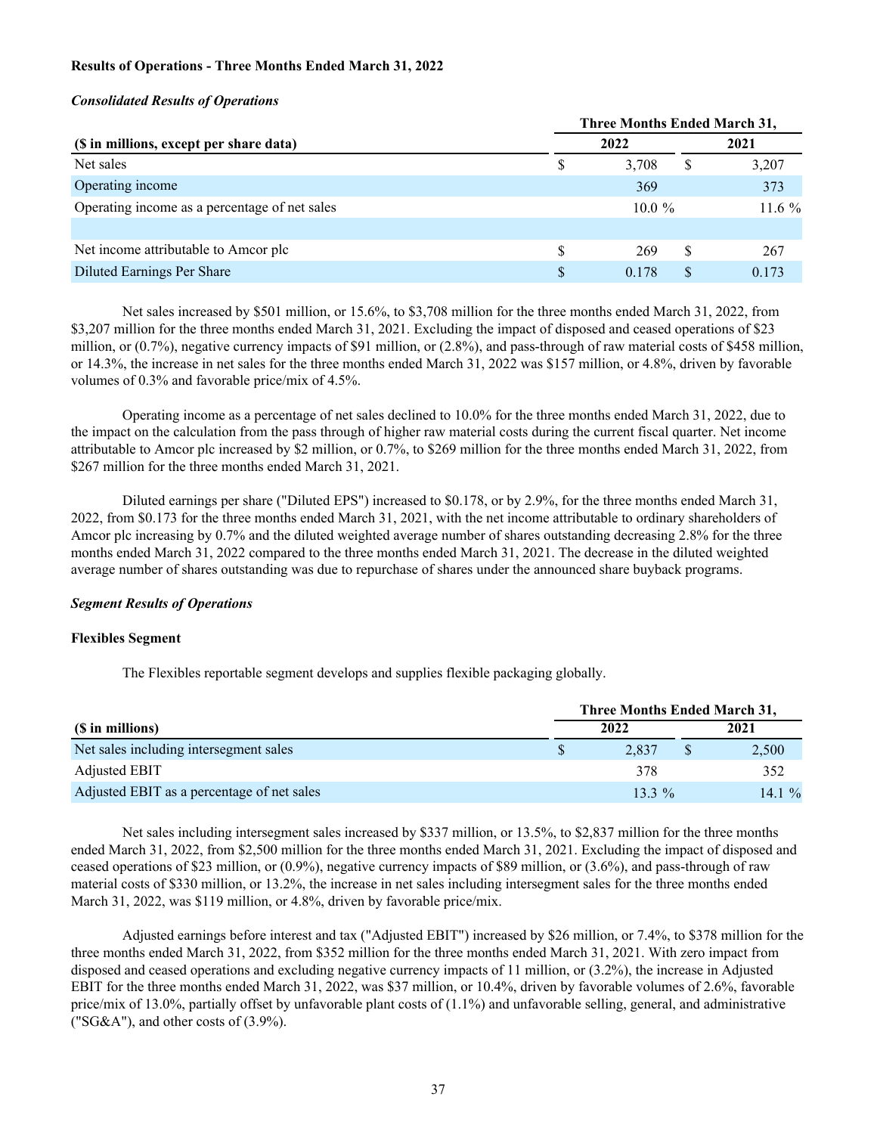## <span id="page-37-0"></span>**Results of Operations - Three Months Ended March 31, 2022**

#### *Consolidated Results of Operations*

|                                               | <b>Three Months Ended March 31,</b> |           |   |          |  |  |  |  |  |  |  |
|-----------------------------------------------|-------------------------------------|-----------|---|----------|--|--|--|--|--|--|--|
| (\$ in millions, except per share data)       | 2022                                |           |   | 2021     |  |  |  |  |  |  |  |
| Net sales                                     | S                                   | 3,708     | S | 3,207    |  |  |  |  |  |  |  |
| Operating income                              |                                     | 369       |   | 373      |  |  |  |  |  |  |  |
| Operating income as a percentage of net sales |                                     | $10.0 \%$ |   | $11.6\%$ |  |  |  |  |  |  |  |
|                                               |                                     |           |   |          |  |  |  |  |  |  |  |
| Net income attributable to Amcor plc          | S                                   | 269       | S | 267      |  |  |  |  |  |  |  |
| Diluted Earnings Per Share                    | \$                                  | 0.178     | S | 0.173    |  |  |  |  |  |  |  |

 Net sales increased by \$501 million, or 15.6%, to \$3,708 million for the three months ended March 31, 2022, from \$3,207 million for the three months ended March 31, 2021. Excluding the impact of disposed and ceased operations of \$23 million, or (0.7%), negative currency impacts of \$91 million, or (2.8%), and pass-through of raw material costs of \$458 million, or 14.3%, the increase in net sales for the three months ended March 31, 2022 was \$157 million, or 4.8%, driven by favorable volumes of 0.3% and favorable price/mix of 4.5%.

 Operating income as a percentage of net sales declined to 10.0% for the three months ended March 31, 2022, due to the impact on the calculation from the pass through of higher raw material costs during the current fiscal quarter. Net income attributable to Amcor plc increased by \$2 million, or 0.7%, to \$269 million for the three months ended March 31, 2022, from \$267 million for the three months ended March 31, 2021.

 Diluted earnings per share ("Diluted EPS") increased to \$0.178, or by 2.9%, for the three months ended March 31, 2022, from \$0.173 for the three months ended March 31, 2021, with the net income attributable to ordinary shareholders of Amcor plc increasing by 0.7% and the diluted weighted average number of shares outstanding decreasing 2.8% for the three months ended March 31, 2022 compared to the three months ended March 31, 2021. The decrease in the diluted weighted average number of shares outstanding was due to repurchase of shares under the announced share buyback programs.

#### *Segment Results of Operations*

#### **Flexibles Segment**

The Flexibles reportable segment develops and supplies flexible packaging globally.

|                                            | Three Months Ended March 31, |      |          |  |
|--------------------------------------------|------------------------------|------|----------|--|
| (\$ in millions)                           | 2022                         | 2021 |          |  |
| Net sales including intersegment sales     | 2.837                        |      | 2,500    |  |
| Adjusted EBIT                              | 378                          |      | 352      |  |
| Adjusted EBIT as a percentage of net sales | $13.3\%$                     |      | 14.1 $%$ |  |

 Net sales including intersegment sales increased by \$337 million, or 13.5%, to \$2,837 million for the three months ended March 31, 2022, from \$2,500 million for the three months ended March 31, 2021. Excluding the impact of disposed and ceased operations of \$23 million, or (0.9%), negative currency impacts of \$89 million, or (3.6%), and pass-through of raw material costs of \$330 million, or 13.2%, the increase in net sales including intersegment sales for the three months ended March 31, 2022, was \$119 million, or 4.8%, driven by favorable price/mix.

 Adjusted earnings before interest and tax ("Adjusted EBIT") increased by \$26 million, or 7.4%, to \$378 million for the three months ended March 31, 2022, from \$352 million for the three months ended March 31, 2021. With zero impact from disposed and ceased operations and excluding negative currency impacts of 11 million, or (3.2%), the increase in Adjusted EBIT for the three months ended March 31, 2022, was \$37 million, or 10.4%, driven by favorable volumes of 2.6%, favorable price/mix of 13.0%, partially offset by unfavorable plant costs of (1.1%) and unfavorable selling, general, and administrative ("SG&A"), and other costs of  $(3.9\%)$ .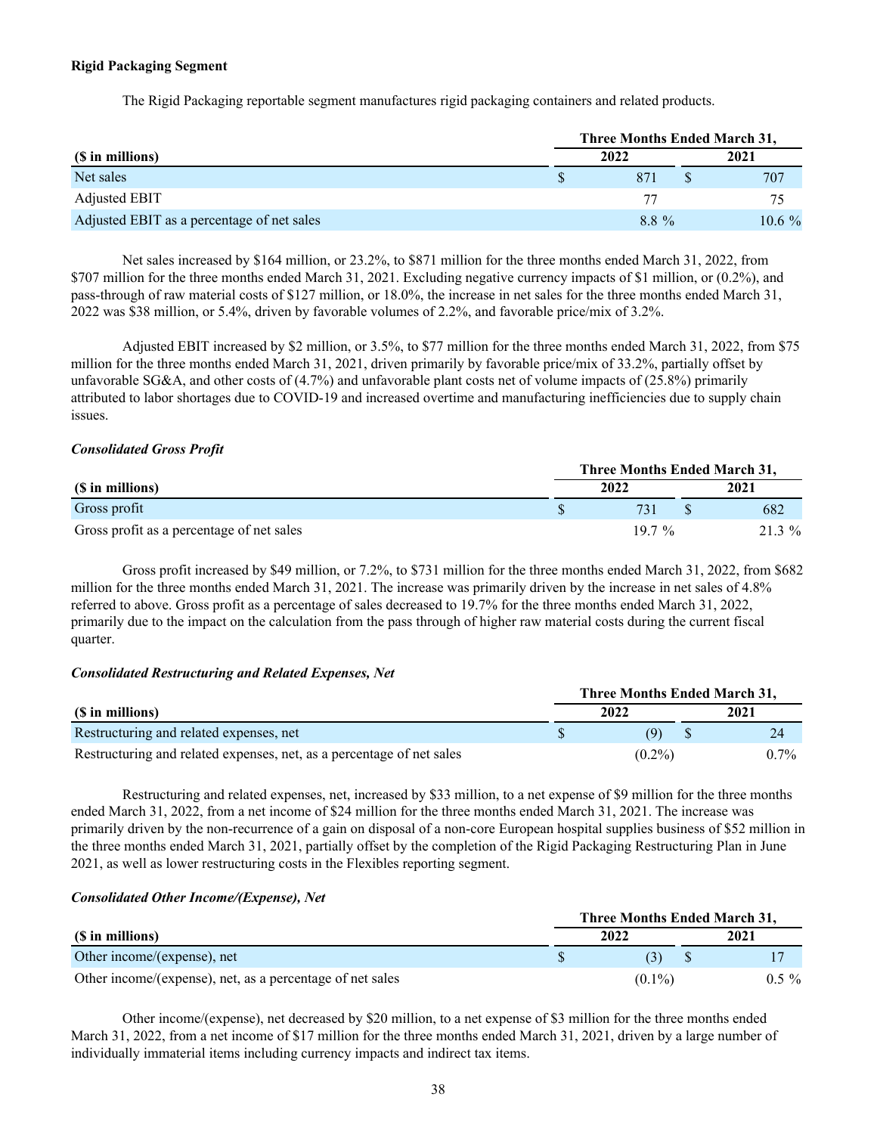#### **Rigid Packaging Segment**

The Rigid Packaging reportable segment manufactures rigid packaging containers and related products.

|                                            |   | Three Months Ended March 31, |          |
|--------------------------------------------|---|------------------------------|----------|
| (\$ in millions)                           |   | 2022                         | 2021     |
| Net sales                                  | S | 871                          | 707      |
| Adjusted EBIT                              |   |                              | 75       |
| Adjusted EBIT as a percentage of net sales |   | $88\%$                       | $10.6\%$ |

 Net sales increased by \$164 million, or 23.2%, to \$871 million for the three months ended March 31, 2022, from \$707 million for the three months ended March 31, 2021. Excluding negative currency impacts of \$1 million, or (0.2%), and pass-through of raw material costs of \$127 million, or 18.0%, the increase in net sales for the three months ended March 31, 2022 was \$38 million, or 5.4%, driven by favorable volumes of 2.2%, and favorable price/mix of 3.2%.

 Adjusted EBIT increased by \$2 million, or 3.5%, to \$77 million for the three months ended March 31, 2022, from \$75 million for the three months ended March 31, 2021, driven primarily by favorable price/mix of 33.2%, partially offset by unfavorable SG&A, and other costs of (4.7%) and unfavorable plant costs net of volume impacts of (25.8%) primarily attributed to labor shortages due to COVID-19 and increased overtime and manufacturing inefficiencies due to supply chain issues.

#### *Consolidated Gross Profit*

|                                           |  | Three Months Ended March 31, |  |        |  |  |
|-------------------------------------------|--|------------------------------|--|--------|--|--|
| (\$ in millions)                          |  | 2022                         |  | 2021   |  |  |
| Gross profit                              |  |                              |  | 682    |  |  |
| Gross profit as a percentage of net sales |  | $197\%$                      |  | 21.3 % |  |  |

 Gross profit increased by \$49 million, or 7.2%, to \$731 million for the three months ended March 31, 2022, from \$682 million for the three months ended March 31, 2021. The increase was primarily driven by the increase in net sales of 4.8% referred to above. Gross profit as a percentage of sales decreased to 19.7% for the three months ended March 31, 2022, primarily due to the impact on the calculation from the pass through of higher raw material costs during the current fiscal quarter.

#### *Consolidated Restructuring and Related Expenses, Net*

|                                                                       | Three Months Ended March 31. |  |         |  |  |
|-----------------------------------------------------------------------|------------------------------|--|---------|--|--|
| (\$ in millions)                                                      | 2022                         |  | 2021    |  |  |
| Restructuring and related expenses, net                               |                              |  |         |  |  |
| Restructuring and related expenses, net, as a percentage of net sales | $(0.2\%)$                    |  | $0.7\%$ |  |  |

 Restructuring and related expenses, net, increased by \$33 million, to a net expense of \$9 million for the three months ended March 31, 2022, from a net income of \$24 million for the three months ended March 31, 2021. The increase was primarily driven by the non-recurrence of a gain on disposal of a non-core European hospital supplies business of \$52 million in the three months ended March 31, 2021, partially offset by the completion of the Rigid Packaging Restructuring Plan in June 2021, as well as lower restructuring costs in the Flexibles reporting segment.

#### *Consolidated Other Income/(Expense), Net*

|                                                           |  | Three Months Ended March 31, |  |          |  |
|-----------------------------------------------------------|--|------------------------------|--|----------|--|
| (\$ in millions)                                          |  | 2022                         |  | 2021     |  |
| Other income/(expense), net                               |  |                              |  |          |  |
| Other income/(expense), net, as a percentage of net sales |  | $(0.1\%)$                    |  | $0.5 \%$ |  |

Other income/(expense), net decreased by \$20 million, to a net expense of \$3 million for the three months ended March 31, 2022, from a net income of \$17 million for the three months ended March 31, 2021, driven by a large number of individually immaterial items including currency impacts and indirect tax items.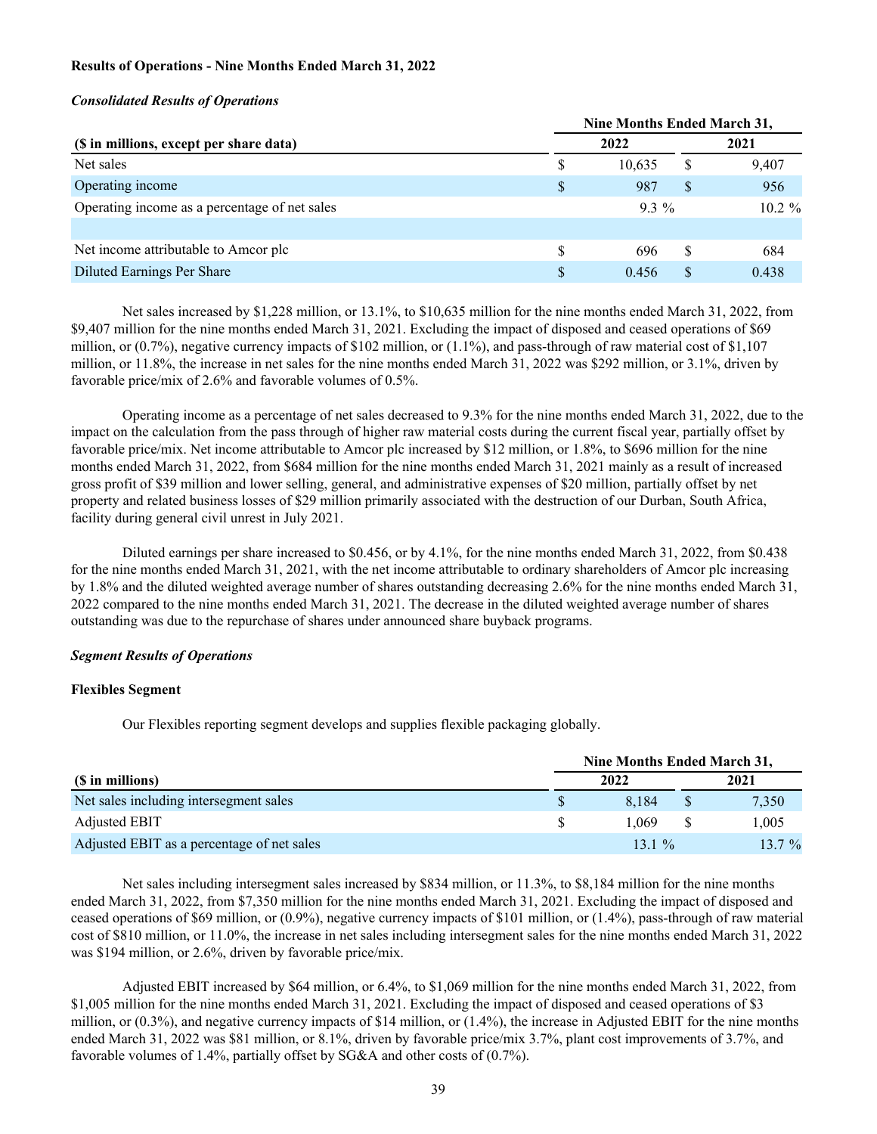### **Results of Operations - Nine Months Ended March 31, 2022**

#### *Consolidated Results of Operations*

|                                               |    | Nine Months Ended March 31, |   |           |
|-----------------------------------------------|----|-----------------------------|---|-----------|
| (\$ in millions, except per share data)       |    | 2022                        |   | 2021      |
| Net sales                                     | S  | 10.635                      | S | 9,407     |
| Operating income                              | \$ | 987                         |   | 956       |
| Operating income as a percentage of net sales |    | $93\%$                      |   | $10.2 \%$ |
|                                               |    |                             |   |           |
| Net income attributable to Amcor plc          | \$ | 696                         |   | 684       |
| Diluted Earnings Per Share                    | S  | 0.456                       |   | 0.438     |

 Net sales increased by \$1,228 million, or 13.1%, to \$10,635 million for the nine months ended March 31, 2022, from \$9,407 million for the nine months ended March 31, 2021. Excluding the impact of disposed and ceased operations of \$69 million, or (0.7%), negative currency impacts of \$102 million, or (1.1%), and pass-through of raw material cost of \$1,107 million, or 11.8%, the increase in net sales for the nine months ended March 31, 2022 was \$292 million, or 3.1%, driven by favorable price/mix of 2.6% and favorable volumes of 0.5%.

 Operating income as a percentage of net sales decreased to 9.3% for the nine months ended March 31, 2022, due to the impact on the calculation from the pass through of higher raw material costs during the current fiscal year, partially offset by favorable price/mix. Net income attributable to Amcor plc increased by \$12 million, or 1.8%, to \$696 million for the nine months ended March 31, 2022, from \$684 million for the nine months ended March 31, 2021 mainly as a result of increased gross profit of \$39 million and lower selling, general, and administrative expenses of \$20 million, partially offset by net property and related business losses of \$29 million primarily associated with the destruction of our Durban, South Africa, facility during general civil unrest in July 2021.

 Diluted earnings per share increased to \$0.456, or by 4.1%, for the nine months ended March 31, 2022, from \$0.438 for the nine months ended March 31, 2021, with the net income attributable to ordinary shareholders of Amcor plc increasing by 1.8% and the diluted weighted average number of shares outstanding decreasing 2.6% for the nine months ended March 31, 2022 compared to the nine months ended March 31, 2021. The decrease in the diluted weighted average number of shares outstanding was due to the repurchase of shares under announced share buyback programs.

#### *Segment Results of Operations*

#### **Flexibles Segment**

Our Flexibles reporting segment develops and supplies flexible packaging globally.

|                                            | Nine Months Ended March 31, |         |  |          |
|--------------------------------------------|-----------------------------|---------|--|----------|
| (\$ in millions)                           |                             | 2022    |  | 2021     |
| Net sales including intersegment sales     |                             | 8.184   |  | 7,350    |
| Adjusted EBIT                              |                             | 1.069   |  | 1,005    |
| Adjusted EBIT as a percentage of net sales |                             | $131\%$ |  | $13.7\%$ |

 Net sales including intersegment sales increased by \$834 million, or 11.3%, to \$8,184 million for the nine months ended March 31, 2022, from \$7,350 million for the nine months ended March 31, 2021. Excluding the impact of disposed and ceased operations of \$69 million, or (0.9%), negative currency impacts of \$101 million, or (1.4%), pass-through of raw material cost of \$810 million, or 11.0%, the increase in net sales including intersegment sales for the nine months ended March 31, 2022 was \$194 million, or 2.6%, driven by favorable price/mix.

 Adjusted EBIT increased by \$64 million, or 6.4%, to \$1,069 million for the nine months ended March 31, 2022, from \$1,005 million for the nine months ended March 31, 2021. Excluding the impact of disposed and ceased operations of \$3 million, or (0.3%), and negative currency impacts of \$14 million, or (1.4%), the increase in Adjusted EBIT for the nine months ended March 31, 2022 was \$81 million, or 8.1%, driven by favorable price/mix 3.7%, plant cost improvements of 3.7%, and favorable volumes of 1.4%, partially offset by SG&A and other costs of (0.7%).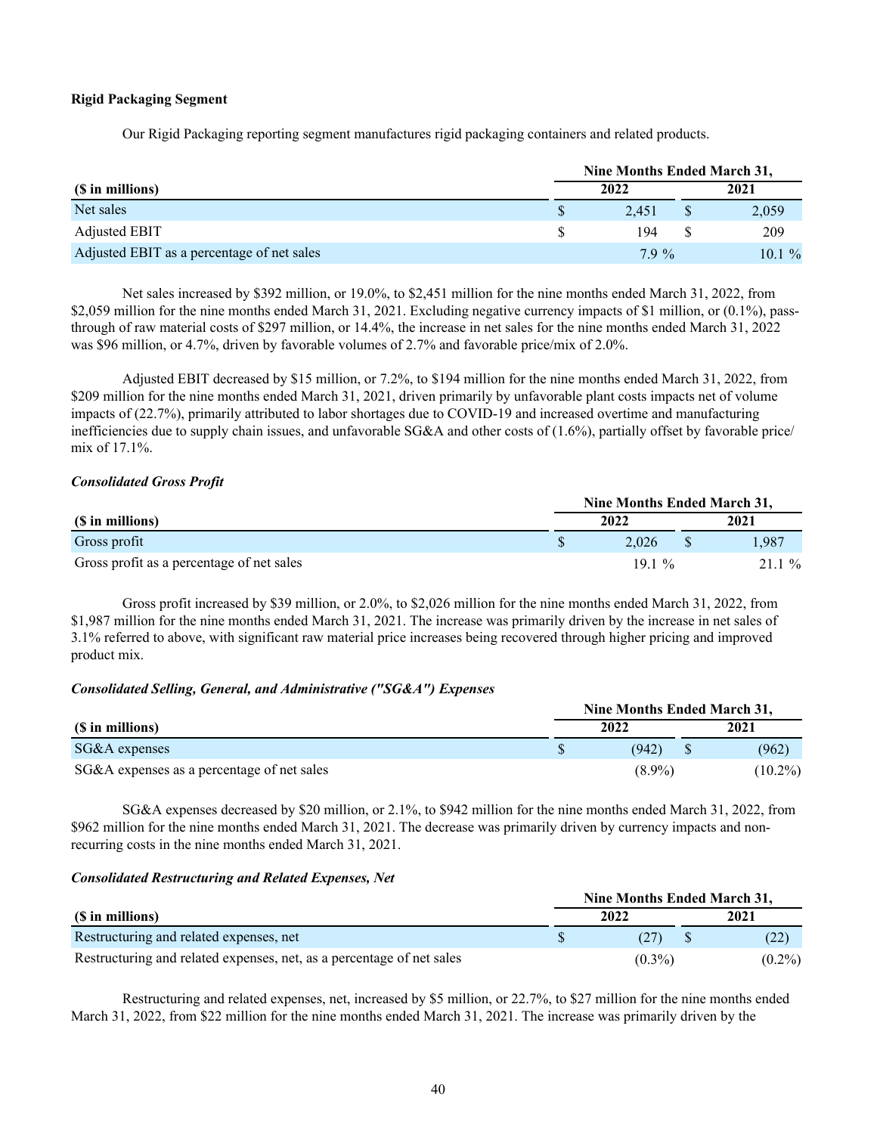### **Rigid Packaging Segment**

Our Rigid Packaging reporting segment manufactures rigid packaging containers and related products.

|                                            |      | Nine Months Ended March 31, |  |       |  |
|--------------------------------------------|------|-----------------------------|--|-------|--|
| (\$ in millions)                           | 2022 |                             |  | 2021  |  |
| Net sales                                  | S    | 2.451                       |  | 2,059 |  |
| <b>Adjusted EBIT</b>                       |      | 194                         |  | 209   |  |
| Adjusted EBIT as a percentage of net sales |      | $79\%$                      |  | 10.1% |  |

 Net sales increased by \$392 million, or 19.0%, to \$2,451 million for the nine months ended March 31, 2022, from \$2,059 million for the nine months ended March 31, 2021. Excluding negative currency impacts of \$1 million, or (0.1%), passthrough of raw material costs of \$297 million, or 14.4%, the increase in net sales for the nine months ended March 31, 2022 was \$96 million, or 4.7%, driven by favorable volumes of 2.7% and favorable price/mix of 2.0%.

 Adjusted EBIT decreased by \$15 million, or 7.2%, to \$194 million for the nine months ended March 31, 2022, from \$209 million for the nine months ended March 31, 2021, driven primarily by unfavorable plant costs impacts net of volume impacts of (22.7%), primarily attributed to labor shortages due to COVID-19 and increased overtime and manufacturing inefficiencies due to supply chain issues, and unfavorable SG&A and other costs of (1.6%), partially offset by favorable price/ mix of 17.1%.

### *Consolidated Gross Profit*

|                                           |  | Nine Months Ended March 31, |  |       |  |  |
|-------------------------------------------|--|-----------------------------|--|-------|--|--|
| (\$ in millions)                          |  | 2022                        |  | 2021  |  |  |
| Gross profit                              |  | 2.026                       |  | l.987 |  |  |
| Gross profit as a percentage of net sales |  | $191\%$                     |  | 21.1% |  |  |

 Gross profit increased by \$39 million, or 2.0%, to \$2,026 million for the nine months ended March 31, 2022, from \$1,987 million for the nine months ended March 31, 2021. The increase was primarily driven by the increase in net sales of 3.1% referred to above, with significant raw material price increases being recovered through higher pricing and improved product mix.

## *Consolidated Selling, General, and Administrative ("SG&A") Expenses*

|                                            | Nine Months Ended March 31. |  |            |  |  |
|--------------------------------------------|-----------------------------|--|------------|--|--|
| (\$ in millions)                           | 2022                        |  | 2021       |  |  |
| SG&A expenses                              | (942)                       |  | (962)      |  |  |
| SG&A expenses as a percentage of net sales | $(8.9\%)$                   |  | $(10.2\%)$ |  |  |

 SG&A expenses decreased by \$20 million, or 2.1%, to \$942 million for the nine months ended March 31, 2022, from \$962 million for the nine months ended March 31, 2021. The decrease was primarily driven by currency impacts and nonrecurring costs in the nine months ended March 31, 2021.

#### *Consolidated Restructuring and Related Expenses, Net*

|                                                                       | Nine Months Ended March 31, |  |           |  |  |  |
|-----------------------------------------------------------------------|-----------------------------|--|-----------|--|--|--|
| (\$ in millions)                                                      | 2022                        |  | 2021      |  |  |  |
| Restructuring and related expenses, net                               | (27)                        |  | (22)      |  |  |  |
| Restructuring and related expenses, net, as a percentage of net sales | $(0.3\%)$                   |  | $(0.2\%)$ |  |  |  |

 Restructuring and related expenses, net, increased by \$5 million, or 22.7%, to \$27 million for the nine months ended March 31, 2022, from \$22 million for the nine months ended March 31, 2021. The increase was primarily driven by the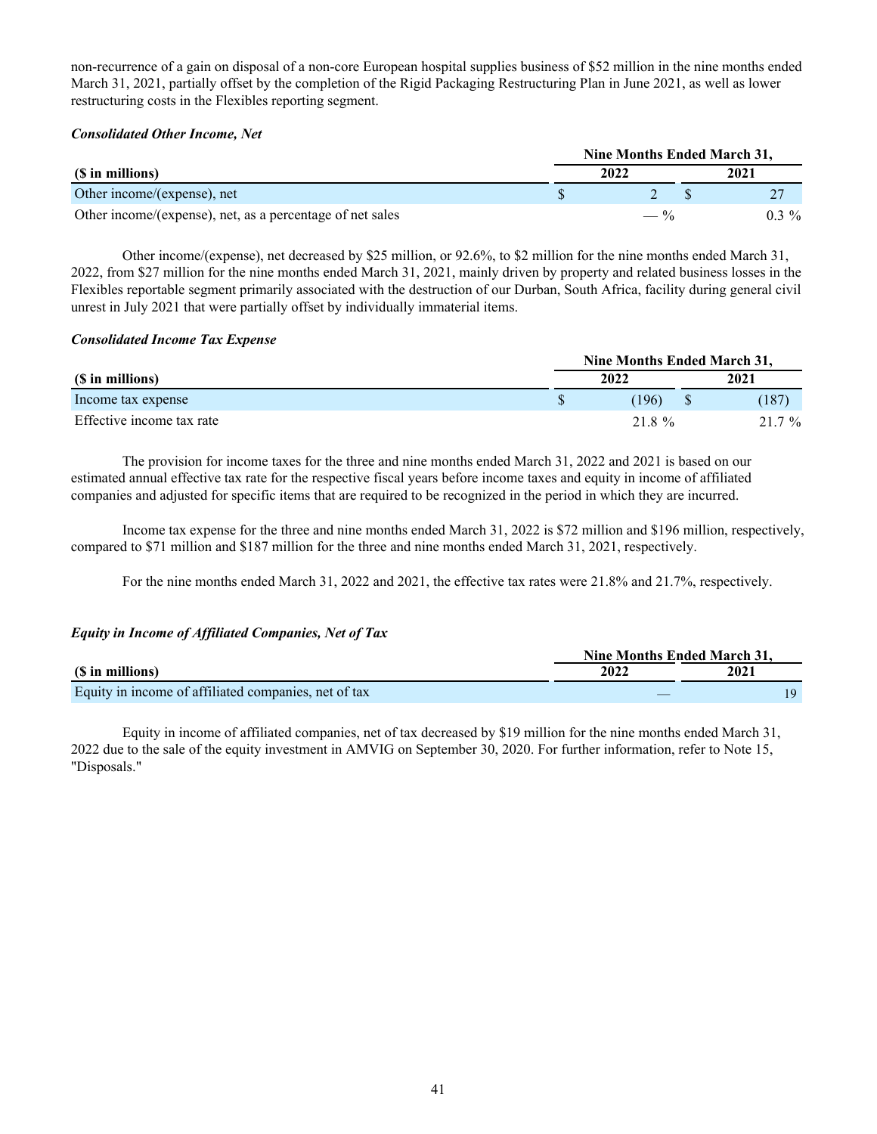non-recurrence of a gain on disposal of a non-core European hospital supplies business of \$52 million in the nine months ended March 31, 2021, partially offset by the completion of the Rigid Packaging Restructuring Plan in June 2021, as well as lower restructuring costs in the Flexibles reporting segment.

## *Consolidated Other Income, Net*

|                                                           |  | Nine Months Ended March 31, |  |         |  |  |
|-----------------------------------------------------------|--|-----------------------------|--|---------|--|--|
| (\$ in millions)                                          |  | 2022                        |  | 2021    |  |  |
| Other income/(expense), net                               |  |                             |  |         |  |  |
| Other income/(expense), net, as a percentage of net sales |  | $- \frac{6}{10}$            |  | $0.3\%$ |  |  |

Other income/(expense), net decreased by \$25 million, or 92.6%, to \$2 million for the nine months ended March 31, 2022, from \$27 million for the nine months ended March 31, 2021, mainly driven by property and related business losses in the Flexibles reportable segment primarily associated with the destruction of our Durban, South Africa, facility during general civil unrest in July 2021 that were partially offset by individually immaterial items.

#### *Consolidated Income Tax Expense*

|                           |  | Nine Months Ended March 31, |  |        |  |  |
|---------------------------|--|-----------------------------|--|--------|--|--|
| (\$ in millions)          |  | 2022                        |  | 2021   |  |  |
| Income tax expense        |  | (196)                       |  | (187   |  |  |
| Effective income tax rate |  | 21.8 %                      |  | 21.7 % |  |  |

 The provision for income taxes for the three and nine months ended March 31, 2022 and 2021 is based on our estimated annual effective tax rate for the respective fiscal years before income taxes and equity in income of affiliated companies and adjusted for specific items that are required to be recognized in the period in which they are incurred.

 Income tax expense for the three and nine months ended March 31, 2022 is \$72 million and \$196 million, respectively, compared to \$71 million and \$187 million for the three and nine months ended March 31, 2021, respectively.

For the nine months ended March 31, 2022 and 2021, the effective tax rates were 21.8% and 21.7%, respectively.

## *Equity in Income of Affiliated Companies, Net of Tax*

|                                                      |      | Nine Months Ended March 31. |  |  |  |
|------------------------------------------------------|------|-----------------------------|--|--|--|
| (\$ in millions)                                     | 2022 | 2021                        |  |  |  |
| Equity in income of affiliated companies, net of tax |      |                             |  |  |  |

 Equity in income of affiliated companies, net of tax decreased by \$19 million for the nine months ended March 31, 2022 due to the sale of the equity investment in AMVIG on September 30, 2020. For further information, refer to Note 15, "Disposals."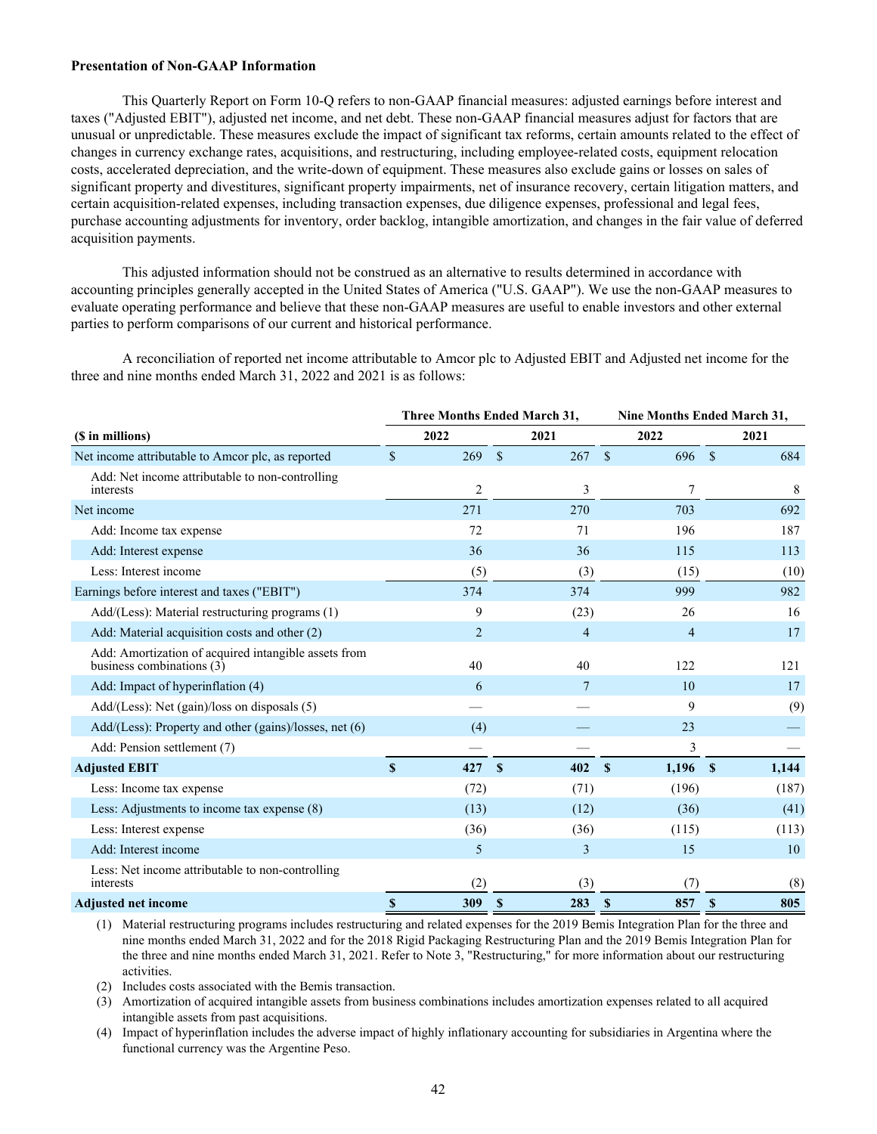#### <span id="page-42-0"></span>**Presentation of Non-GAAP Information**

 This Quarterly Report on Form 10-Q refers to non-GAAP financial measures: adjusted earnings before interest and taxes ("Adjusted EBIT"), adjusted net income, and net debt. These non-GAAP financial measures adjust for factors that are unusual or unpredictable. These measures exclude the impact of significant tax reforms, certain amounts related to the effect of changes in currency exchange rates, acquisitions, and restructuring, including employee-related costs, equipment relocation costs, accelerated depreciation, and the write-down of equipment. These measures also exclude gains or losses on sales of significant property and divestitures, significant property impairments, net of insurance recovery, certain litigation matters, and certain acquisition-related expenses, including transaction expenses, due diligence expenses, professional and legal fees, purchase accounting adjustments for inventory, order backlog, intangible amortization, and changes in the fair value of deferred acquisition payments.

 This adjusted information should not be construed as an alternative to results determined in accordance with accounting principles generally accepted in the United States of America ("U.S. GAAP"). We use the non-GAAP measures to evaluate operating performance and believe that these non-GAAP measures are useful to enable investors and other external parties to perform comparisons of our current and historical performance.

 A reconciliation of reported net income attributable to Amcor plc to Adjusted EBIT and Adjusted net income for the three and nine months ended March 31, 2022 and 2021 is as follows:

|                                                                                     |              | <b>Three Months Ended March 31,</b> |                    |                | Nine Months Ended March 31, |              |       |
|-------------------------------------------------------------------------------------|--------------|-------------------------------------|--------------------|----------------|-----------------------------|--------------|-------|
| (\$ in millions)                                                                    |              | 2022                                |                    | 2021           | 2022                        |              | 2021  |
| Net income attributable to Amcor plc, as reported                                   | \$           | 269                                 | $\mathbf{\hat{S}}$ | 267            | $\mathbb{S}$<br>696 \$      |              | 684   |
| Add: Net income attributable to non-controlling<br>interests                        |              | $\overline{c}$                      |                    | 3              | 7                           |              | 8     |
| Net income                                                                          |              | 271                                 |                    | 270            | 703                         |              | 692   |
| Add: Income tax expense                                                             |              | 72                                  |                    | 71             | 196                         |              | 187   |
| Add: Interest expense                                                               |              | 36                                  |                    | 36             | 115                         |              | 113   |
| Less: Interest income                                                               |              | (5)                                 |                    | (3)            | (15)                        |              | (10)  |
| Earnings before interest and taxes ("EBIT")                                         |              | 374                                 |                    | 374            | 999                         |              | 982   |
| Add/(Less): Material restructuring programs (1)                                     |              | 9                                   |                    | (23)           | 26                          |              | 16    |
| Add: Material acquisition costs and other (2)                                       |              | $\overline{2}$                      |                    | $\overline{4}$ | $\overline{4}$              |              | 17    |
| Add: Amortization of acquired intangible assets from<br>business combinations $(3)$ |              | 40                                  |                    | 40             | 122                         |              | 121   |
| Add: Impact of hyperinflation (4)                                                   |              | 6                                   |                    | 7              | 10                          |              | 17    |
| $Add/(Less)$ : Net (gain)/loss on disposals (5)                                     |              |                                     |                    |                | 9                           |              | (9)   |
| Add/(Less): Property and other (gains)/losses, net (6)                              |              | (4)                                 |                    |                | 23                          |              |       |
| Add: Pension settlement (7)                                                         |              |                                     |                    |                | 3                           |              |       |
| <b>Adjusted EBIT</b>                                                                | $\mathbf{s}$ | 427                                 | $\mathbf{s}$       | 402            | $1,196$ \$<br><b>S</b>      |              | 1,144 |
| Less: Income tax expense                                                            |              | (72)                                |                    | (71)           | (196)                       |              | (187) |
| Less: Adjustments to income tax expense (8)                                         |              | (13)                                |                    | (12)           | (36)                        |              | (41)  |
| Less: Interest expense                                                              |              | (36)                                |                    | (36)           | (115)                       |              | (113) |
| Add: Interest income                                                                |              | 5                                   |                    | 3              | 15                          |              | 10    |
| Less: Net income attributable to non-controlling<br>interests                       |              | (2)                                 |                    | (3)            | (7)                         |              | (8)   |
| <b>Adjusted net income</b>                                                          | $\mathbf{s}$ | 309                                 | $\mathbf{s}$       | 283            | <sup>\$</sup><br>857        | $\mathbf{s}$ | 805   |

(1) Material restructuring programs includes restructuring and related expenses for the 2019 Bemis Integration Plan for the three and nine months ended March 31, 2022 and for the 2018 Rigid Packaging Restructuring Plan and the 2019 Bemis Integration Plan for the three and nine months ended March 31, 2021. Refer to Note 3, "Restructuring," for more information about our restructuring activities.

(2) Includes costs associated with the Bemis transaction.

(3) Amortization of acquired intangible assets from business combinations includes amortization expenses related to all acquired intangible assets from past acquisitions.

(4) Impact of hyperinflation includes the adverse impact of highly inflationary accounting for subsidiaries in Argentina where the functional currency was the Argentine Peso.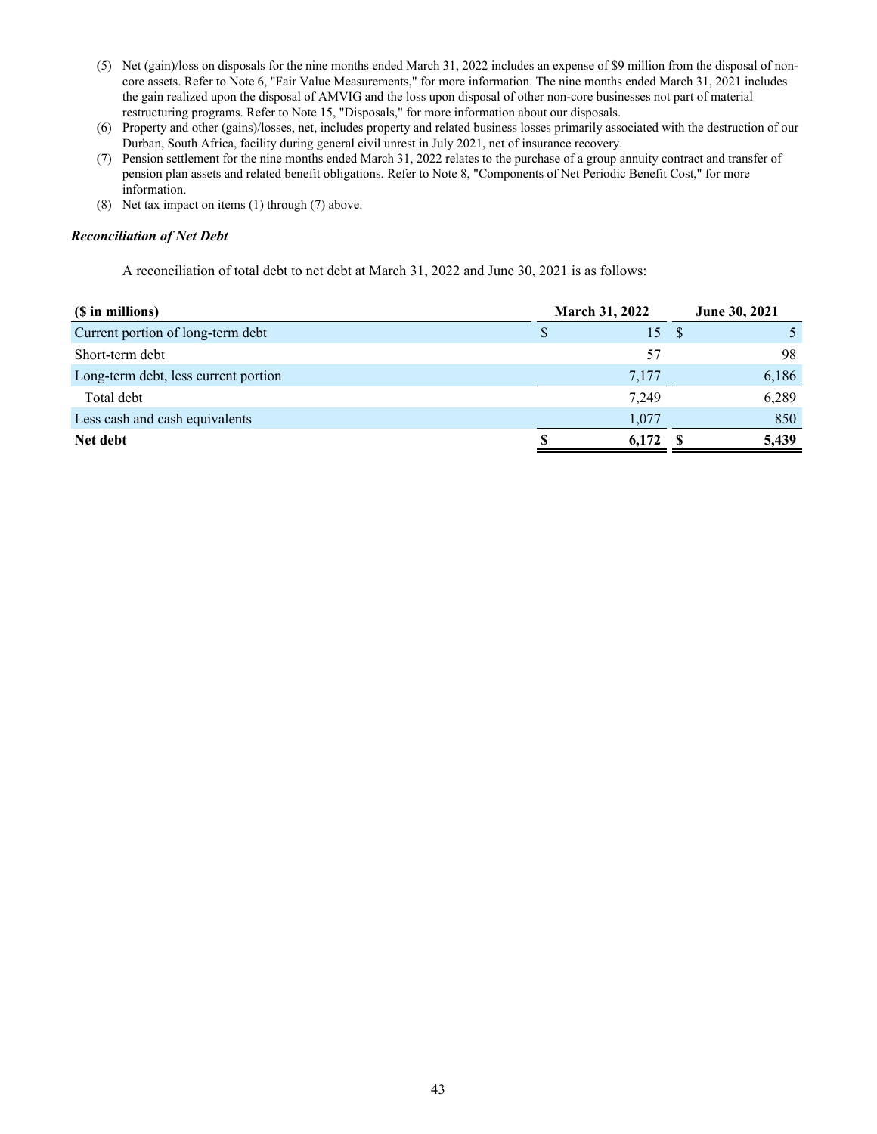- (5) Net (gain)/loss on disposals for the nine months ended March 31, 2022 includes an expense of \$9 million from the disposal of noncore assets. Refer to Note 6, "Fair Value Measurements," for more information. The nine months ended March 31, 2021 includes the gain realized upon the disposal of AMVIG and the loss upon disposal of other non-core businesses not part of material restructuring programs. Refer to Note 15, "Disposals," for more information about our disposals.
- (6) Property and other (gains)/losses, net, includes property and related business losses primarily associated with the destruction of our Durban, South Africa, facility during general civil unrest in July 2021, net of insurance recovery.
- (7) Pension settlement for the nine months ended March 31, 2022 relates to the purchase of a group annuity contract and transfer of pension plan assets and related benefit obligations. Refer to Note 8, "Components of Net Periodic Benefit Cost," for more information.
- (8) Net tax impact on items (1) through (7) above.

## *Reconciliation of Net Debt*

A reconciliation of total debt to net debt at March 31, 2022 and June 30, 2021 is as follows:

| (\$ in millions)                     | <b>March 31, 2022</b> | June 30, 2021 |
|--------------------------------------|-----------------------|---------------|
| Current portion of long-term debt    | S                     | 15S           |
| Short-term debt                      | 57                    | 98            |
| Long-term debt, less current portion | 7,177                 | 6,186         |
| Total debt                           | 7,249                 | 6,289         |
| Less cash and cash equivalents       | 1.077                 | 850           |
| Net debt                             | 6,172<br>N.           | 5,439         |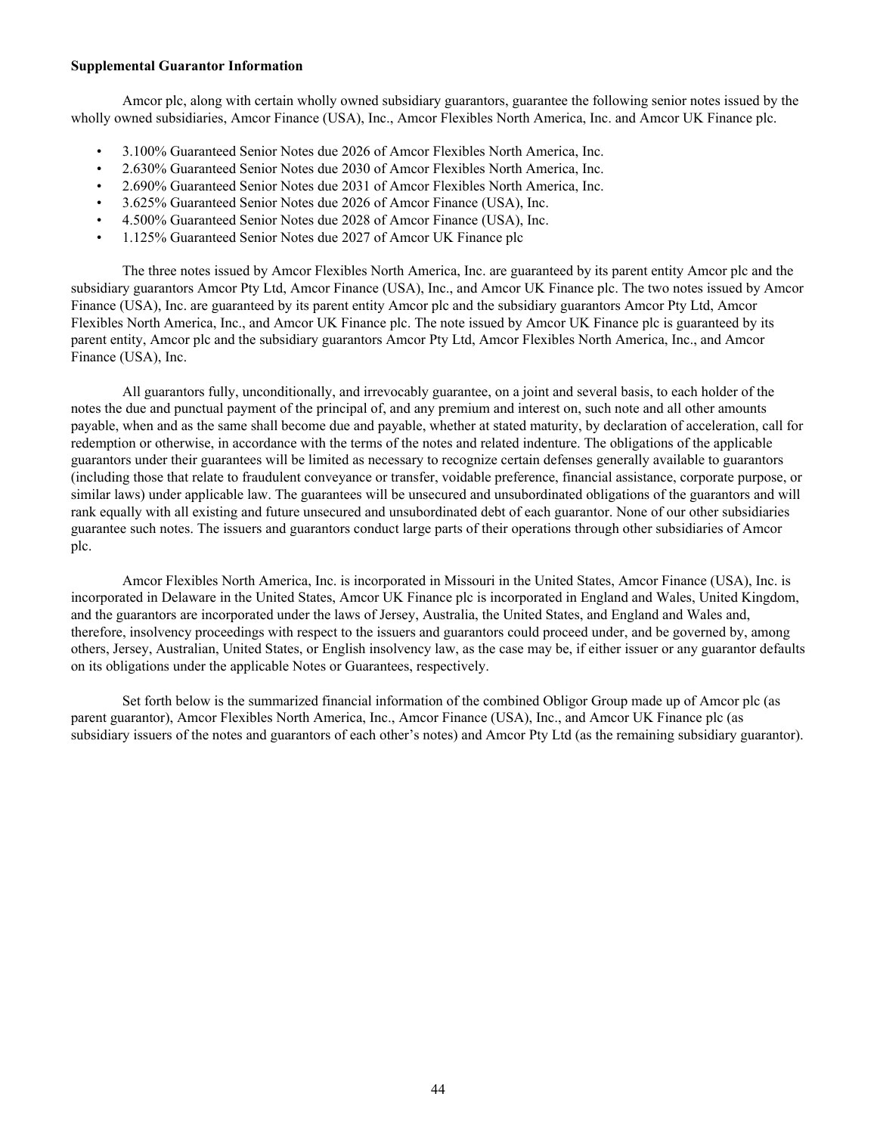#### <span id="page-44-0"></span>**Supplemental Guarantor Information**

 Amcor plc, along with certain wholly owned subsidiary guarantors, guarantee the following senior notes issued by the wholly owned subsidiaries, Amcor Finance (USA), Inc., Amcor Flexibles North America, Inc. and Amcor UK Finance plc.

- 3.100% Guaranteed Senior Notes due 2026 of Amcor Flexibles North America, Inc.
- 2.630% Guaranteed Senior Notes due 2030 of Amcor Flexibles North America, Inc.
- 2.690% Guaranteed Senior Notes due 2031 of Amcor Flexibles North America, Inc.
- 3.625% Guaranteed Senior Notes due 2026 of Amcor Finance (USA), Inc.
- 4.500% Guaranteed Senior Notes due 2028 of Amcor Finance (USA), Inc.
- 1.125% Guaranteed Senior Notes due 2027 of Amcor UK Finance plc

 The three notes issued by Amcor Flexibles North America, Inc. are guaranteed by its parent entity Amcor plc and the subsidiary guarantors Amcor Pty Ltd, Amcor Finance (USA), Inc., and Amcor UK Finance plc. The two notes issued by Amcor Finance (USA), Inc. are guaranteed by its parent entity Amcor plc and the subsidiary guarantors Amcor Pty Ltd, Amcor Flexibles North America, Inc., and Amcor UK Finance plc. The note issued by Amcor UK Finance plc is guaranteed by its parent entity, Amcor plc and the subsidiary guarantors Amcor Pty Ltd, Amcor Flexibles North America, Inc., and Amcor Finance (USA), Inc.

 All guarantors fully, unconditionally, and irrevocably guarantee, on a joint and several basis, to each holder of the notes the due and punctual payment of the principal of, and any premium and interest on, such note and all other amounts payable, when and as the same shall become due and payable, whether at stated maturity, by declaration of acceleration, call for redemption or otherwise, in accordance with the terms of the notes and related indenture. The obligations of the applicable guarantors under their guarantees will be limited as necessary to recognize certain defenses generally available to guarantors (including those that relate to fraudulent conveyance or transfer, voidable preference, financial assistance, corporate purpose, or similar laws) under applicable law. The guarantees will be unsecured and unsubordinated obligations of the guarantors and will rank equally with all existing and future unsecured and unsubordinated debt of each guarantor. None of our other subsidiaries guarantee such notes. The issuers and guarantors conduct large parts of their operations through other subsidiaries of Amcor plc.

 Amcor Flexibles North America, Inc. is incorporated in Missouri in the United States, Amcor Finance (USA), Inc. is incorporated in Delaware in the United States, Amcor UK Finance plc is incorporated in England and Wales, United Kingdom, and the guarantors are incorporated under the laws of Jersey, Australia, the United States, and England and Wales and, therefore, insolvency proceedings with respect to the issuers and guarantors could proceed under, and be governed by, among others, Jersey, Australian, United States, or English insolvency law, as the case may be, if either issuer or any guarantor defaults on its obligations under the applicable Notes or Guarantees, respectively.

 Set forth below is the summarized financial information of the combined Obligor Group made up of Amcor plc (as parent guarantor), Amcor Flexibles North America, Inc., Amcor Finance (USA), Inc., and Amcor UK Finance plc (as subsidiary issuers of the notes and guarantors of each other's notes) and Amcor Pty Ltd (as the remaining subsidiary guarantor).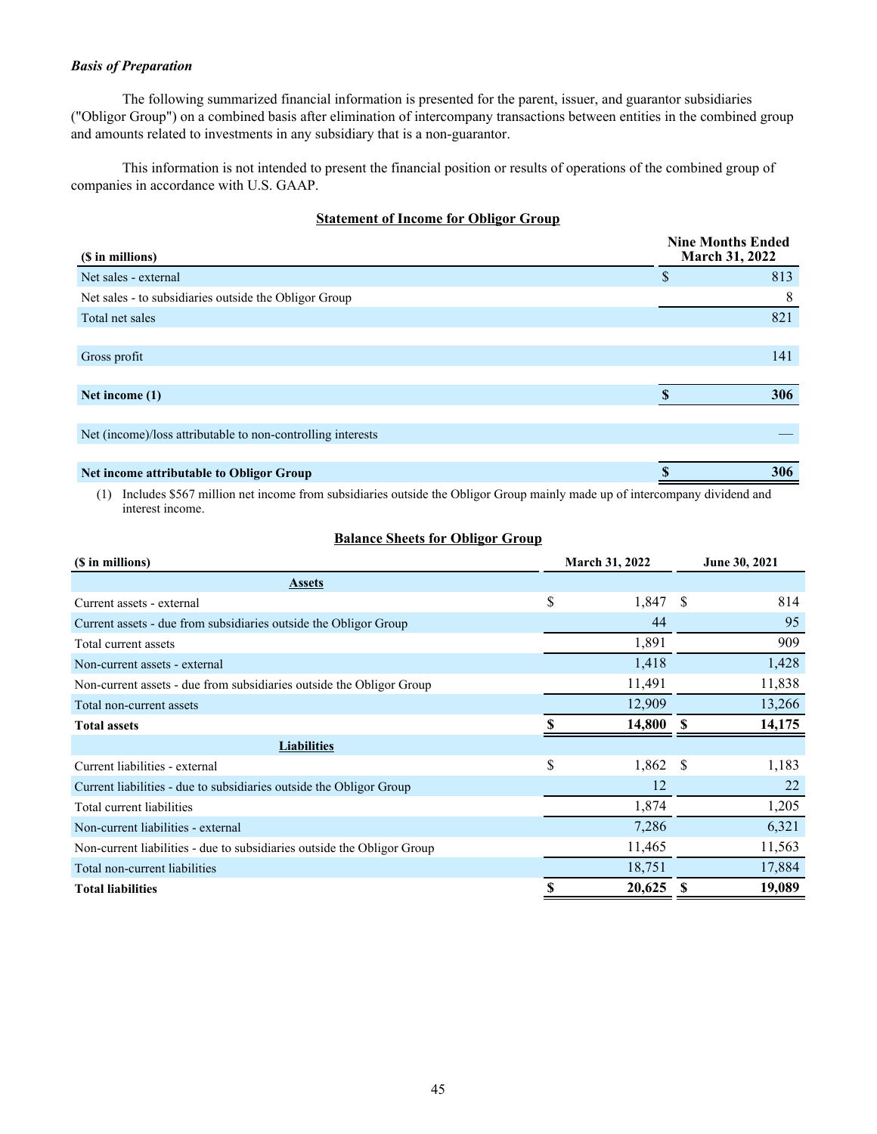## *Basis of Preparation*

 The following summarized financial information is presented for the parent, issuer, and guarantor subsidiaries ("Obligor Group") on a combined basis after elimination of intercompany transactions between entities in the combined group and amounts related to investments in any subsidiary that is a non-guarantor.

 This information is not intended to present the financial position or results of operations of the combined group of companies in accordance with U.S. GAAP.

## **Statement of Income for Obligor Group**

| (\$ in millions)                                            | <b>Nine Months Ended</b><br><b>March 31, 2022</b> |
|-------------------------------------------------------------|---------------------------------------------------|
| Net sales - external                                        | \$<br>813                                         |
| Net sales - to subsidiaries outside the Obligor Group       | 8                                                 |
| Total net sales                                             | 821                                               |
|                                                             |                                                   |
| Gross profit                                                | 141                                               |
|                                                             |                                                   |
| Net income (1)                                              | 306                                               |
|                                                             |                                                   |
| Net (income)/loss attributable to non-controlling interests |                                                   |
|                                                             |                                                   |
| Net income attributable to Obligor Group                    | 306                                               |

(1) Includes \$567 million net income from subsidiaries outside the Obligor Group mainly made up of intercompany dividend and interest income.

## **Balance Sheets for Obligor Group**

| (\$ in millions)                                                        |    | <b>March 31, 2022</b> |              | June 30, 2021 |  |
|-------------------------------------------------------------------------|----|-----------------------|--------------|---------------|--|
| <b>Assets</b>                                                           |    |                       |              |               |  |
| Current assets - external                                               | \$ | 1,847                 | S            | 814           |  |
| Current assets - due from subsidiaries outside the Obligor Group        |    | 44                    |              | 95            |  |
| Total current assets                                                    |    | 1,891                 |              | 909           |  |
| Non-current assets - external                                           |    | 1,418                 |              | 1,428         |  |
| Non-current assets - due from subsidiaries outside the Obligor Group    |    | 11,491                |              | 11,838        |  |
| Total non-current assets                                                |    | 12,909                |              | 13,266        |  |
| <b>Total assets</b>                                                     |    | 14,800                |              | 14,175        |  |
| <b>Liabilities</b>                                                      |    |                       |              |               |  |
| Current liabilities - external                                          | \$ | 1,862                 | <sup>S</sup> | 1,183         |  |
| Current liabilities - due to subsidiaries outside the Obligor Group     |    | 12                    |              | 22            |  |
| Total current liabilities                                               |    | 1,874                 |              | 1,205         |  |
| Non-current liabilities - external                                      |    | 7,286                 |              | 6,321         |  |
| Non-current liabilities - due to subsidiaries outside the Obligor Group |    | 11,465                |              | 11,563        |  |
| Total non-current liabilities                                           |    | 18,751                |              | 17,884        |  |
| <b>Total liabilities</b>                                                | S  | 20,625                | S            | 19,089        |  |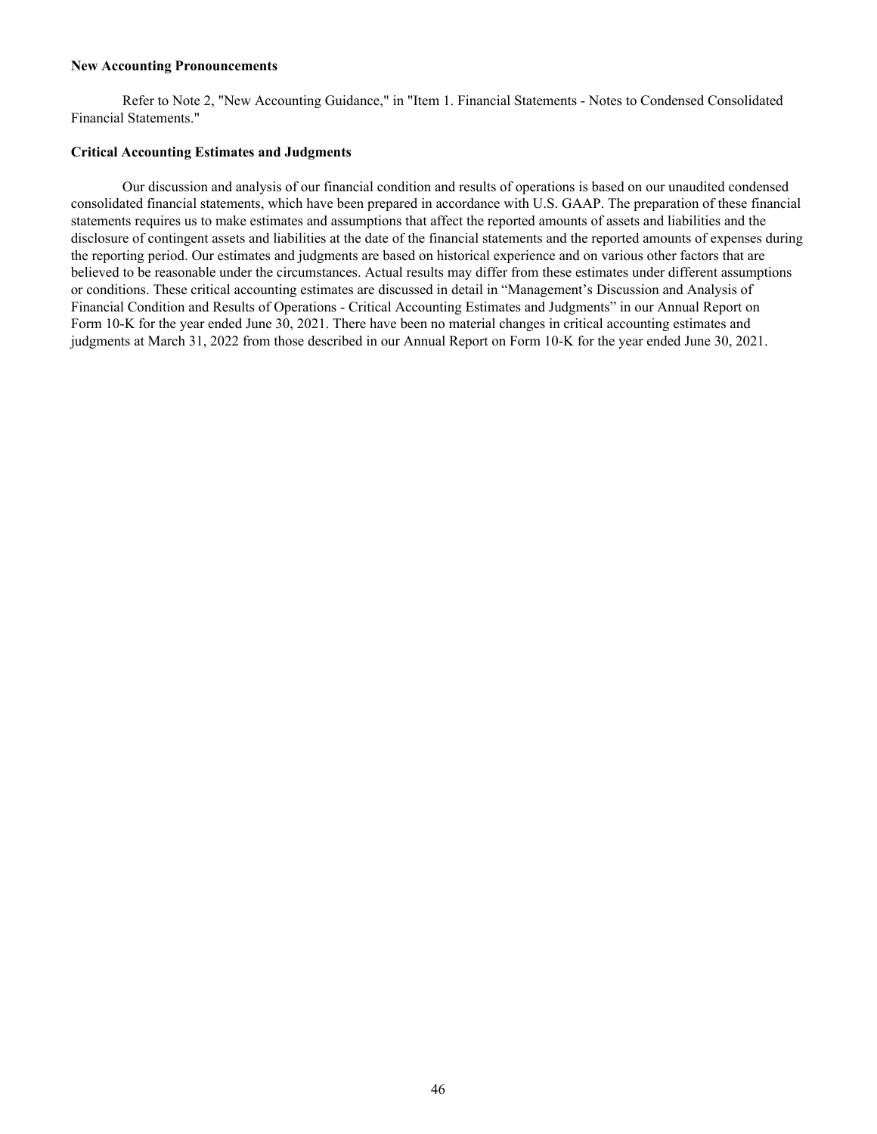#### <span id="page-46-0"></span>**New Accounting Pronouncements**

 Refer to Note 2, "New Accounting Guidance," in "Item 1. Financial Statements - Notes to Condensed Consolidated Financial Statements."

#### **Critical Accounting Estimates and Judgments**

 Our discussion and analysis of our financial condition and results of operations is based on our unaudited condensed consolidated financial statements, which have been prepared in accordance with U.S. GAAP. The preparation of these financial statements requires us to make estimates and assumptions that affect the reported amounts of assets and liabilities and the disclosure of contingent assets and liabilities at the date of the financial statements and the reported amounts of expenses during the reporting period. Our estimates and judgments are based on historical experience and on various other factors that are believed to be reasonable under the circumstances. Actual results may differ from these estimates under different assumptions or conditions. These critical accounting estimates are discussed in detail in "Management's Discussion and Analysis of Financial Condition and Results of Operations - Critical Accounting Estimates and Judgments" in our Annual Report on Form 10-K for the year ended June 30, 2021. There have been no material changes in critical accounting estimates and judgments at March 31, 2022 from those described in our Annual Report on Form 10-K for the year ended June 30, 2021.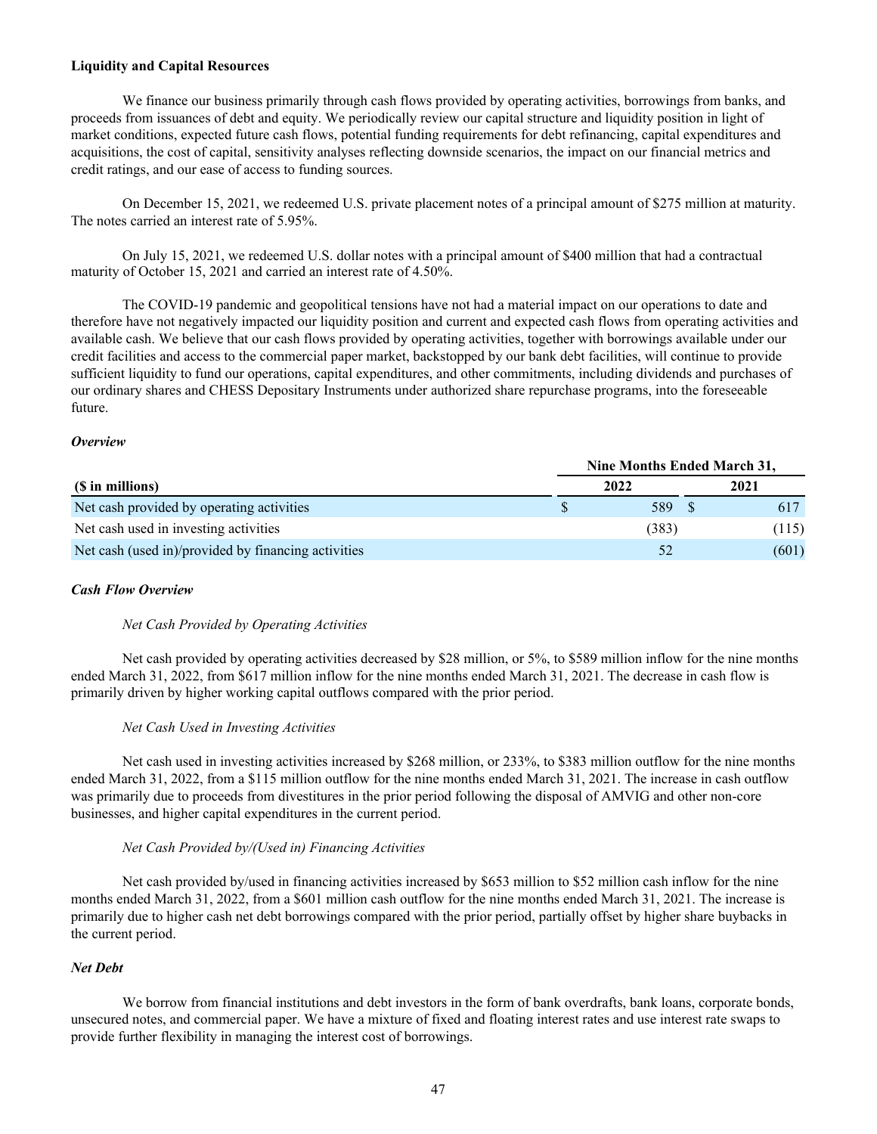#### <span id="page-47-0"></span>**Liquidity and Capital Resources**

We finance our business primarily through cash flows provided by operating activities, borrowings from banks, and proceeds from issuances of debt and equity. We periodically review our capital structure and liquidity position in light of market conditions, expected future cash flows, potential funding requirements for debt refinancing, capital expenditures and acquisitions, the cost of capital, sensitivity analyses reflecting downside scenarios, the impact on our financial metrics and credit ratings, and our ease of access to funding sources.

 On December 15, 2021, we redeemed U.S. private placement notes of a principal amount of \$275 million at maturity. The notes carried an interest rate of 5.95%.

 On July 15, 2021, we redeemed U.S. dollar notes with a principal amount of \$400 million that had a contractual maturity of October 15, 2021 and carried an interest rate of 4.50%.

 The COVID-19 pandemic and geopolitical tensions have not had a material impact on our operations to date and therefore have not negatively impacted our liquidity position and current and expected cash flows from operating activities and available cash. We believe that our cash flows provided by operating activities, together with borrowings available under our credit facilities and access to the commercial paper market, backstopped by our bank debt facilities, will continue to provide sufficient liquidity to fund our operations, capital expenditures, and other commitments, including dividends and purchases of our ordinary shares and CHESS Depositary Instruments under authorized share repurchase programs, into the foreseeable future.

#### *Overview*

|                                                     | Nine Months Ended March 31, |  |       |  |  |
|-----------------------------------------------------|-----------------------------|--|-------|--|--|
| (\$ in millions)                                    | 2022                        |  | 2021  |  |  |
| Net cash provided by operating activities           | 589                         |  | 617   |  |  |
| Net cash used in investing activities               | (383)                       |  | (115) |  |  |
| Net cash (used in)/provided by financing activities | 52                          |  | (601) |  |  |

#### *Cash Flow Overview*

#### *Net Cash Provided by Operating Activities*

 Net cash provided by operating activities decreased by \$28 million, or 5%, to \$589 million inflow for the nine months ended March 31, 2022, from \$617 million inflow for the nine months ended March 31, 2021. The decrease in cash flow is primarily driven by higher working capital outflows compared with the prior period.

## *Net Cash Used in Investing Activities*

 Net cash used in investing activities increased by \$268 million, or 233%, to \$383 million outflow for the nine months ended March 31, 2022, from a \$115 million outflow for the nine months ended March 31, 2021. The increase in cash outflow was primarily due to proceeds from divestitures in the prior period following the disposal of AMVIG and other non-core businesses, and higher capital expenditures in the current period.

#### *Net Cash Provided by/(Used in) Financing Activities*

 Net cash provided by/used in financing activities increased by \$653 million to \$52 million cash inflow for the nine months ended March 31, 2022, from a \$601 million cash outflow for the nine months ended March 31, 2021. The increase is primarily due to higher cash net debt borrowings compared with the prior period, partially offset by higher share buybacks in the current period.

### *Net Debt*

We borrow from financial institutions and debt investors in the form of bank overdrafts, bank loans, corporate bonds, unsecured notes, and commercial paper. We have a mixture of fixed and floating interest rates and use interest rate swaps to provide further flexibility in managing the interest cost of borrowings.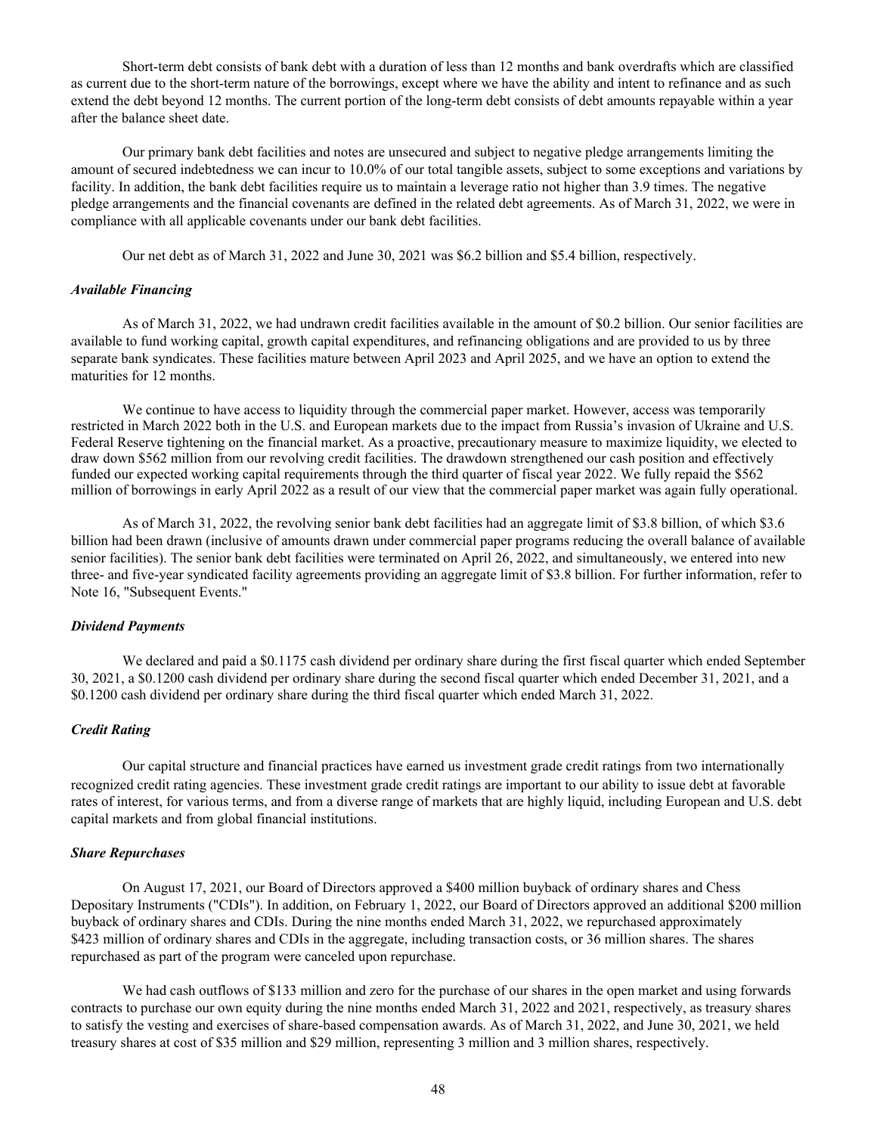Short-term debt consists of bank debt with a duration of less than 12 months and bank overdrafts which are classified as current due to the short-term nature of the borrowings, except where we have the ability and intent to refinance and as such extend the debt beyond 12 months. The current portion of the long-term debt consists of debt amounts repayable within a year after the balance sheet date.

 Our primary bank debt facilities and notes are unsecured and subject to negative pledge arrangements limiting the amount of secured indebtedness we can incur to 10.0% of our total tangible assets, subject to some exceptions and variations by facility. In addition, the bank debt facilities require us to maintain a leverage ratio not higher than 3.9 times. The negative pledge arrangements and the financial covenants are defined in the related debt agreements. As of March 31, 2022, we were in compliance with all applicable covenants under our bank debt facilities.

Our net debt as of March 31, 2022 and June 30, 2021 was \$6.2 billion and \$5.4 billion, respectively.

#### *Available Financing*

 As of March 31, 2022, we had undrawn credit facilities available in the amount of \$0.2 billion. Our senior facilities are available to fund working capital, growth capital expenditures, and refinancing obligations and are provided to us by three separate bank syndicates. These facilities mature between April 2023 and April 2025, and we have an option to extend the maturities for 12 months.

 We continue to have access to liquidity through the commercial paper market. However, access was temporarily restricted in March 2022 both in the U.S. and European markets due to the impact from Russia's invasion of Ukraine and U.S. Federal Reserve tightening on the financial market. As a proactive, precautionary measure to maximize liquidity, we elected to draw down \$562 million from our revolving credit facilities. The drawdown strengthened our cash position and effectively funded our expected working capital requirements through the third quarter of fiscal year 2022. We fully repaid the \$562 million of borrowings in early April 2022 as a result of our view that the commercial paper market was again fully operational.

 As of March 31, 2022, the revolving senior bank debt facilities had an aggregate limit of \$3.8 billion, of which \$3.6 billion had been drawn (inclusive of amounts drawn under commercial paper programs reducing the overall balance of available senior facilities). The senior bank debt facilities were terminated on April 26, 2022, and simultaneously, we entered into new three- and five-year syndicated facility agreements providing an aggregate limit of \$3.8 billion. For further information, refer to Note 16, "Subsequent Events."

#### *Dividend Payments*

We declared and paid a \$0.1175 cash dividend per ordinary share during the first fiscal quarter which ended September 30, 2021, a \$0.1200 cash dividend per ordinary share during the second fiscal quarter which ended December 31, 2021, and a \$0.1200 cash dividend per ordinary share during the third fiscal quarter which ended March 31, 2022.

#### *Credit Rating*

Our capital structure and financial practices have earned us investment grade credit ratings from two internationally recognized credit rating agencies. These investment grade credit ratings are important to our ability to issue debt at favorable rates of interest, for various terms, and from a diverse range of markets that are highly liquid, including European and U.S. debt capital markets and from global financial institutions.

#### *Share Repurchases*

 On August 17, 2021, our Board of Directors approved a \$400 million buyback of ordinary shares and Chess Depositary Instruments ("CDIs"). In addition, on February 1, 2022, our Board of Directors approved an additional \$200 million buyback of ordinary shares and CDIs. During the nine months ended March 31, 2022, we repurchased approximately \$423 million of ordinary shares and CDIs in the aggregate, including transaction costs, or 36 million shares. The shares repurchased as part of the program were canceled upon repurchase.

We had cash outflows of \$133 million and zero for the purchase of our shares in the open market and using forwards contracts to purchase our own equity during the nine months ended March 31, 2022 and 2021, respectively, as treasury shares to satisfy the vesting and exercises of share-based compensation awards. As of March 31, 2022, and June 30, 2021, we held treasury shares at cost of \$35 million and \$29 million, representing 3 million and 3 million shares, respectively.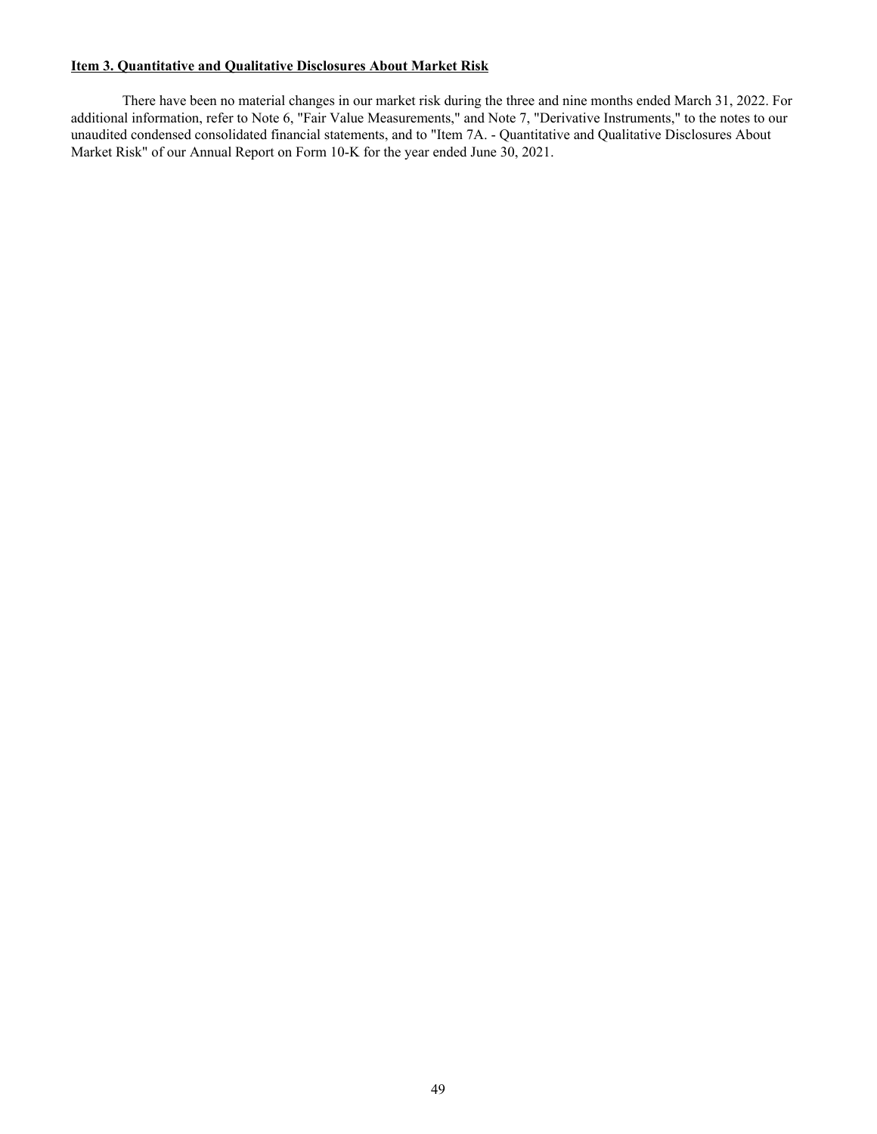## <span id="page-49-0"></span>**Item 3. Quantitative and Qualitative Disclosures About Market Risk**

 There have been no material changes in our market risk during the three and nine months ended March 31, 2022. For additional information, refer to Note 6, "Fair Value Measurements," and Note 7, "Derivative Instruments," to the notes to our unaudited condensed consolidated financial statements, and to "Item 7A. - Quantitative and Qualitative Disclosures About Market Risk" of our Annual Report on Form 10-K for the year ended June 30, 2021.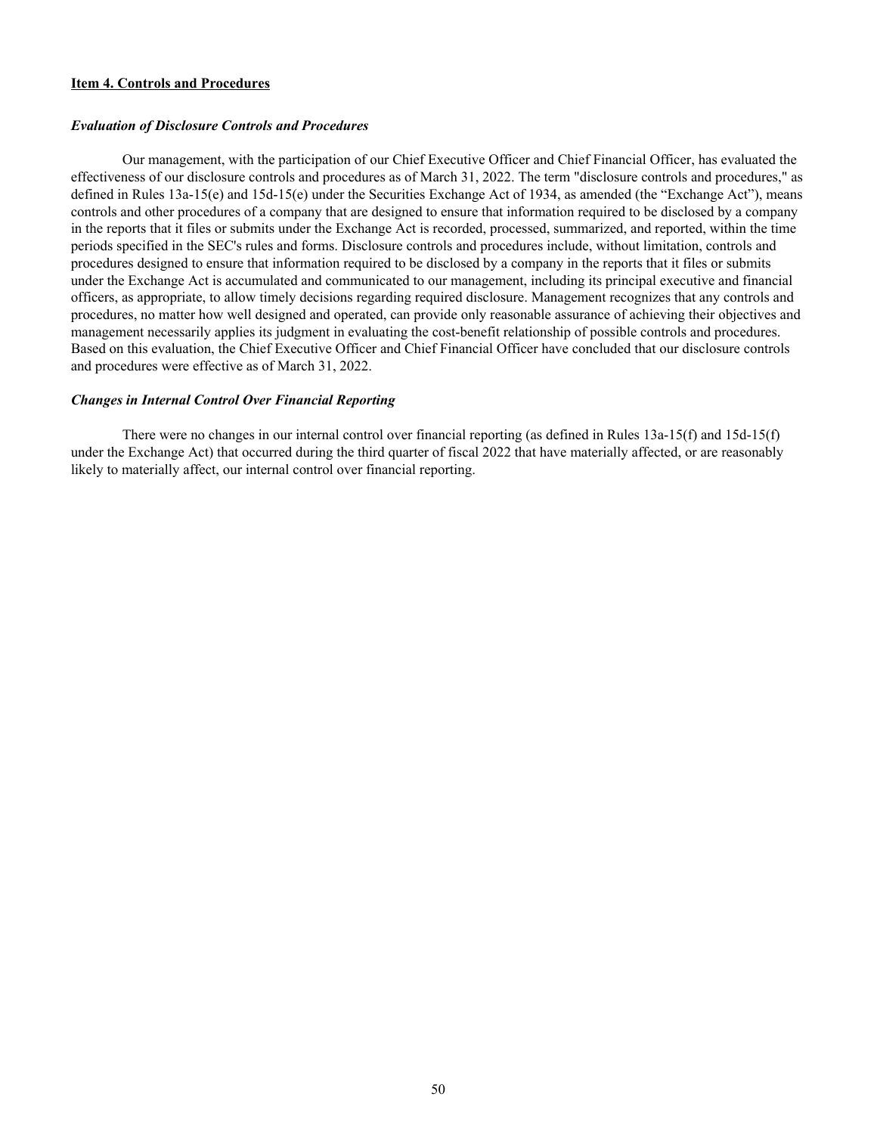#### <span id="page-50-0"></span>**Item 4. Controls and Procedures**

#### *Evaluation of Disclosure Controls and Procedures*

 Our management, with the participation of our Chief Executive Officer and Chief Financial Officer, has evaluated the effectiveness of our disclosure controls and procedures as of March 31, 2022. The term "disclosure controls and procedures," as defined in Rules 13a-15(e) and 15d-15(e) under the Securities Exchange Act of 1934, as amended (the "Exchange Act"), means controls and other procedures of a company that are designed to ensure that information required to be disclosed by a company in the reports that it files or submits under the Exchange Act is recorded, processed, summarized, and reported, within the time periods specified in the SEC's rules and forms. Disclosure controls and procedures include, without limitation, controls and procedures designed to ensure that information required to be disclosed by a company in the reports that it files or submits under the Exchange Act is accumulated and communicated to our management, including its principal executive and financial officers, as appropriate, to allow timely decisions regarding required disclosure. Management recognizes that any controls and procedures, no matter how well designed and operated, can provide only reasonable assurance of achieving their objectives and management necessarily applies its judgment in evaluating the cost-benefit relationship of possible controls and procedures. Based on this evaluation, the Chief Executive Officer and Chief Financial Officer have concluded that our disclosure controls and procedures were effective as of March 31, 2022.

#### *Changes in Internal Control Over Financial Reporting*

 There were no changes in our internal control over financial reporting (as defined in Rules 13a-15(f) and 15d-15(f) under the Exchange Act) that occurred during the third quarter of fiscal 2022 that have materially affected, or are reasonably likely to materially affect, our internal control over financial reporting.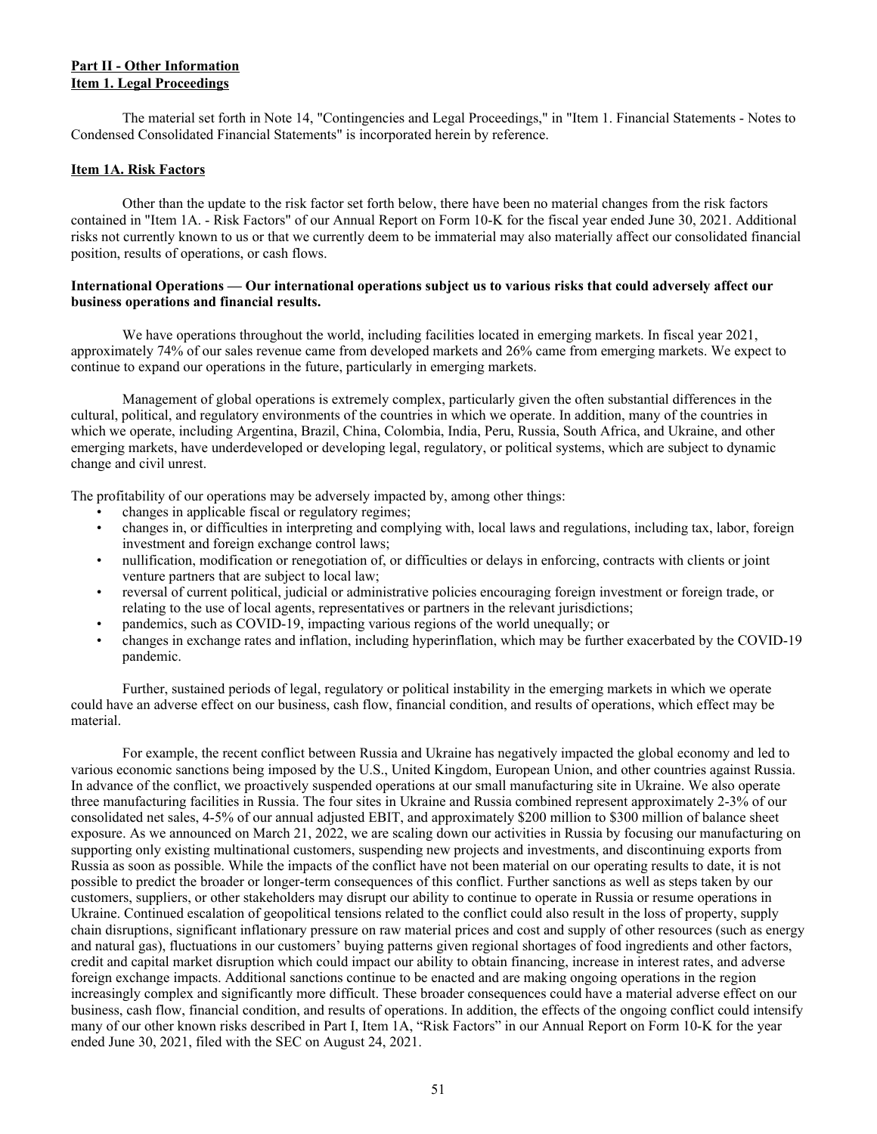## <span id="page-51-0"></span>**Part II - Other Information Item 1. Legal Proceedings**

 The material set forth in Note 14, "Contingencies and Legal Proceedings," in "Item 1. Financial Statements - Notes to Condensed Consolidated Financial Statements" is incorporated herein by reference.

## **Item 1A. Risk Factors**

 Other than the update to the risk factor set forth below, there have been no material changes from the risk factors contained in "Item 1A. - Risk Factors" of our Annual Report on Form 10-K for the fiscal year ended June 30, 2021. Additional risks not currently known to us or that we currently deem to be immaterial may also materially affect our consolidated financial position, results of operations, or cash flows.

#### **International Operations — Our international operations subject us to various risks that could adversely affect our business operations and financial results.**

We have operations throughout the world, including facilities located in emerging markets. In fiscal year 2021, approximately 74% of our sales revenue came from developed markets and 26% came from emerging markets. We expect to continue to expand our operations in the future, particularly in emerging markets.

 Management of global operations is extremely complex, particularly given the often substantial differences in the cultural, political, and regulatory environments of the countries in which we operate. In addition, many of the countries in which we operate, including Argentina, Brazil, China, Colombia, India, Peru, Russia, South Africa, and Ukraine, and other emerging markets, have underdeveloped or developing legal, regulatory, or political systems, which are subject to dynamic change and civil unrest.

The profitability of our operations may be adversely impacted by, among other things:

- changes in applicable fiscal or regulatory regimes;
- changes in, or difficulties in interpreting and complying with, local laws and regulations, including tax, labor, foreign investment and foreign exchange control laws;
- nullification, modification or renegotiation of, or difficulties or delays in enforcing, contracts with clients or joint venture partners that are subject to local law;
- reversal of current political, judicial or administrative policies encouraging foreign investment or foreign trade, or relating to the use of local agents, representatives or partners in the relevant jurisdictions;
- pandemics, such as COVID-19, impacting various regions of the world unequally; or
- changes in exchange rates and inflation, including hyperinflation, which may be further exacerbated by the COVID-19 pandemic.

 Further, sustained periods of legal, regulatory or political instability in the emerging markets in which we operate could have an adverse effect on our business, cash flow, financial condition, and results of operations, which effect may be material.

For example, the recent conflict between Russia and Ukraine has negatively impacted the global economy and led to various economic sanctions being imposed by the U.S., United Kingdom, European Union, and other countries against Russia. In advance of the conflict, we proactively suspended operations at our small manufacturing site in Ukraine. We also operate three manufacturing facilities in Russia. The four sites in Ukraine and Russia combined represent approximately 2-3% of our consolidated net sales, 4-5% of our annual adjusted EBIT, and approximately \$200 million to \$300 million of balance sheet exposure. As we announced on March 21, 2022, we are scaling down our activities in Russia by focusing our manufacturing on supporting only existing multinational customers, suspending new projects and investments, and discontinuing exports from Russia as soon as possible. While the impacts of the conflict have not been material on our operating results to date, it is not possible to predict the broader or longer-term consequences of this conflict. Further sanctions as well as steps taken by our customers, suppliers, or other stakeholders may disrupt our ability to continue to operate in Russia or resume operations in Ukraine. Continued escalation of geopolitical tensions related to the conflict could also result in the loss of property, supply chain disruptions, significant inflationary pressure on raw material prices and cost and supply of other resources (such as energy and natural gas), fluctuations in our customers' buying patterns given regional shortages of food ingredients and other factors, credit and capital market disruption which could impact our ability to obtain financing, increase in interest rates, and adverse foreign exchange impacts. Additional sanctions continue to be enacted and are making ongoing operations in the region increasingly complex and significantly more difficult. These broader consequences could have a material adverse effect on our business, cash flow, financial condition, and results of operations. In addition, the effects of the ongoing conflict could intensify many of our other known risks described in Part I, Item 1A, "Risk Factors" in our Annual Report on Form 10-K for the year ended June 30, 2021, filed with the SEC on August 24, 2021.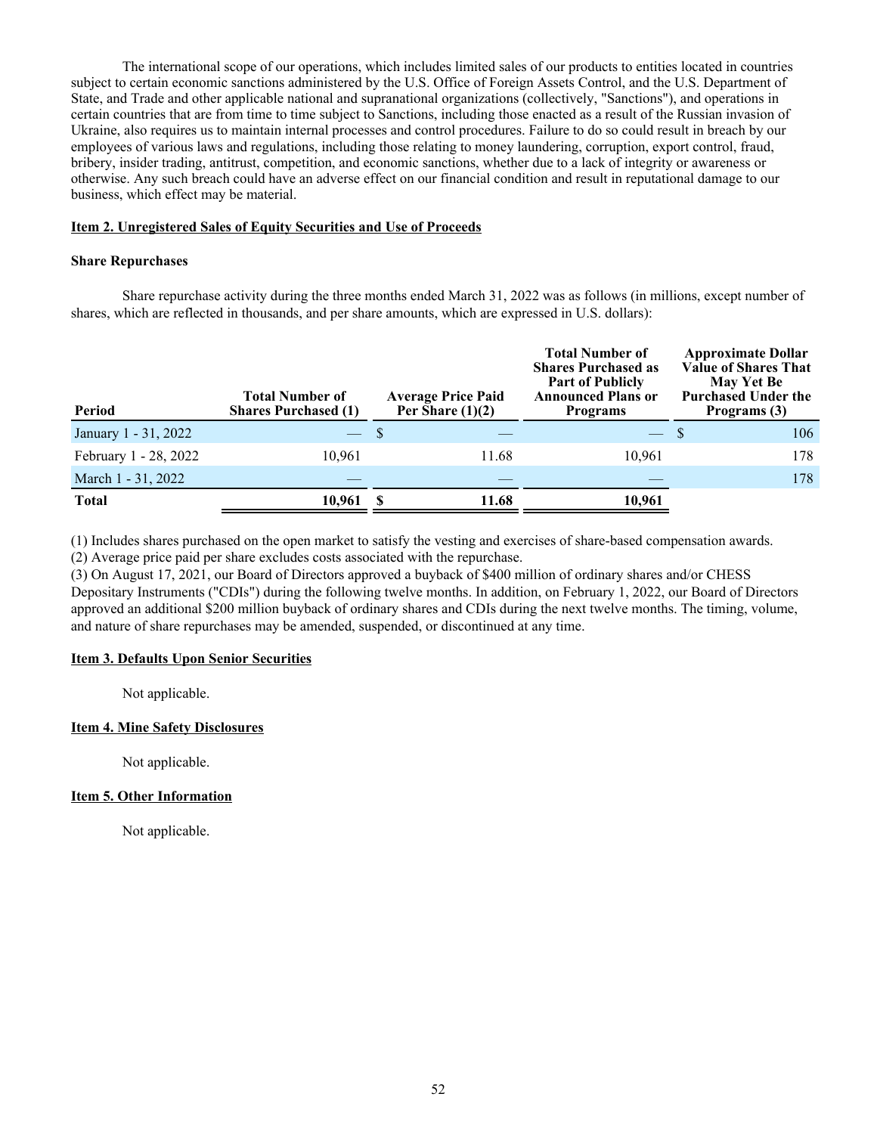<span id="page-52-0"></span> The international scope of our operations, which includes limited sales of our products to entities located in countries subject to certain economic sanctions administered by the U.S. Office of Foreign Assets Control, and the U.S. Department of State, and Trade and other applicable national and supranational organizations (collectively, "Sanctions"), and operations in certain countries that are from time to time subject to Sanctions, including those enacted as a result of the Russian invasion of Ukraine, also requires us to maintain internal processes and control procedures. Failure to do so could result in breach by our employees of various laws and regulations, including those relating to money laundering, corruption, export control, fraud, bribery, insider trading, antitrust, competition, and economic sanctions, whether due to a lack of integrity or awareness or otherwise. Any such breach could have an adverse effect on our financial condition and result in reputational damage to our business, which effect may be material.

## **Item 2. Unregistered Sales of Equity Securities and Use of Proceeds**

## **Share Repurchases**

 Share repurchase activity during the three months ended March 31, 2022 was as follows (in millions, except number of shares, which are reflected in thousands, and per share amounts, which are expressed in U.S. dollars):

| <b>Period</b>         | <b>Total Number of</b><br><b>Shares Purchased (1)</b> | <b>Average Price Paid</b><br>Per Share $(1)(2)$ | <b>Total Number of</b><br><b>Shares Purchased as</b><br><b>Part of Publicly</b><br><b>Announced Plans or</b><br><b>Programs</b> | <b>Approximate Dollar</b><br><b>Value of Shares That</b><br><b>May Yet Be</b><br><b>Purchased Under the</b><br>Programs (3) |
|-----------------------|-------------------------------------------------------|-------------------------------------------------|---------------------------------------------------------------------------------------------------------------------------------|-----------------------------------------------------------------------------------------------------------------------------|
| January 1 - 31, 2022  |                                                       |                                                 | — \$                                                                                                                            | 106                                                                                                                         |
| February 1 - 28, 2022 | 10.961                                                | 11.68                                           | 10.961                                                                                                                          | 178                                                                                                                         |
| March 1 - 31, 2022    |                                                       |                                                 |                                                                                                                                 | 178                                                                                                                         |
| <b>Total</b>          | 10,961                                                | 11.68                                           | 10,961                                                                                                                          |                                                                                                                             |

(1) Includes shares purchased on the open market to satisfy the vesting and exercises of share-based compensation awards.

(2) Average price paid per share excludes costs associated with the repurchase.

(3) On August 17, 2021, our Board of Directors approved a buyback of \$400 million of ordinary shares and/or CHESS Depositary Instruments ("CDIs") during the following twelve months. In addition, on February 1, 2022, our Board of Directors approved an additional \$200 million buyback of ordinary shares and CDIs during the next twelve months. The timing, volume, and nature of share repurchases may be amended, suspended, or discontinued at any time.

## **Item 3. Defaults Upon Senior Securities**

Not applicable.

## **Item 4. Mine Safety Disclosures**

Not applicable.

## **Item 5. Other Information**

Not applicable.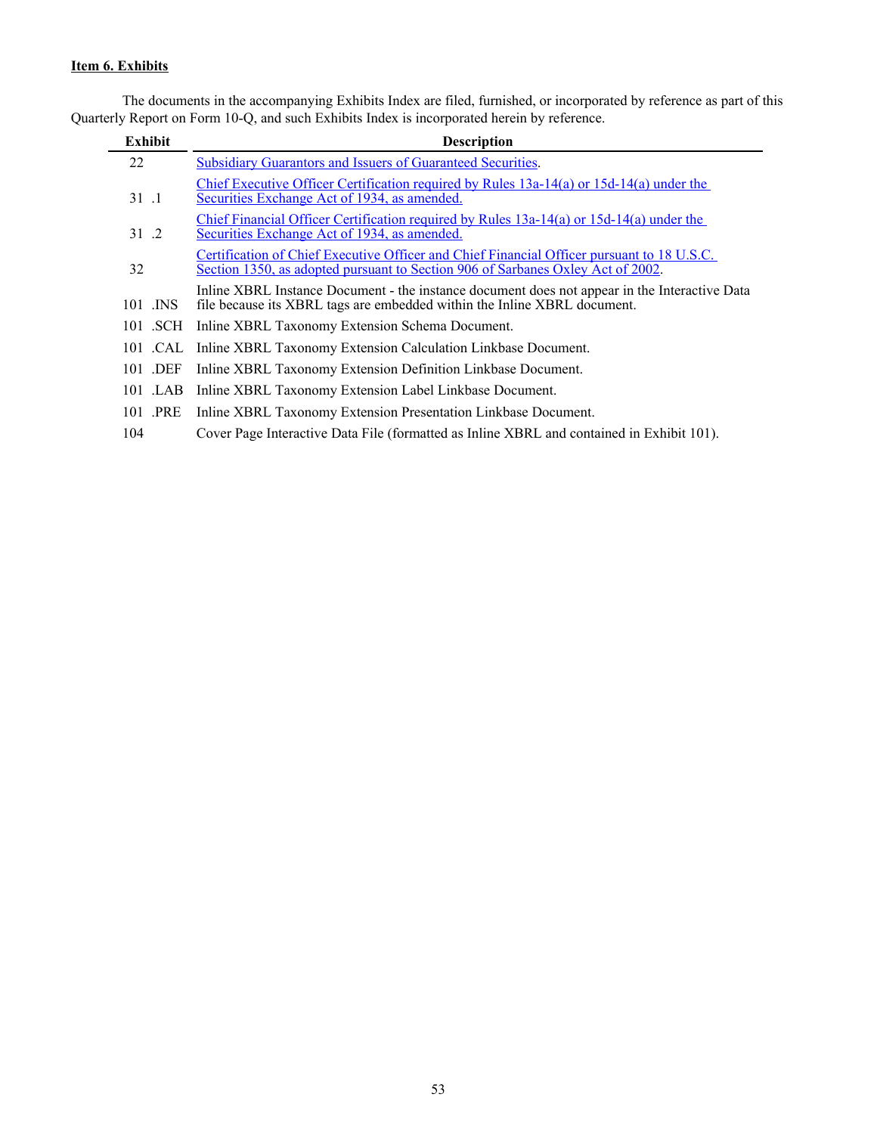## <span id="page-53-0"></span>**Item 6. Exhibits**

 The documents in the accompanying Exhibits Index are filed, furnished, or incorporated by reference as part of this Quarterly Report on Form 10-Q, and such Exhibits Index is incorporated herein by reference.

| <b>Exhibit</b> | <b>Description</b>                                                                                                                                                            |
|----------------|-------------------------------------------------------------------------------------------------------------------------------------------------------------------------------|
| 22             | <b>Subsidiary Guarantors and Issuers of Guaranteed Securities.</b>                                                                                                            |
| 31 .1          | Chief Executive Officer Certification required by Rules $13a-14(a)$ or $15d-14(a)$ under the<br>Securities Exchange Act of 1934, as amended.                                  |
| 31 .2          | Chief Financial Officer Certification required by Rules 13a-14(a) or 15d-14(a) under the<br>Securities Exchange Act of 1934, as amended.                                      |
| 32             | Certification of Chief Executive Officer and Chief Financial Officer pursuant to 18 U.S.C.<br>Section 1350, as adopted pursuant to Section 906 of Sarbanes Oxley Act of 2002. |
| 101 .INS       | Inline XBRL Instance Document - the instance document does not appear in the Interactive Data<br>file because its XBRL tags are embedded within the Inline XBRL document.     |
| 101 .SCH       | Inline XBRL Taxonomy Extension Schema Document.                                                                                                                               |
|                | 101 .CAL Inline XBRL Taxonomy Extension Calculation Linkbase Document.                                                                                                        |
| 101 .DEF       | Inline XBRL Taxonomy Extension Definition Linkbase Document.                                                                                                                  |
| 101 .LAB       | Inline XBRL Taxonomy Extension Label Linkbase Document.                                                                                                                       |
| 101 PRE        | Inline XBRL Taxonomy Extension Presentation Linkbase Document.                                                                                                                |
| 104            | Cover Page Interactive Data File (formatted as Inline XBRL and contained in Exhibit 101).                                                                                     |